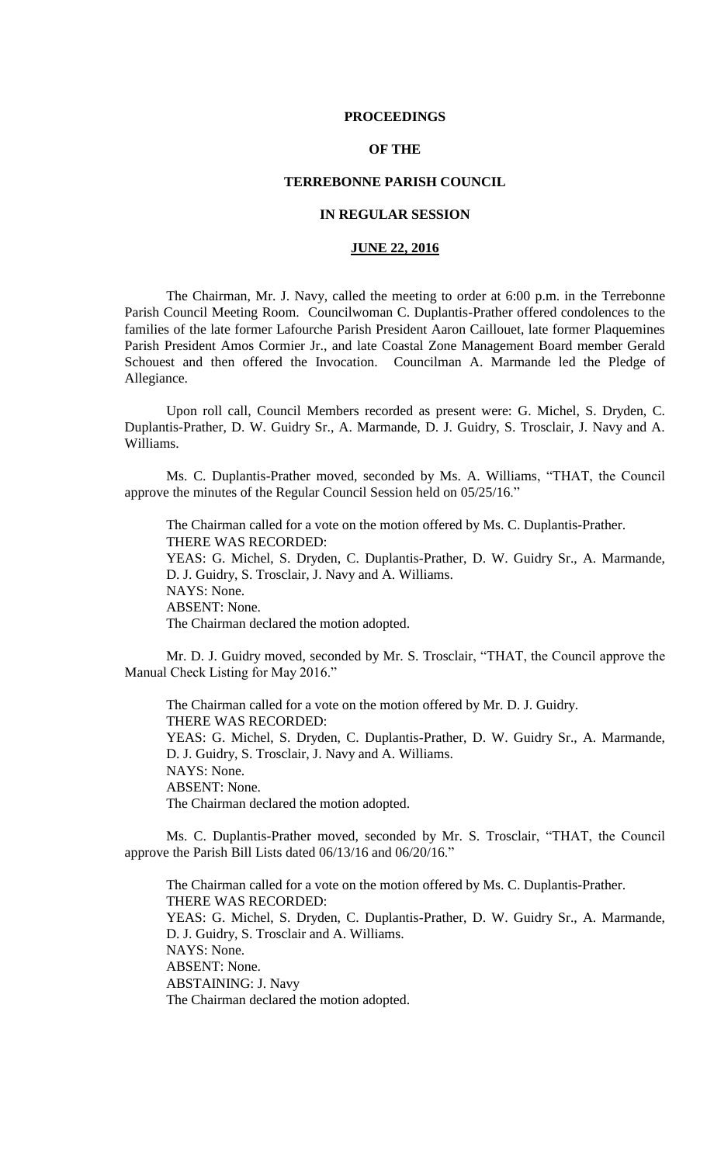## **PROCEEDINGS**

# **OF THE**

# **TERREBONNE PARISH COUNCIL**

# **IN REGULAR SESSION**

# **JUNE 22, 2016**

The Chairman, Mr. J. Navy, called the meeting to order at 6:00 p.m. in the Terrebonne Parish Council Meeting Room. Councilwoman C. Duplantis-Prather offered condolences to the families of the late former Lafourche Parish President Aaron Caillouet, late former Plaquemines Parish President Amos Cormier Jr., and late Coastal Zone Management Board member Gerald Schouest and then offered the Invocation. Councilman A. Marmande led the Pledge of Allegiance.

Upon roll call, Council Members recorded as present were: G. Michel, S. Dryden, C. Duplantis-Prather, D. W. Guidry Sr., A. Marmande, D. J. Guidry, S. Trosclair, J. Navy and A. Williams.

Ms. C. Duplantis-Prather moved, seconded by Ms. A. Williams, "THAT, the Council approve the minutes of the Regular Council Session held on 05/25/16."

The Chairman called for a vote on the motion offered by Ms. C. Duplantis-Prather. THERE WAS RECORDED: YEAS: G. Michel, S. Dryden, C. Duplantis-Prather, D. W. Guidry Sr., A. Marmande, D. J. Guidry, S. Trosclair, J. Navy and A. Williams. NAYS: None. ABSENT: None. The Chairman declared the motion adopted.

Mr. D. J. Guidry moved, seconded by Mr. S. Trosclair, "THAT, the Council approve the Manual Check Listing for May 2016."

The Chairman called for a vote on the motion offered by Mr. D. J. Guidry. THERE WAS RECORDED: YEAS: G. Michel, S. Dryden, C. Duplantis-Prather, D. W. Guidry Sr., A. Marmande, D. J. Guidry, S. Trosclair, J. Navy and A. Williams. NAYS: None. ABSENT: None. The Chairman declared the motion adopted.

Ms. C. Duplantis-Prather moved, seconded by Mr. S. Trosclair, "THAT, the Council approve the Parish Bill Lists dated 06/13/16 and 06/20/16."

The Chairman called for a vote on the motion offered by Ms. C. Duplantis-Prather. THERE WAS RECORDED: YEAS: G. Michel, S. Dryden, C. Duplantis-Prather, D. W. Guidry Sr., A. Marmande, D. J. Guidry, S. Trosclair and A. Williams. NAYS: None. ABSENT: None. ABSTAINING: J. Navy The Chairman declared the motion adopted.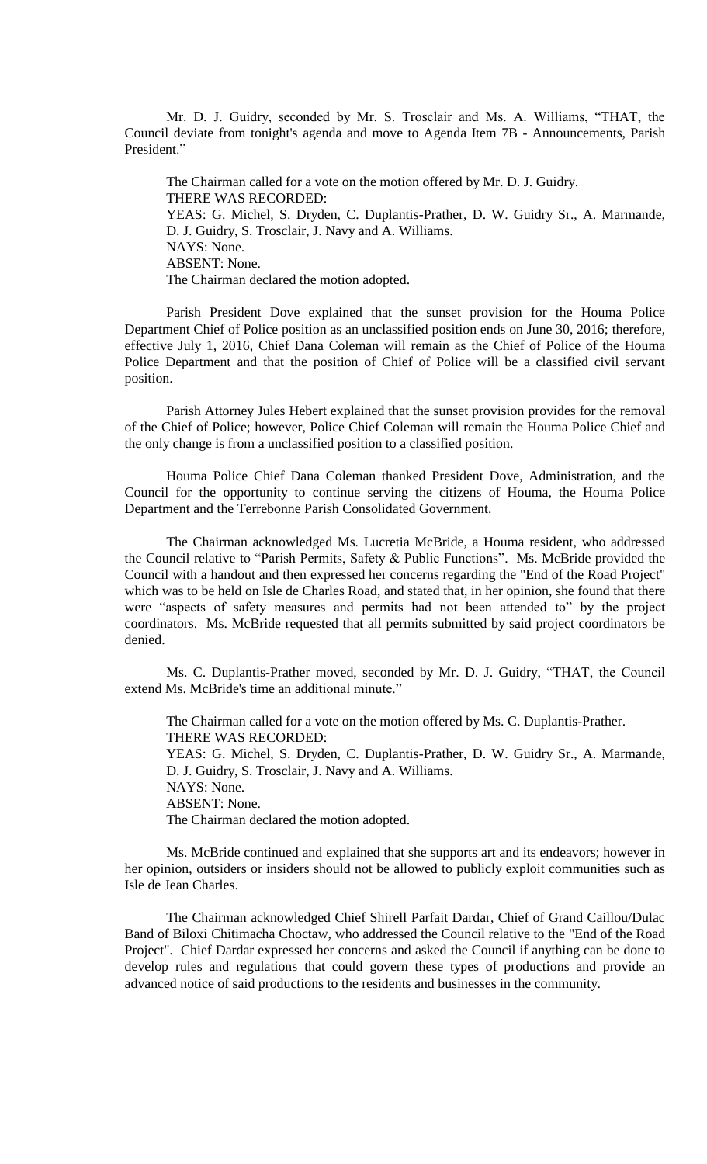Mr. D. J. Guidry, seconded by Mr. S. Trosclair and Ms. A. Williams, "THAT, the Council deviate from tonight's agenda and move to Agenda Item 7B - Announcements, Parish President."

The Chairman called for a vote on the motion offered by Mr. D. J. Guidry. THERE WAS RECORDED: YEAS: G. Michel, S. Dryden, C. Duplantis-Prather, D. W. Guidry Sr., A. Marmande, D. J. Guidry, S. Trosclair, J. Navy and A. Williams. NAYS: None. ABSENT: None. The Chairman declared the motion adopted.

Parish President Dove explained that the sunset provision for the Houma Police Department Chief of Police position as an unclassified position ends on June 30, 2016; therefore, effective July 1, 2016, Chief Dana Coleman will remain as the Chief of Police of the Houma Police Department and that the position of Chief of Police will be a classified civil servant position.

Parish Attorney Jules Hebert explained that the sunset provision provides for the removal of the Chief of Police; however, Police Chief Coleman will remain the Houma Police Chief and the only change is from a unclassified position to a classified position.

Houma Police Chief Dana Coleman thanked President Dove, Administration, and the Council for the opportunity to continue serving the citizens of Houma, the Houma Police Department and the Terrebonne Parish Consolidated Government.

The Chairman acknowledged Ms. Lucretia McBride, a Houma resident, who addressed the Council relative to "Parish Permits, Safety & Public Functions". Ms. McBride provided the Council with a handout and then expressed her concerns regarding the "End of the Road Project" which was to be held on Isle de Charles Road, and stated that, in her opinion, she found that there were "aspects of safety measures and permits had not been attended to" by the project coordinators. Ms. McBride requested that all permits submitted by said project coordinators be denied.

Ms. C. Duplantis-Prather moved, seconded by Mr. D. J. Guidry, "THAT, the Council extend Ms. McBride's time an additional minute."

The Chairman called for a vote on the motion offered by Ms. C. Duplantis-Prather. THERE WAS RECORDED: YEAS: G. Michel, S. Dryden, C. Duplantis-Prather, D. W. Guidry Sr., A. Marmande, D. J. Guidry, S. Trosclair, J. Navy and A. Williams. NAYS: None. ABSENT: None. The Chairman declared the motion adopted.

Ms. McBride continued and explained that she supports art and its endeavors; however in her opinion, outsiders or insiders should not be allowed to publicly exploit communities such as Isle de Jean Charles.

The Chairman acknowledged Chief Shirell Parfait Dardar, Chief of Grand Caillou/Dulac Band of Biloxi Chitimacha Choctaw, who addressed the Council relative to the "End of the Road Project". Chief Dardar expressed her concerns and asked the Council if anything can be done to develop rules and regulations that could govern these types of productions and provide an advanced notice of said productions to the residents and businesses in the community.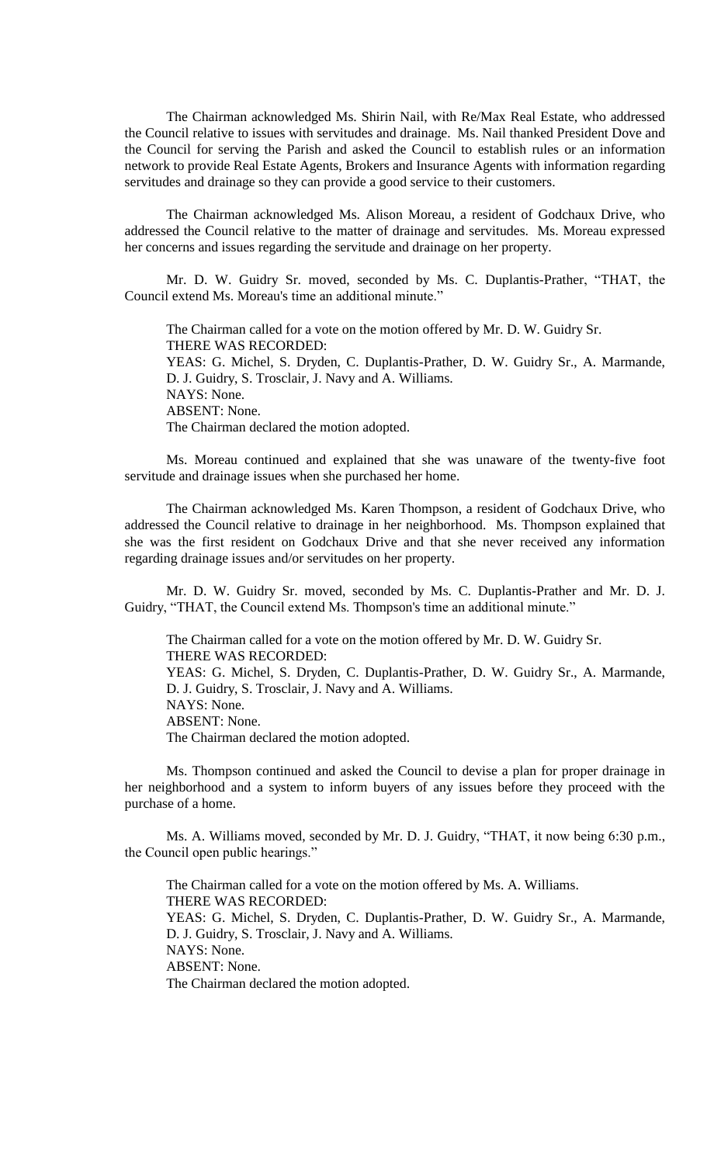The Chairman acknowledged Ms. Shirin Nail, with Re/Max Real Estate, who addressed the Council relative to issues with servitudes and drainage. Ms. Nail thanked President Dove and the Council for serving the Parish and asked the Council to establish rules or an information network to provide Real Estate Agents, Brokers and Insurance Agents with information regarding servitudes and drainage so they can provide a good service to their customers.

The Chairman acknowledged Ms. Alison Moreau, a resident of Godchaux Drive, who addressed the Council relative to the matter of drainage and servitudes. Ms. Moreau expressed her concerns and issues regarding the servitude and drainage on her property.

Mr. D. W. Guidry Sr. moved, seconded by Ms. C. Duplantis-Prather, "THAT, the Council extend Ms. Moreau's time an additional minute."

The Chairman called for a vote on the motion offered by Mr. D. W. Guidry Sr. THERE WAS RECORDED: YEAS: G. Michel, S. Dryden, C. Duplantis-Prather, D. W. Guidry Sr., A. Marmande, D. J. Guidry, S. Trosclair, J. Navy and A. Williams. NAYS: None. ABSENT: None. The Chairman declared the motion adopted.

Ms. Moreau continued and explained that she was unaware of the twenty-five foot servitude and drainage issues when she purchased her home.

The Chairman acknowledged Ms. Karen Thompson, a resident of Godchaux Drive, who addressed the Council relative to drainage in her neighborhood. Ms. Thompson explained that she was the first resident on Godchaux Drive and that she never received any information regarding drainage issues and/or servitudes on her property.

Mr. D. W. Guidry Sr. moved, seconded by Ms. C. Duplantis-Prather and Mr. D. J. Guidry, "THAT, the Council extend Ms. Thompson's time an additional minute."

The Chairman called for a vote on the motion offered by Mr. D. W. Guidry Sr. THERE WAS RECORDED: YEAS: G. Michel, S. Dryden, C. Duplantis-Prather, D. W. Guidry Sr., A. Marmande, D. J. Guidry, S. Trosclair, J. Navy and A. Williams. NAYS: None. ABSENT: None.

The Chairman declared the motion adopted.

Ms. Thompson continued and asked the Council to devise a plan for proper drainage in her neighborhood and a system to inform buyers of any issues before they proceed with the purchase of a home.

Ms. A. Williams moved, seconded by Mr. D. J. Guidry, "THAT, it now being 6:30 p.m., the Council open public hearings."

The Chairman called for a vote on the motion offered by Ms. A. Williams. THERE WAS RECORDED: YEAS: G. Michel, S. Dryden, C. Duplantis-Prather, D. W. Guidry Sr., A. Marmande, D. J. Guidry, S. Trosclair, J. Navy and A. Williams. NAYS: None. ABSENT: None. The Chairman declared the motion adopted.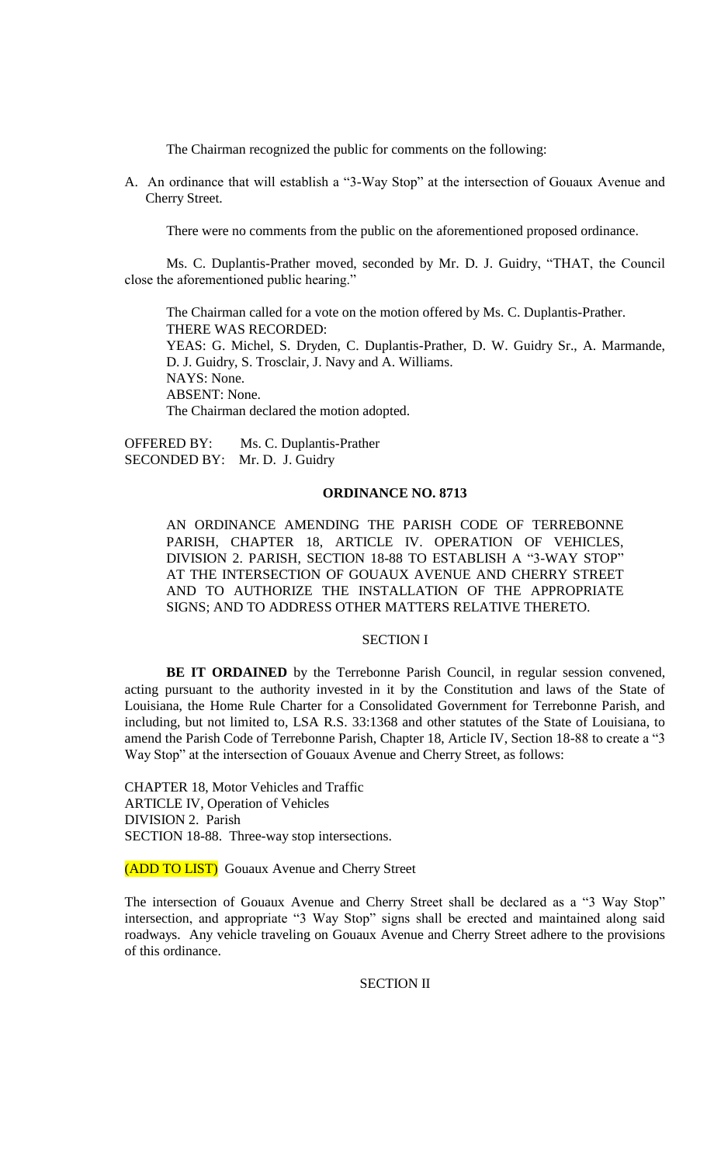The Chairman recognized the public for comments on the following:

A. An ordinance that will establish a "3-Way Stop" at the intersection of Gouaux Avenue and Cherry Street.

There were no comments from the public on the aforementioned proposed ordinance.

Ms. C. Duplantis-Prather moved, seconded by Mr. D. J. Guidry, "THAT, the Council close the aforementioned public hearing."

The Chairman called for a vote on the motion offered by Ms. C. Duplantis-Prather. THERE WAS RECORDED: YEAS: G. Michel, S. Dryden, C. Duplantis-Prather, D. W. Guidry Sr., A. Marmande, D. J. Guidry, S. Trosclair, J. Navy and A. Williams. NAYS: None. ABSENT: None. The Chairman declared the motion adopted.

OFFERED BY: Ms. C. Duplantis-Prather SECONDED BY: Mr. D. J. Guidry

#### **ORDINANCE NO. 8713**

AN ORDINANCE AMENDING THE PARISH CODE OF TERREBONNE PARISH, CHAPTER 18, ARTICLE IV. OPERATION OF VEHICLES, DIVISION 2. PARISH, SECTION 18-88 TO ESTABLISH A "3-WAY STOP" AT THE INTERSECTION OF GOUAUX AVENUE AND CHERRY STREET AND TO AUTHORIZE THE INSTALLATION OF THE APPROPRIATE SIGNS; AND TO ADDRESS OTHER MATTERS RELATIVE THERETO.

#### SECTION I

BE IT ORDAINED by the Terrebonne Parish Council, in regular session convened, acting pursuant to the authority invested in it by the Constitution and laws of the State of Louisiana, the Home Rule Charter for a Consolidated Government for Terrebonne Parish, and including, but not limited to, LSA R.S. 33:1368 and other statutes of the State of Louisiana, to amend the Parish Code of Terrebonne Parish, Chapter 18, Article IV, Section 18-88 to create a "3 Way Stop" at the intersection of Gouaux Avenue and Cherry Street, as follows:

CHAPTER 18, Motor Vehicles and Traffic ARTICLE IV, Operation of Vehicles DIVISION 2. Parish SECTION 18-88. Three-way stop intersections.

(ADD TO LIST) Gouaux Avenue and Cherry Street

The intersection of Gouaux Avenue and Cherry Street shall be declared as a "3 Way Stop" intersection, and appropriate "3 Way Stop" signs shall be erected and maintained along said roadways. Any vehicle traveling on Gouaux Avenue and Cherry Street adhere to the provisions of this ordinance.

SECTION II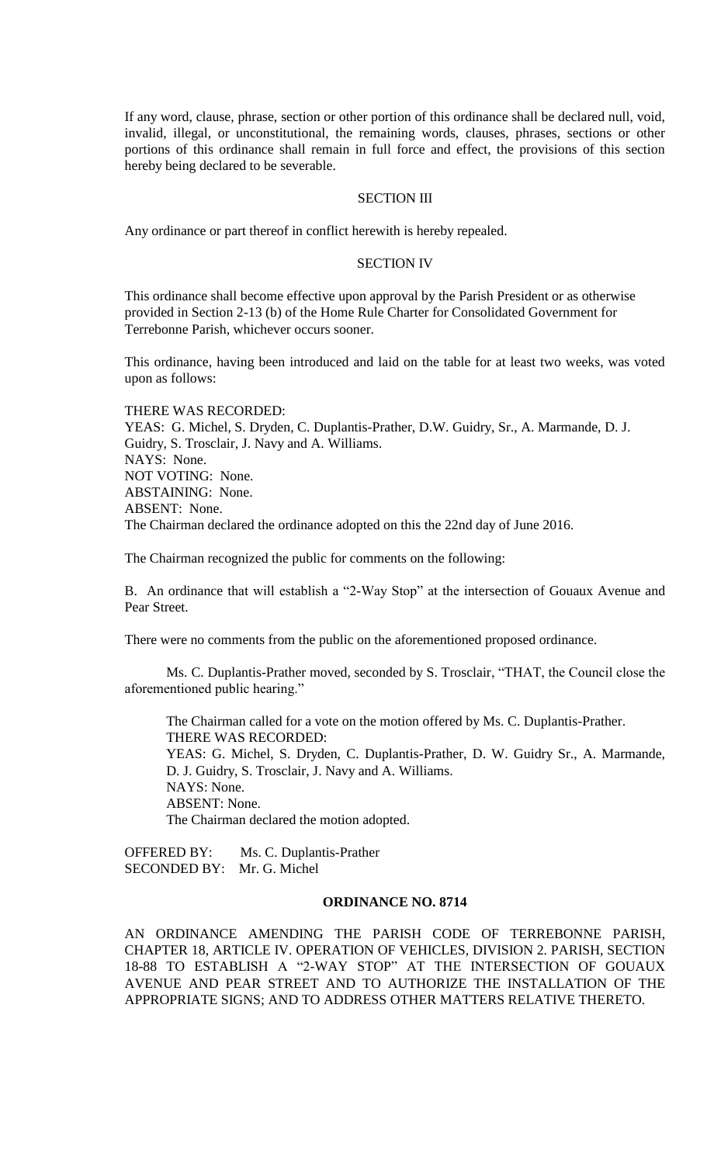If any word, clause, phrase, section or other portion of this ordinance shall be declared null, void, invalid, illegal, or unconstitutional, the remaining words, clauses, phrases, sections or other portions of this ordinance shall remain in full force and effect, the provisions of this section hereby being declared to be severable.

# SECTION III

Any ordinance or part thereof in conflict herewith is hereby repealed.

#### SECTION IV

This ordinance shall become effective upon approval by the Parish President or as otherwise provided in Section 2-13 (b) of the Home Rule Charter for Consolidated Government for Terrebonne Parish, whichever occurs sooner.

This ordinance, having been introduced and laid on the table for at least two weeks, was voted upon as follows:

THERE WAS RECORDED: YEAS: G. Michel, S. Dryden, C. Duplantis-Prather, D.W. Guidry, Sr., A. Marmande, D. J. Guidry, S. Trosclair, J. Navy and A. Williams. NAYS: None. NOT VOTING: None. ABSTAINING: None. ABSENT: None. The Chairman declared the ordinance adopted on this the 22nd day of June 2016.

The Chairman recognized the public for comments on the following:

B. An ordinance that will establish a "2-Way Stop" at the intersection of Gouaux Avenue and Pear Street.

There were no comments from the public on the aforementioned proposed ordinance.

Ms. C. Duplantis-Prather moved, seconded by S. Trosclair, "THAT, the Council close the aforementioned public hearing."

The Chairman called for a vote on the motion offered by Ms. C. Duplantis-Prather. THERE WAS RECORDED: YEAS: G. Michel, S. Dryden, C. Duplantis-Prather, D. W. Guidry Sr., A. Marmande, D. J. Guidry, S. Trosclair, J. Navy and A. Williams. NAYS: None. ABSENT: None. The Chairman declared the motion adopted.

OFFERED BY: Ms. C. Duplantis-Prather SECONDED BY: Mr. G. Michel

#### **ORDINANCE NO. 8714**

AN ORDINANCE AMENDING THE PARISH CODE OF TERREBONNE PARISH, CHAPTER 18, ARTICLE IV. OPERATION OF VEHICLES, DIVISION 2. PARISH, SECTION 18-88 TO ESTABLISH A "2-WAY STOP" AT THE INTERSECTION OF GOUAUX AVENUE AND PEAR STREET AND TO AUTHORIZE THE INSTALLATION OF THE APPROPRIATE SIGNS; AND TO ADDRESS OTHER MATTERS RELATIVE THERETO.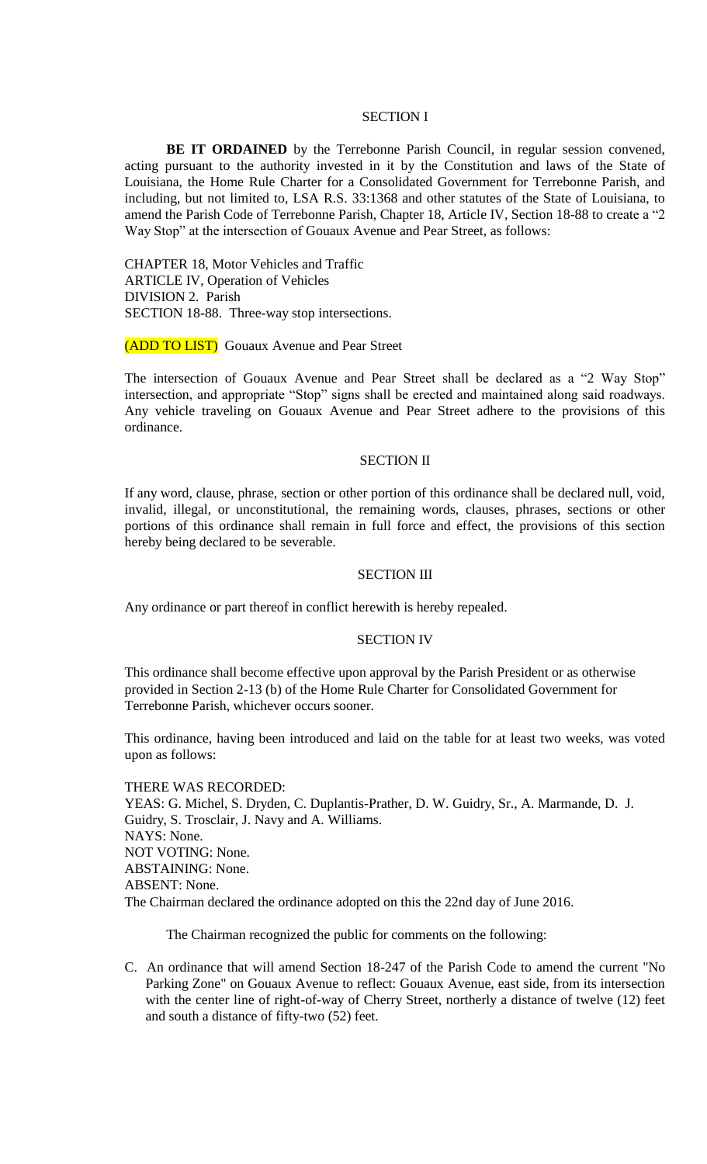# SECTION I

**BE IT ORDAINED** by the Terrebonne Parish Council, in regular session convened, acting pursuant to the authority invested in it by the Constitution and laws of the State of Louisiana, the Home Rule Charter for a Consolidated Government for Terrebonne Parish, and including, but not limited to, LSA R.S. 33:1368 and other statutes of the State of Louisiana, to amend the Parish Code of Terrebonne Parish, Chapter 18, Article IV, Section 18-88 to create a "2 Way Stop" at the intersection of Gouaux Avenue and Pear Street, as follows:

CHAPTER 18, Motor Vehicles and Traffic ARTICLE IV, Operation of Vehicles DIVISION 2. Parish SECTION 18-88. Three-way stop intersections.

(ADD TO LIST) Gouaux Avenue and Pear Street

The intersection of Gouaux Avenue and Pear Street shall be declared as a "2 Way Stop" intersection, and appropriate "Stop" signs shall be erected and maintained along said roadways. Any vehicle traveling on Gouaux Avenue and Pear Street adhere to the provisions of this ordinance.

#### SECTION II

If any word, clause, phrase, section or other portion of this ordinance shall be declared null, void, invalid, illegal, or unconstitutional, the remaining words, clauses, phrases, sections or other portions of this ordinance shall remain in full force and effect, the provisions of this section hereby being declared to be severable.

#### SECTION III

Any ordinance or part thereof in conflict herewith is hereby repealed.

#### SECTION IV

This ordinance shall become effective upon approval by the Parish President or as otherwise provided in Section 2-13 (b) of the Home Rule Charter for Consolidated Government for Terrebonne Parish, whichever occurs sooner.

This ordinance, having been introduced and laid on the table for at least two weeks, was voted upon as follows:

THERE WAS RECORDED: YEAS: G. Michel, S. Dryden, C. Duplantis-Prather, D. W. Guidry, Sr., A. Marmande, D. J. Guidry, S. Trosclair, J. Navy and A. Williams. NAYS: None. NOT VOTING: None. ABSTAINING: None. ABSENT: None. The Chairman declared the ordinance adopted on this the 22nd day of June 2016.

The Chairman recognized the public for comments on the following:

C. An ordinance that will amend Section 18-247 of the Parish Code to amend the current "No Parking Zone" on Gouaux Avenue to reflect: Gouaux Avenue, east side, from its intersection with the center line of right-of-way of Cherry Street, northerly a distance of twelve (12) feet and south a distance of fifty-two (52) feet.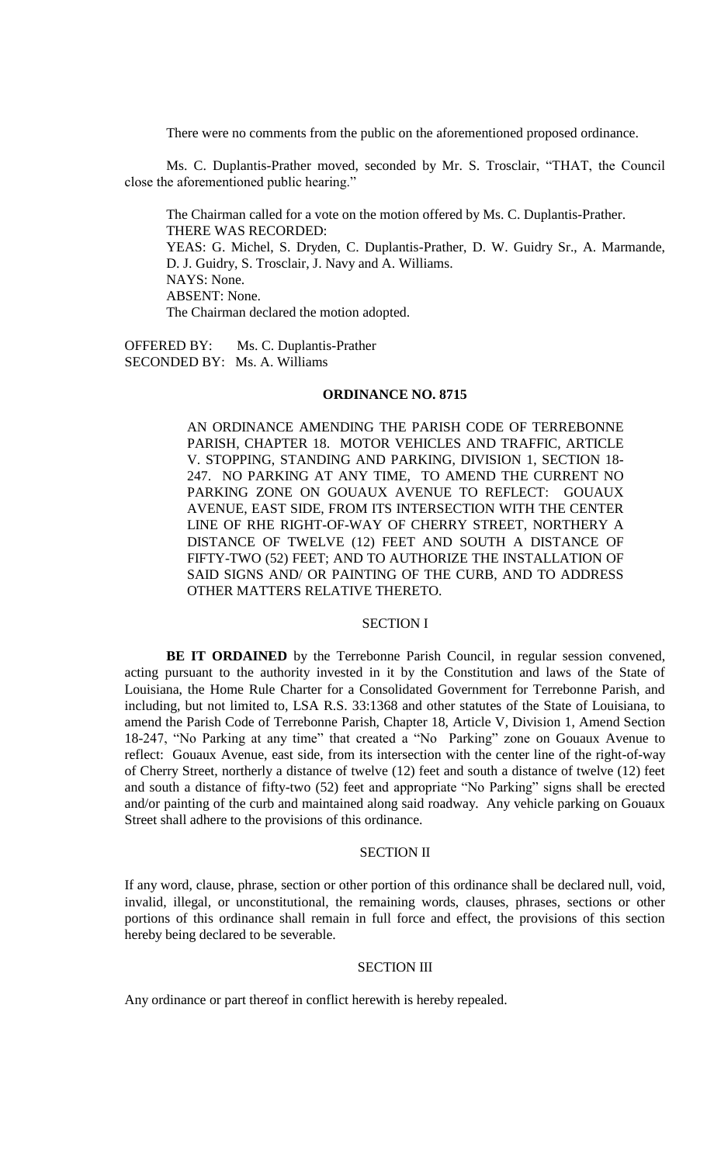There were no comments from the public on the aforementioned proposed ordinance.

Ms. C. Duplantis-Prather moved, seconded by Mr. S. Trosclair, "THAT, the Council close the aforementioned public hearing."

The Chairman called for a vote on the motion offered by Ms. C. Duplantis-Prather. THERE WAS RECORDED: YEAS: G. Michel, S. Dryden, C. Duplantis-Prather, D. W. Guidry Sr., A. Marmande, D. J. Guidry, S. Trosclair, J. Navy and A. Williams. NAYS: None. ABSENT: None. The Chairman declared the motion adopted.

OFFERED BY: Ms. C. Duplantis-Prather SECONDED BY: Ms. A. Williams

# **ORDINANCE NO. 8715**

AN ORDINANCE AMENDING THE PARISH CODE OF TERREBONNE PARISH, CHAPTER 18. MOTOR VEHICLES AND TRAFFIC, ARTICLE V. STOPPING, STANDING AND PARKING, DIVISION 1, SECTION 18- 247. NO PARKING AT ANY TIME, TO AMEND THE CURRENT NO PARKING ZONE ON GOUAUX AVENUE TO REFLECT: GOUAUX AVENUE, EAST SIDE, FROM ITS INTERSECTION WITH THE CENTER LINE OF RHE RIGHT-OF-WAY OF CHERRY STREET, NORTHERY A DISTANCE OF TWELVE (12) FEET AND SOUTH A DISTANCE OF FIFTY-TWO (52) FEET; AND TO AUTHORIZE THE INSTALLATION OF SAID SIGNS AND/ OR PAINTING OF THE CURB, AND TO ADDRESS OTHER MATTERS RELATIVE THERETO.

# SECTION I

**BE IT ORDAINED** by the Terrebonne Parish Council, in regular session convened, acting pursuant to the authority invested in it by the Constitution and laws of the State of Louisiana, the Home Rule Charter for a Consolidated Government for Terrebonne Parish, and including, but not limited to, LSA R.S. 33:1368 and other statutes of the State of Louisiana, to amend the Parish Code of Terrebonne Parish, Chapter 18, Article V, Division 1, Amend Section 18-247, "No Parking at any time" that created a "No Parking" zone on Gouaux Avenue to reflect: Gouaux Avenue, east side, from its intersection with the center line of the right-of-way of Cherry Street, northerly a distance of twelve (12) feet and south a distance of twelve (12) feet and south a distance of fifty-two (52) feet and appropriate "No Parking" signs shall be erected and/or painting of the curb and maintained along said roadway. Any vehicle parking on Gouaux Street shall adhere to the provisions of this ordinance.

# SECTION II

If any word, clause, phrase, section or other portion of this ordinance shall be declared null, void, invalid, illegal, or unconstitutional, the remaining words, clauses, phrases, sections or other portions of this ordinance shall remain in full force and effect, the provisions of this section hereby being declared to be severable.

## SECTION III

Any ordinance or part thereof in conflict herewith is hereby repealed.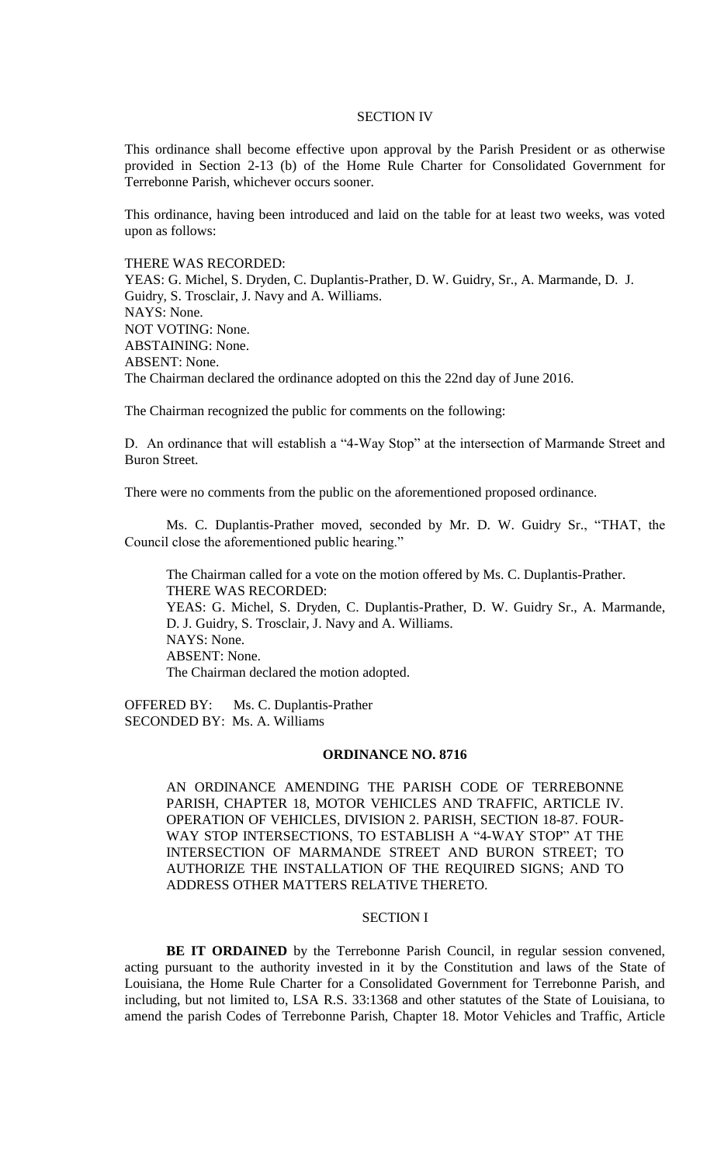#### SECTION IV

This ordinance shall become effective upon approval by the Parish President or as otherwise provided in Section 2-13 (b) of the Home Rule Charter for Consolidated Government for Terrebonne Parish, whichever occurs sooner.

This ordinance, having been introduced and laid on the table for at least two weeks, was voted upon as follows:

THERE WAS RECORDED:

YEAS: G. Michel, S. Dryden, C. Duplantis-Prather, D. W. Guidry, Sr., A. Marmande, D. J. Guidry, S. Trosclair, J. Navy and A. Williams. NAYS: None. NOT VOTING: None. ABSTAINING: None. ABSENT: None. The Chairman declared the ordinance adopted on this the 22nd day of June 2016.

The Chairman recognized the public for comments on the following:

D. An ordinance that will establish a "4-Way Stop" at the intersection of Marmande Street and Buron Street.

There were no comments from the public on the aforementioned proposed ordinance.

Ms. C. Duplantis-Prather moved, seconded by Mr. D. W. Guidry Sr., "THAT, the Council close the aforementioned public hearing."

The Chairman called for a vote on the motion offered by Ms. C. Duplantis-Prather. THERE WAS RECORDED: YEAS: G. Michel, S. Dryden, C. Duplantis-Prather, D. W. Guidry Sr., A. Marmande, D. J. Guidry, S. Trosclair, J. Navy and A. Williams. NAYS: None. ABSENT: None. The Chairman declared the motion adopted.

OFFERED BY: Ms. C. Duplantis-Prather SECONDED BY: Ms. A. Williams

#### **ORDINANCE NO. 8716**

AN ORDINANCE AMENDING THE PARISH CODE OF TERREBONNE PARISH, CHAPTER 18, MOTOR VEHICLES AND TRAFFIC, ARTICLE IV. OPERATION OF VEHICLES, DIVISION 2. PARISH, SECTION 18-87. FOUR-WAY STOP INTERSECTIONS, TO ESTABLISH A "4-WAY STOP" AT THE INTERSECTION OF MARMANDE STREET AND BURON STREET; TO AUTHORIZE THE INSTALLATION OF THE REQUIRED SIGNS; AND TO ADDRESS OTHER MATTERS RELATIVE THERETO.

# SECTION I

**BE IT ORDAINED** by the Terrebonne Parish Council, in regular session convened, acting pursuant to the authority invested in it by the Constitution and laws of the State of Louisiana, the Home Rule Charter for a Consolidated Government for Terrebonne Parish, and including, but not limited to, LSA R.S. 33:1368 and other statutes of the State of Louisiana, to amend the parish Codes of Terrebonne Parish, Chapter 18. Motor Vehicles and Traffic, Article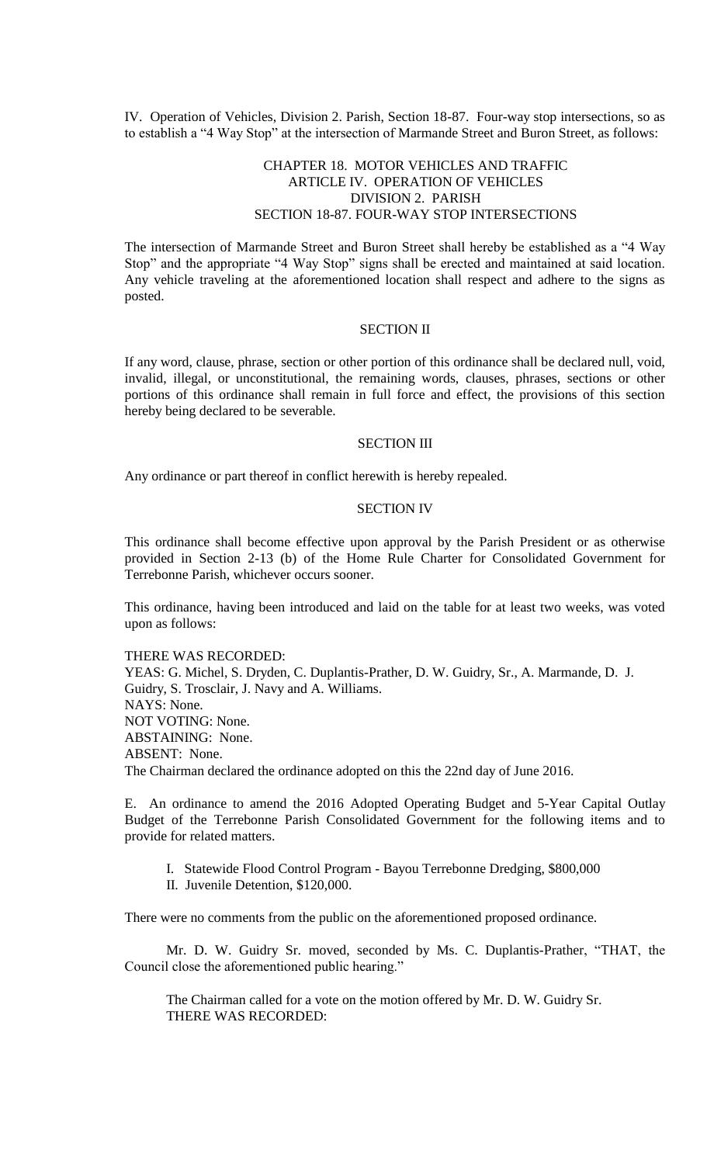IV. Operation of Vehicles, Division 2. Parish, Section 18-87. Four-way stop intersections, so as to establish a "4 Way Stop" at the intersection of Marmande Street and Buron Street, as follows:

# CHAPTER 18. MOTOR VEHICLES AND TRAFFIC ARTICLE IV. OPERATION OF VEHICLES DIVISION 2. PARISH SECTION 18-87. FOUR-WAY STOP INTERSECTIONS

The intersection of Marmande Street and Buron Street shall hereby be established as a "4 Way Stop" and the appropriate "4 Way Stop" signs shall be erected and maintained at said location. Any vehicle traveling at the aforementioned location shall respect and adhere to the signs as posted.

# SECTION II

If any word, clause, phrase, section or other portion of this ordinance shall be declared null, void, invalid, illegal, or unconstitutional, the remaining words, clauses, phrases, sections or other portions of this ordinance shall remain in full force and effect, the provisions of this section hereby being declared to be severable.

#### SECTION III

Any ordinance or part thereof in conflict herewith is hereby repealed.

# SECTION IV

This ordinance shall become effective upon approval by the Parish President or as otherwise provided in Section 2-13 (b) of the Home Rule Charter for Consolidated Government for Terrebonne Parish, whichever occurs sooner.

This ordinance, having been introduced and laid on the table for at least two weeks, was voted upon as follows:

THERE WAS RECORDED: YEAS: G. Michel, S. Dryden, C. Duplantis-Prather, D. W. Guidry, Sr., A. Marmande, D. J. Guidry, S. Trosclair, J. Navy and A. Williams. NAYS: None. NOT VOTING: None. ABSTAINING: None. ABSENT: None. The Chairman declared the ordinance adopted on this the 22nd day of June 2016.

E. An ordinance to amend the 2016 Adopted Operating Budget and 5-Year Capital Outlay Budget of the Terrebonne Parish Consolidated Government for the following items and to provide for related matters.

- I. Statewide Flood Control Program Bayou Terrebonne Dredging, \$800,000
- II. Juvenile Detention, \$120,000.

There were no comments from the public on the aforementioned proposed ordinance.

Mr. D. W. Guidry Sr. moved, seconded by Ms. C. Duplantis-Prather, "THAT, the Council close the aforementioned public hearing."

The Chairman called for a vote on the motion offered by Mr. D. W. Guidry Sr. THERE WAS RECORDED: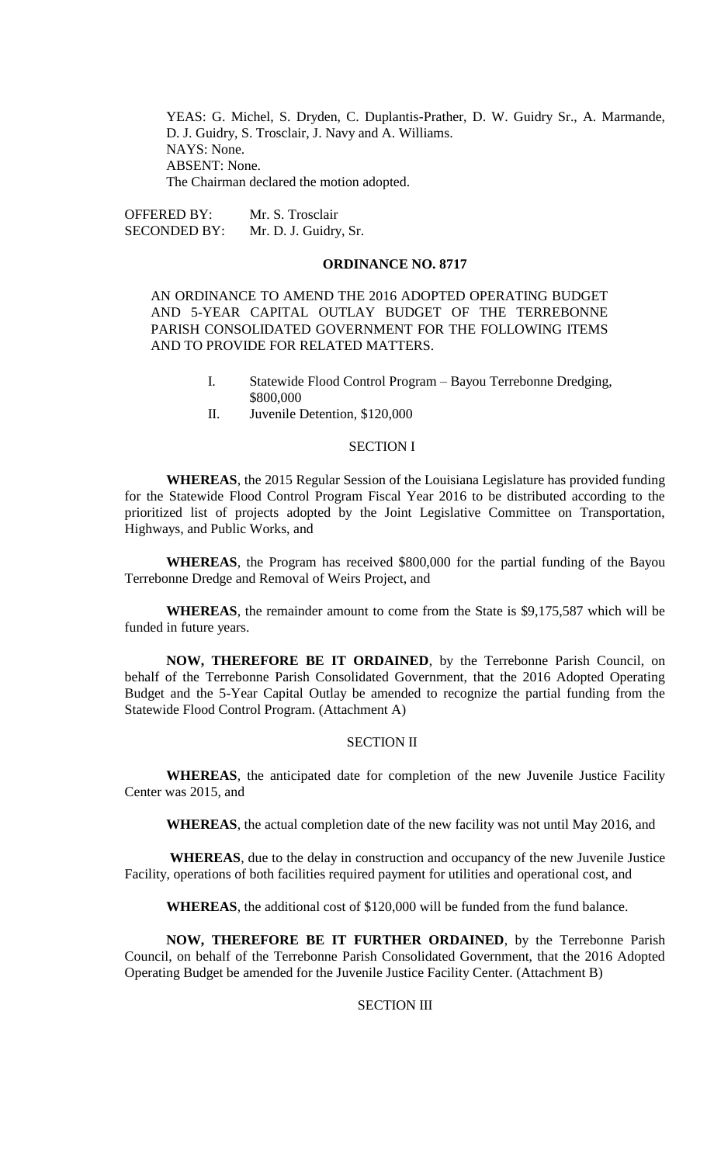YEAS: G. Michel, S. Dryden, C. Duplantis-Prather, D. W. Guidry Sr., A. Marmande, D. J. Guidry, S. Trosclair, J. Navy and A. Williams. NAYS: None. ABSENT: None. The Chairman declared the motion adopted.

OFFERED BY: Mr. S. Trosclair SECONDED BY: Mr. D. J. Guidry, Sr.

#### **ORDINANCE NO. 8717**

AN ORDINANCE TO AMEND THE 2016 ADOPTED OPERATING BUDGET AND 5-YEAR CAPITAL OUTLAY BUDGET OF THE TERREBONNE PARISH CONSOLIDATED GOVERNMENT FOR THE FOLLOWING ITEMS AND TO PROVIDE FOR RELATED MATTERS.

- I. Statewide Flood Control Program Bayou Terrebonne Dredging, \$800,000
- II. Juvenile Detention, \$120,000

# SECTION I

**WHEREAS**, the 2015 Regular Session of the Louisiana Legislature has provided funding for the Statewide Flood Control Program Fiscal Year 2016 to be distributed according to the prioritized list of projects adopted by the Joint Legislative Committee on Transportation, Highways, and Public Works, and

**WHEREAS**, the Program has received \$800,000 for the partial funding of the Bayou Terrebonne Dredge and Removal of Weirs Project, and

**WHEREAS**, the remainder amount to come from the State is \$9,175,587 which will be funded in future years.

**NOW, THEREFORE BE IT ORDAINED**, by the Terrebonne Parish Council, on behalf of the Terrebonne Parish Consolidated Government, that the 2016 Adopted Operating Budget and the 5-Year Capital Outlay be amended to recognize the partial funding from the Statewide Flood Control Program. (Attachment A)

# SECTION II

**WHEREAS**, the anticipated date for completion of the new Juvenile Justice Facility Center was 2015, and

**WHEREAS**, the actual completion date of the new facility was not until May 2016, and

**WHEREAS**, due to the delay in construction and occupancy of the new Juvenile Justice Facility, operations of both facilities required payment for utilities and operational cost, and

**WHEREAS**, the additional cost of \$120,000 will be funded from the fund balance.

**NOW, THEREFORE BE IT FURTHER ORDAINED**, by the Terrebonne Parish Council, on behalf of the Terrebonne Parish Consolidated Government, that the 2016 Adopted Operating Budget be amended for the Juvenile Justice Facility Center. (Attachment B)

# SECTION III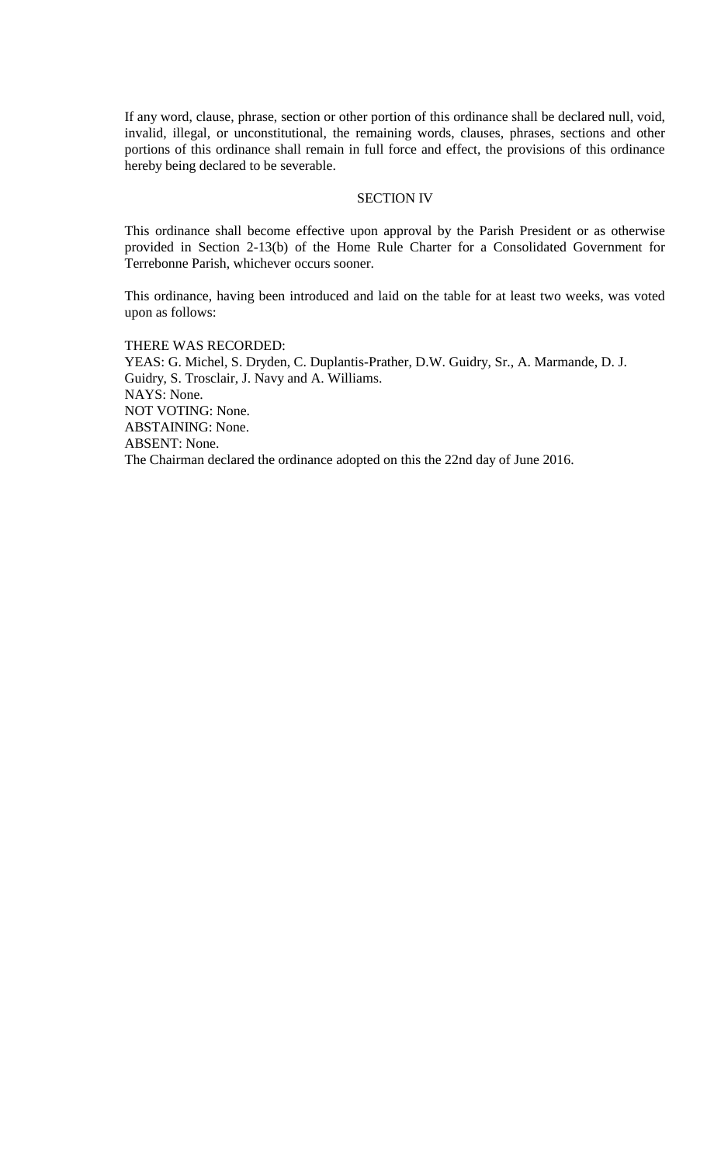If any word, clause, phrase, section or other portion of this ordinance shall be declared null, void, invalid, illegal, or unconstitutional, the remaining words, clauses, phrases, sections and other portions of this ordinance shall remain in full force and effect, the provisions of this ordinance hereby being declared to be severable.

## SECTION IV

This ordinance shall become effective upon approval by the Parish President or as otherwise provided in Section 2-13(b) of the Home Rule Charter for a Consolidated Government for Terrebonne Parish, whichever occurs sooner.

This ordinance, having been introduced and laid on the table for at least two weeks, was voted upon as follows:

THERE WAS RECORDED: YEAS: G. Michel, S. Dryden, C. Duplantis-Prather, D.W. Guidry, Sr., A. Marmande, D. J. Guidry, S. Trosclair, J. Navy and A. Williams. NAYS: None. NOT VOTING: None. ABSTAINING: None. ABSENT: None. The Chairman declared the ordinance adopted on this the 22nd day of June 2016.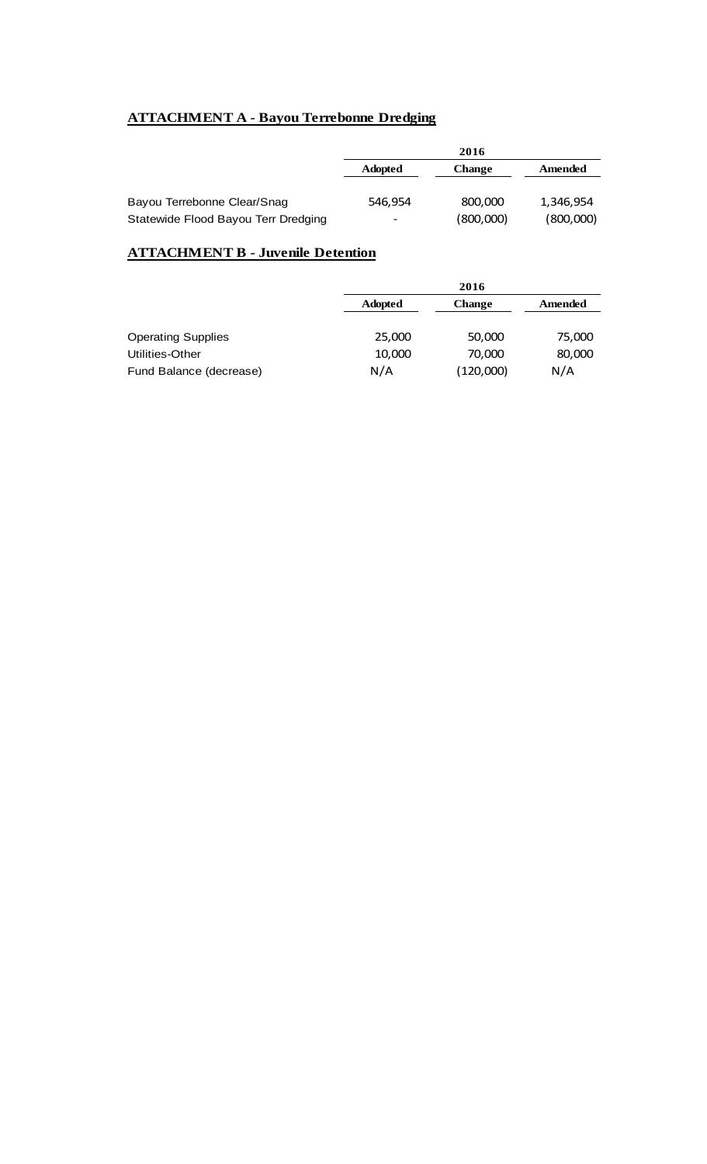# **ATTACHMENT A - Bayou Terrebonne Dredging**

|                                     | 2016           |               |           |
|-------------------------------------|----------------|---------------|-----------|
|                                     | <b>Adopted</b> | <b>Change</b> | Amended   |
|                                     |                |               |           |
| Bayou Terrebonne Clear/Snag         | 546.954        | 800,000       | 1,346,954 |
| Statewide Flood Bayou Terr Dredging | -              | (800,000)     | (800,000) |

# **ATTACHMENT B - Juvenile Detention**

|                           |                | 2016          |         |  |
|---------------------------|----------------|---------------|---------|--|
|                           | <b>Adopted</b> | <b>Change</b> | Amended |  |
| <b>Operating Supplies</b> | 25,000         | 50,000        | 75,000  |  |
| Utilities-Other           | 10,000         | 70,000        | 80,000  |  |
| Fund Balance (decrease)   | N/A            | (120,000)     | N/A     |  |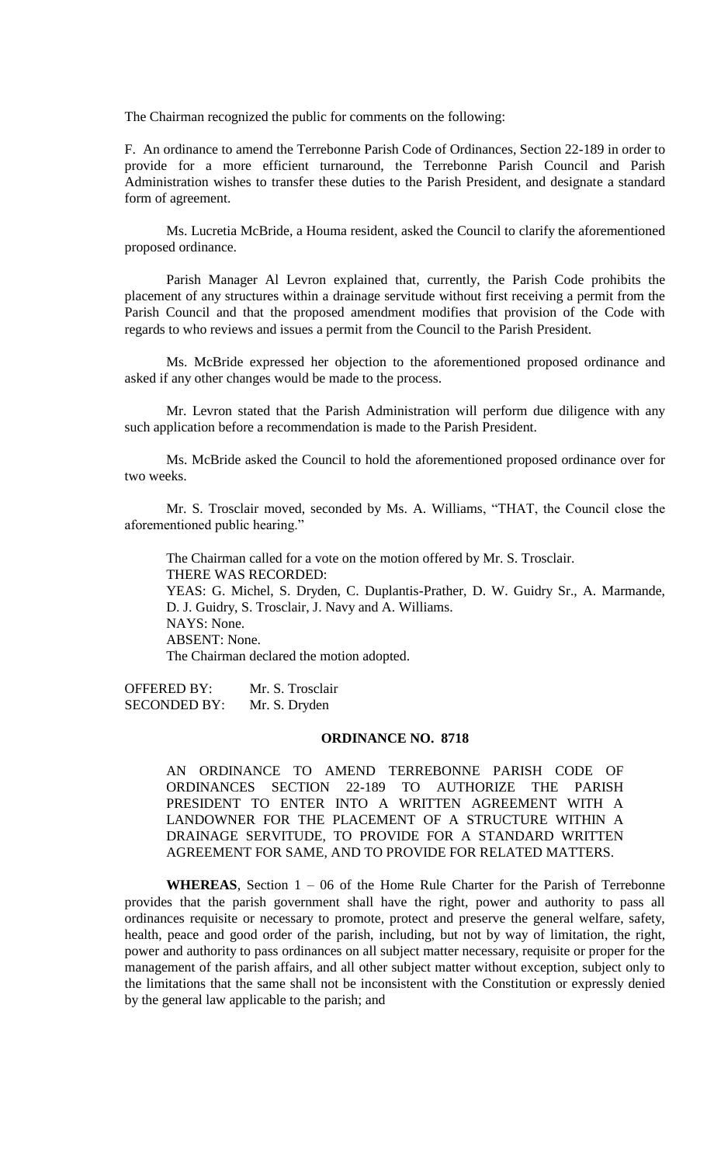The Chairman recognized the public for comments on the following:

F. An ordinance to amend the Terrebonne Parish Code of Ordinances, Section 22-189 in order to provide for a more efficient turnaround, the Terrebonne Parish Council and Parish Administration wishes to transfer these duties to the Parish President, and designate a standard form of agreement.

Ms. Lucretia McBride, a Houma resident, asked the Council to clarify the aforementioned proposed ordinance.

Parish Manager Al Levron explained that, currently, the Parish Code prohibits the placement of any structures within a drainage servitude without first receiving a permit from the Parish Council and that the proposed amendment modifies that provision of the Code with regards to who reviews and issues a permit from the Council to the Parish President.

Ms. McBride expressed her objection to the aforementioned proposed ordinance and asked if any other changes would be made to the process.

Mr. Levron stated that the Parish Administration will perform due diligence with any such application before a recommendation is made to the Parish President.

Ms. McBride asked the Council to hold the aforementioned proposed ordinance over for two weeks.

Mr. S. Trosclair moved, seconded by Ms. A. Williams, "THAT, the Council close the aforementioned public hearing."

The Chairman called for a vote on the motion offered by Mr. S. Trosclair. THERE WAS RECORDED: YEAS: G. Michel, S. Dryden, C. Duplantis-Prather, D. W. Guidry Sr., A. Marmande, D. J. Guidry, S. Trosclair, J. Navy and A. Williams. NAYS: None. ABSENT: None. The Chairman declared the motion adopted.

OFFERED BY: Mr. S. Trosclair SECONDED BY: Mr. S. Dryden

# **ORDINANCE NO. 8718**

AN ORDINANCE TO AMEND TERREBONNE PARISH CODE OF ORDINANCES SECTION 22-189 TO AUTHORIZE THE PARISH PRESIDENT TO ENTER INTO A WRITTEN AGREEMENT WITH A LANDOWNER FOR THE PLACEMENT OF A STRUCTURE WITHIN A DRAINAGE SERVITUDE, TO PROVIDE FOR A STANDARD WRITTEN AGREEMENT FOR SAME, AND TO PROVIDE FOR RELATED MATTERS.

**WHEREAS**, Section 1 – 06 of the Home Rule Charter for the Parish of Terrebonne provides that the parish government shall have the right, power and authority to pass all ordinances requisite or necessary to promote, protect and preserve the general welfare, safety, health, peace and good order of the parish, including, but not by way of limitation, the right, power and authority to pass ordinances on all subject matter necessary, requisite or proper for the management of the parish affairs, and all other subject matter without exception, subject only to the limitations that the same shall not be inconsistent with the Constitution or expressly denied by the general law applicable to the parish; and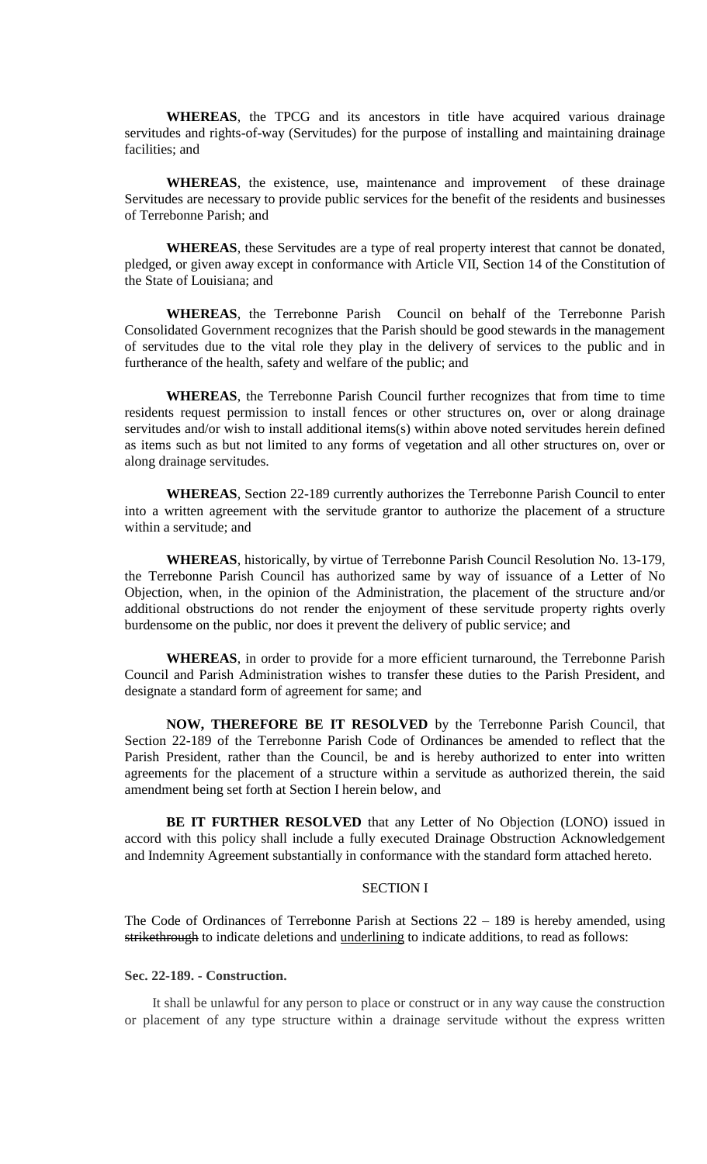**WHEREAS**, the TPCG and its ancestors in title have acquired various drainage servitudes and rights-of-way (Servitudes) for the purpose of installing and maintaining drainage facilities; and

**WHEREAS**, the existence, use, maintenance and improvement of these drainage Servitudes are necessary to provide public services for the benefit of the residents and businesses of Terrebonne Parish; and

**WHEREAS**, these Servitudes are a type of real property interest that cannot be donated, pledged, or given away except in conformance with Article VII, Section 14 of the Constitution of the State of Louisiana; and

**WHEREAS**, the Terrebonne Parish Council on behalf of the Terrebonne Parish Consolidated Government recognizes that the Parish should be good stewards in the management of servitudes due to the vital role they play in the delivery of services to the public and in furtherance of the health, safety and welfare of the public; and

**WHEREAS**, the Terrebonne Parish Council further recognizes that from time to time residents request permission to install fences or other structures on, over or along drainage servitudes and/or wish to install additional items(s) within above noted servitudes herein defined as items such as but not limited to any forms of vegetation and all other structures on, over or along drainage servitudes.

**WHEREAS**, Section 22-189 currently authorizes the Terrebonne Parish Council to enter into a written agreement with the servitude grantor to authorize the placement of a structure within a servitude; and

**WHEREAS**, historically, by virtue of Terrebonne Parish Council Resolution No. 13-179, the Terrebonne Parish Council has authorized same by way of issuance of a Letter of No Objection, when, in the opinion of the Administration, the placement of the structure and/or additional obstructions do not render the enjoyment of these servitude property rights overly burdensome on the public, nor does it prevent the delivery of public service; and

**WHEREAS**, in order to provide for a more efficient turnaround, the Terrebonne Parish Council and Parish Administration wishes to transfer these duties to the Parish President, and designate a standard form of agreement for same; and

**NOW, THEREFORE BE IT RESOLVED** by the Terrebonne Parish Council, that Section 22-189 of the Terrebonne Parish Code of Ordinances be amended to reflect that the Parish President, rather than the Council, be and is hereby authorized to enter into written agreements for the placement of a structure within a servitude as authorized therein, the said amendment being set forth at Section I herein below, and

**BE IT FURTHER RESOLVED** that any Letter of No Objection (LONO) issued in accord with this policy shall include a fully executed Drainage Obstruction Acknowledgement and Indemnity Agreement substantially in conformance with the standard form attached hereto.

#### SECTION I

The Code of Ordinances of Terrebonne Parish at Sections 22 – 189 is hereby amended, using strikethrough to indicate deletions and underlining to indicate additions, to read as follows:

# **Sec. 22-189. - Construction.**

It shall be unlawful for any person to place or construct or in any way cause the construction or placement of any type structure within a drainage servitude without the express written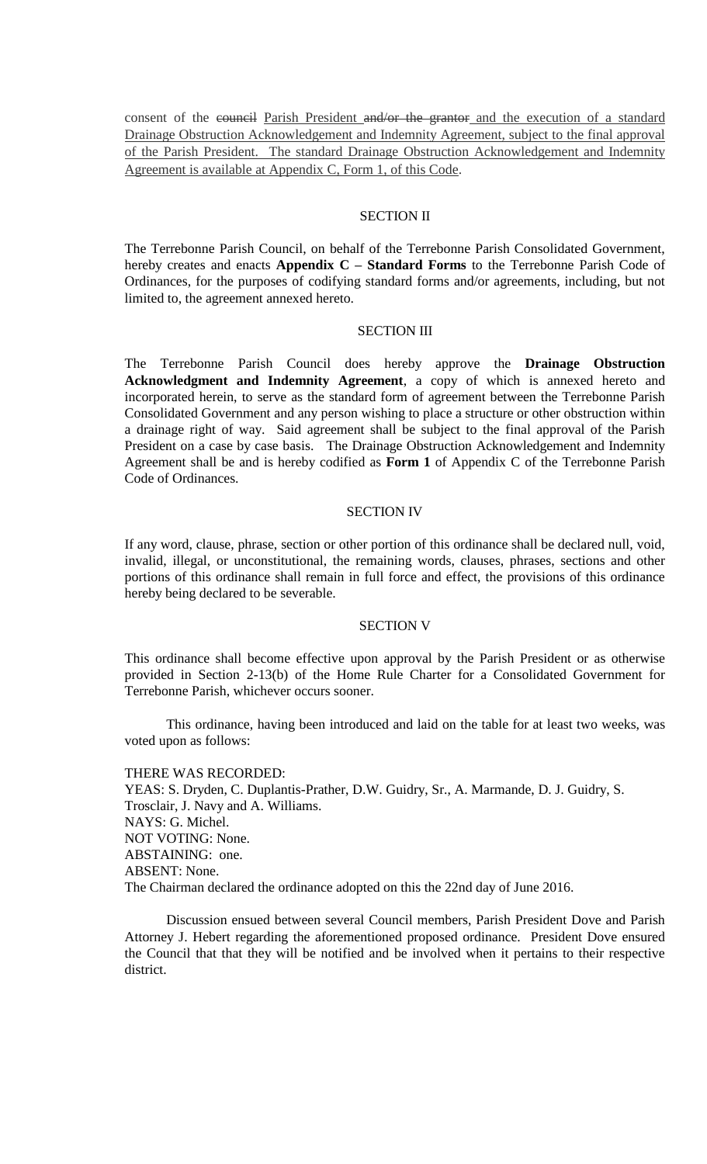consent of the eouncil Parish President and/or the grantor and the execution of a standard Drainage Obstruction Acknowledgement and Indemnity Agreement, subject to the final approval of the Parish President. The standard Drainage Obstruction Acknowledgement and Indemnity Agreement is available at Appendix C, Form 1, of this Code.

#### SECTION II

The Terrebonne Parish Council, on behalf of the Terrebonne Parish Consolidated Government, hereby creates and enacts **Appendix C – Standard Forms** to the Terrebonne Parish Code of Ordinances, for the purposes of codifying standard forms and/or agreements, including, but not limited to, the agreement annexed hereto.

#### SECTION III

The Terrebonne Parish Council does hereby approve the **Drainage Obstruction Acknowledgment and Indemnity Agreement**, a copy of which is annexed hereto and incorporated herein, to serve as the standard form of agreement between the Terrebonne Parish Consolidated Government and any person wishing to place a structure or other obstruction within a drainage right of way. Said agreement shall be subject to the final approval of the Parish President on a case by case basis. The Drainage Obstruction Acknowledgement and Indemnity Agreement shall be and is hereby codified as **Form 1** of Appendix C of the Terrebonne Parish Code of Ordinances.

## SECTION IV

If any word, clause, phrase, section or other portion of this ordinance shall be declared null, void, invalid, illegal, or unconstitutional, the remaining words, clauses, phrases, sections and other portions of this ordinance shall remain in full force and effect, the provisions of this ordinance hereby being declared to be severable.

## SECTION V

This ordinance shall become effective upon approval by the Parish President or as otherwise provided in Section 2-13(b) of the Home Rule Charter for a Consolidated Government for Terrebonne Parish, whichever occurs sooner.

This ordinance, having been introduced and laid on the table for at least two weeks, was voted upon as follows:

THERE WAS RECORDED: YEAS: S. Dryden, C. Duplantis-Prather, D.W. Guidry, Sr., A. Marmande, D. J. Guidry, S. Trosclair, J. Navy and A. Williams. NAYS: G. Michel. NOT VOTING: None. ABSTAINING: one. ABSENT: None. The Chairman declared the ordinance adopted on this the 22nd day of June 2016.

Discussion ensued between several Council members, Parish President Dove and Parish Attorney J. Hebert regarding the aforementioned proposed ordinance. President Dove ensured the Council that that they will be notified and be involved when it pertains to their respective district.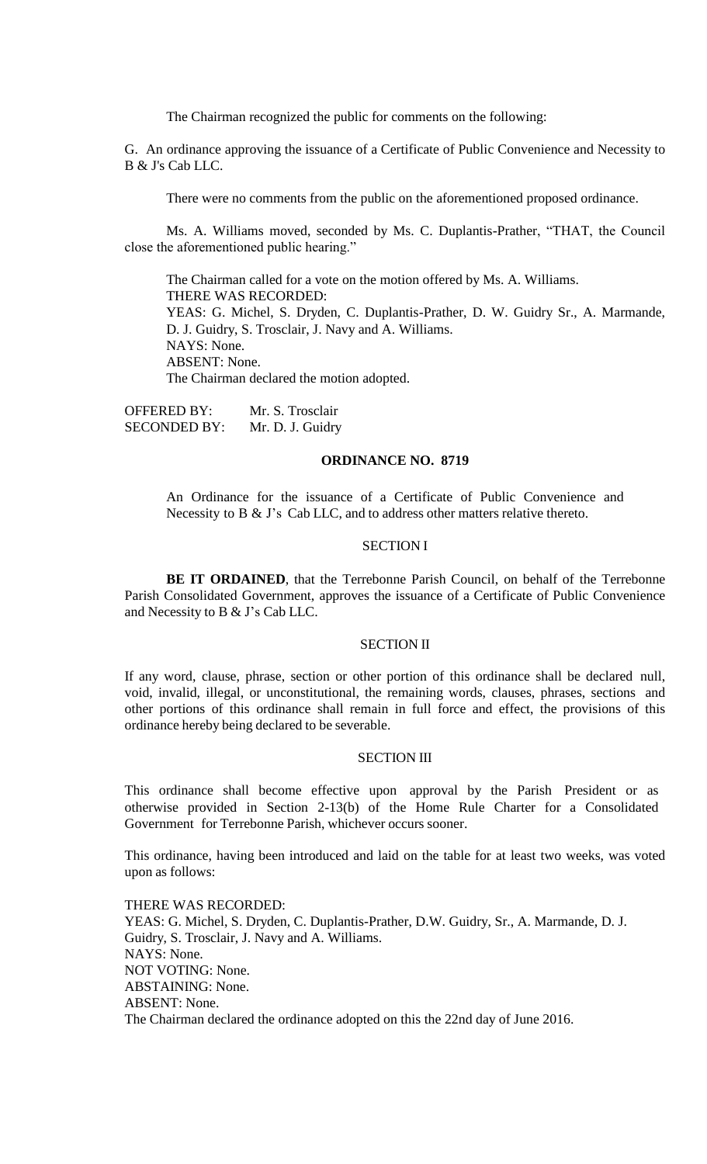The Chairman recognized the public for comments on the following:

G. An ordinance approving the issuance of a Certificate of Public Convenience and Necessity to B & J's Cab LLC.

There were no comments from the public on the aforementioned proposed ordinance.

Ms. A. Williams moved, seconded by Ms. C. Duplantis-Prather, "THAT, the Council close the aforementioned public hearing."

The Chairman called for a vote on the motion offered by Ms. A. Williams. THERE WAS RECORDED: YEAS: G. Michel, S. Dryden, C. Duplantis-Prather, D. W. Guidry Sr., A. Marmande, D. J. Guidry, S. Trosclair, J. Navy and A. Williams. NAYS: None. ABSENT: None. The Chairman declared the motion adopted.

OFFERED BY: Mr. S. Trosclair SECONDED BY: Mr. D. J. Guidry

# **ORDINANCE NO. 8719**

An Ordinance for the issuance of a Certificate of Public Convenience and Necessity to B & J's Cab LLC, and to address other matters relative thereto.

#### SECTION I

**BE IT ORDAINED**, that the Terrebonne Parish Council, on behalf of the Terrebonne Parish Consolidated Government, approves the issuance of a Certificate of Public Convenience and Necessity to B & J's Cab LLC.

# SECTION II

If any word, clause, phrase, section or other portion of this ordinance shall be declared null, void, invalid, illegal, or unconstitutional, the remaining words, clauses, phrases, sections and other portions of this ordinance shall remain in full force and effect, the provisions of this ordinance hereby being declared to be severable.

#### SECTION III

This ordinance shall become effective upon approval by the Parish President or as otherwise provided in Section 2-13(b) of the Home Rule Charter for a Consolidated Government for Terrebonne Parish, whichever occurs sooner.

This ordinance, having been introduced and laid on the table for at least two weeks, was voted upon as follows:

THERE WAS RECORDED: YEAS: G. Michel, S. Dryden, C. Duplantis-Prather, D.W. Guidry, Sr., A. Marmande, D. J. Guidry, S. Trosclair, J. Navy and A. Williams. NAYS: None. NOT VOTING: None. ABSTAINING: None. ABSENT: None. The Chairman declared the ordinance adopted on this the 22nd day of June 2016.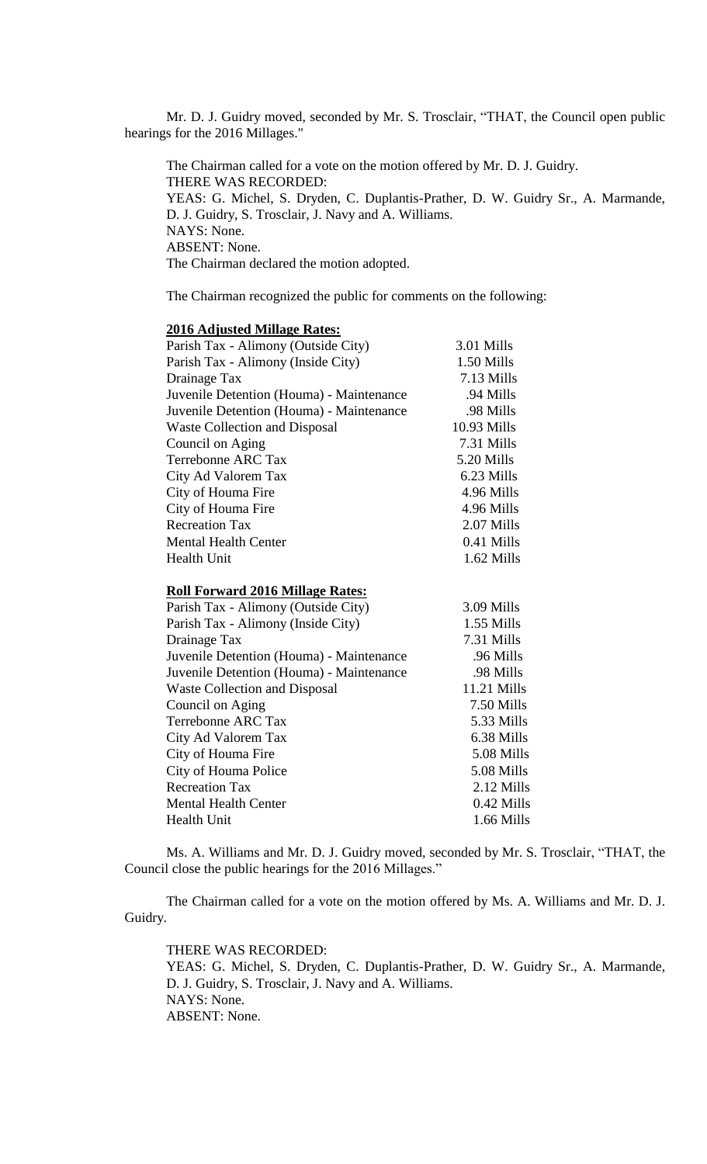Mr. D. J. Guidry moved, seconded by Mr. S. Trosclair, "THAT, the Council open public hearings for the 2016 Millages."

The Chairman called for a vote on the motion offered by Mr. D. J. Guidry. THERE WAS RECORDED: YEAS: G. Michel, S. Dryden, C. Duplantis-Prather, D. W. Guidry Sr., A. Marmande, D. J. Guidry, S. Trosclair, J. Navy and A. Williams. NAYS: None. ABSENT: None. The Chairman declared the motion adopted.

The Chairman recognized the public for comments on the following:

# **2016 Adjusted Millage Rates:** Parish Tax - Alimony (Outside City) 3.01 Mills Parish Tax - Alimony (Inside City) 1.50 Mills Drainage Tax 7.13 Mills Juvenile Detention (Houma) - Maintenance .94 Mills Juvenile Detention (Houma) - Maintenance .98 Mills Waste Collection and Disposal 10.93 Mills Council on Aging 7.31 Mills Terrebonne ARC Tax 5.20 Mills City Ad Valorem Tax 6.23 Mills City of Houma Fire 4.96 Mills City of Houma Fire 4.96 Mills Recreation Tax 2.07 Mills Mental Health Center 0.41 Mills Health Unit 1.62 Mills

#### **Roll Forward 2016 Millage Rates:**

| Parish Tax - Alimony (Outside City)      | 3.09 Mills   |
|------------------------------------------|--------------|
| Parish Tax - Alimony (Inside City)       | 1.55 Mills   |
| Drainage Tax                             | 7.31 Mills   |
| Juvenile Detention (Houma) - Maintenance | .96 Mills    |
| Juvenile Detention (Houma) - Maintenance | .98 Mills    |
| <b>Waste Collection and Disposal</b>     | 11.21 Mills  |
| Council on Aging                         | 7.50 Mills   |
| <b>Terrebonne ARC Tax</b>                | 5.33 Mills   |
| City Ad Valorem Tax                      | 6.38 Mills   |
| City of Houma Fire                       | 5.08 Mills   |
| City of Houma Police                     | 5.08 Mills   |
| <b>Recreation Tax</b>                    | 2.12 Mills   |
| Mental Health Center                     | 0.42 Mills   |
| Health Unit                              | $1.66$ Mills |

Ms. A. Williams and Mr. D. J. Guidry moved, seconded by Mr. S. Trosclair, "THAT, the Council close the public hearings for the 2016 Millages."

The Chairman called for a vote on the motion offered by Ms. A. Williams and Mr. D. J. Guidry.

# THERE WAS RECORDED:

YEAS: G. Michel, S. Dryden, C. Duplantis-Prather, D. W. Guidry Sr., A. Marmande, D. J. Guidry, S. Trosclair, J. Navy and A. Williams. NAYS: None. ABSENT: None.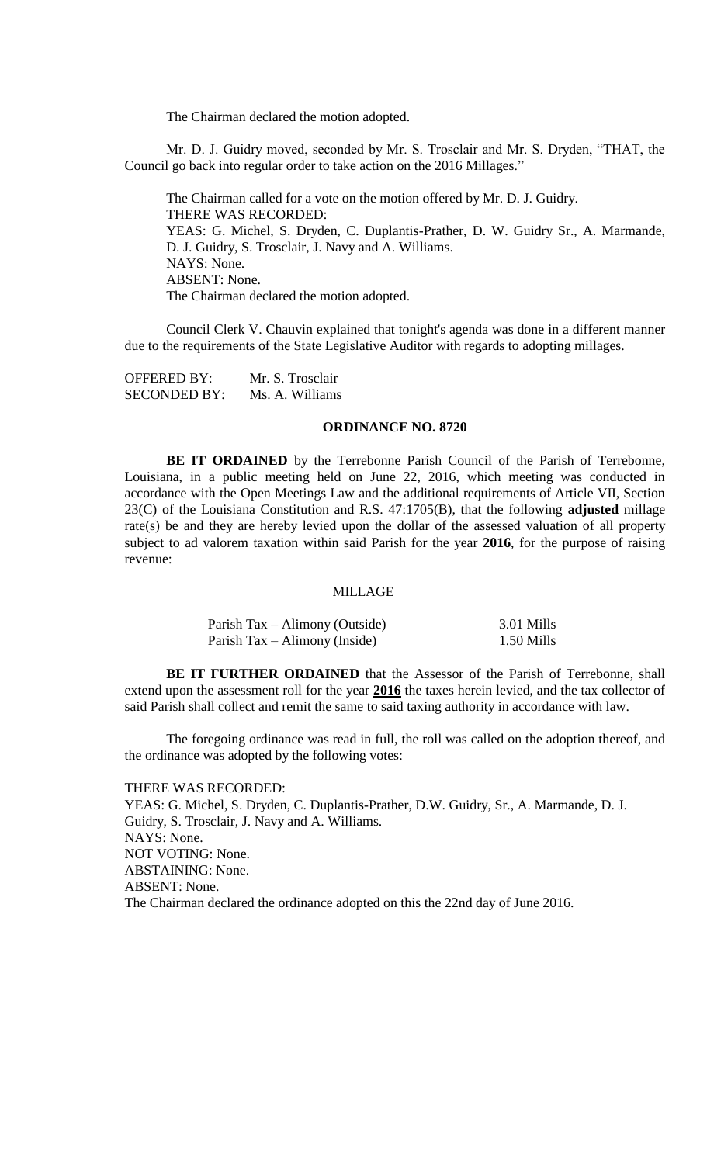The Chairman declared the motion adopted.

Mr. D. J. Guidry moved, seconded by Mr. S. Trosclair and Mr. S. Dryden, "THAT, the Council go back into regular order to take action on the 2016 Millages."

The Chairman called for a vote on the motion offered by Mr. D. J. Guidry. THERE WAS RECORDED: YEAS: G. Michel, S. Dryden, C. Duplantis-Prather, D. W. Guidry Sr., A. Marmande, D. J. Guidry, S. Trosclair, J. Navy and A. Williams. NAYS: None. ABSENT: None. The Chairman declared the motion adopted.

Council Clerk V. Chauvin explained that tonight's agenda was done in a different manner due to the requirements of the State Legislative Auditor with regards to adopting millages.

| <b>OFFERED BY:</b>  | Mr. S. Trosclair |
|---------------------|------------------|
| <b>SECONDED BY:</b> | Ms. A. Williams  |

#### **ORDINANCE NO. 8720**

**BE IT ORDAINED** by the Terrebonne Parish Council of the Parish of Terrebonne, Louisiana, in a public meeting held on June 22, 2016, which meeting was conducted in accordance with the Open Meetings Law and the additional requirements of Article VII, Section 23(C) of the Louisiana Constitution and R.S. 47:1705(B), that the following **adjusted** millage rate(s) be and they are hereby levied upon the dollar of the assessed valuation of all property subject to ad valorem taxation within said Parish for the year **2016**, for the purpose of raising revenue:

#### MILLAGE

| Parish Tax – Alimony (Outside) | 3.01 Mills |
|--------------------------------|------------|
| Parish Tax – Alimony (Inside)  | 1.50 Mills |

**BE IT FURTHER ORDAINED** that the Assessor of the Parish of Terrebonne, shall extend upon the assessment roll for the year **2016** the taxes herein levied, and the tax collector of said Parish shall collect and remit the same to said taxing authority in accordance with law.

The foregoing ordinance was read in full, the roll was called on the adoption thereof, and the ordinance was adopted by the following votes:

THERE WAS RECORDED: YEAS: G. Michel, S. Dryden, C. Duplantis-Prather, D.W. Guidry, Sr., A. Marmande, D. J. Guidry, S. Trosclair, J. Navy and A. Williams. NAYS: None. NOT VOTING: None. ABSTAINING: None. ABSENT: None. The Chairman declared the ordinance adopted on this the 22nd day of June 2016.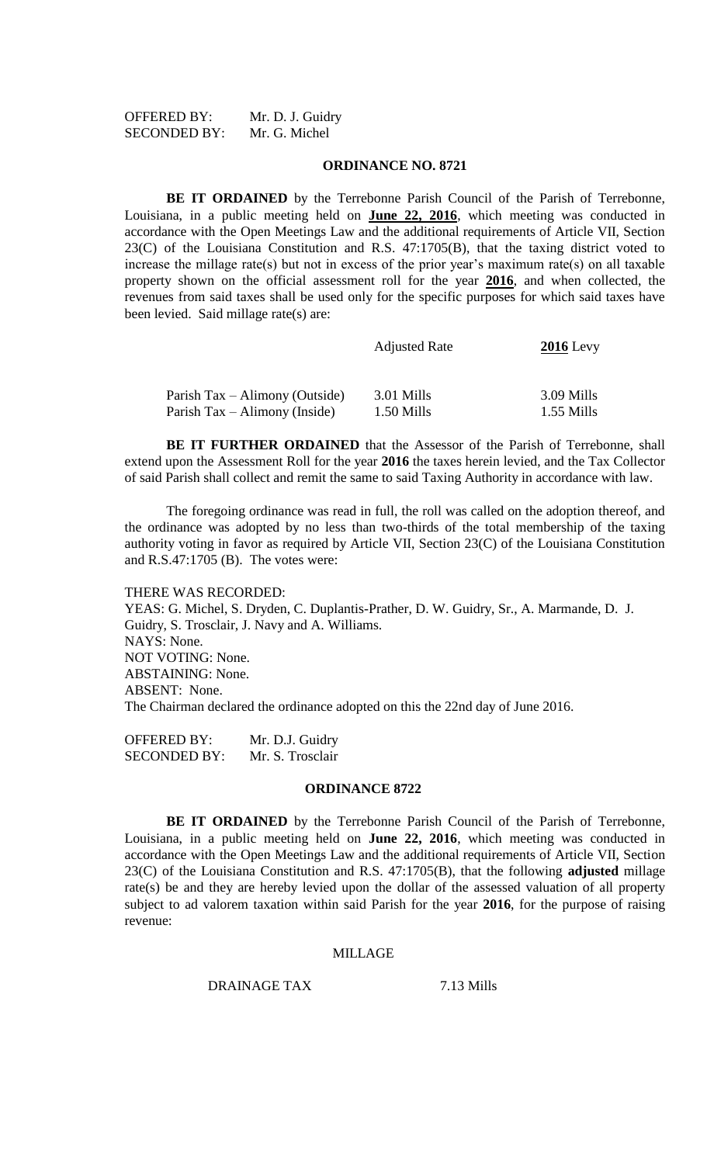| <b>OFFERED BY:</b>  | Mr. D. J. Guidry |
|---------------------|------------------|
| <b>SECONDED BY:</b> | Mr. G. Michel    |

#### **ORDINANCE NO. 8721**

**BE IT ORDAINED** by the Terrebonne Parish Council of the Parish of Terrebonne, Louisiana, in a public meeting held on **June 22, 2016**, which meeting was conducted in accordance with the Open Meetings Law and the additional requirements of Article VII, Section 23(C) of the Louisiana Constitution and R.S. 47:1705(B), that the taxing district voted to increase the millage rate(s) but not in excess of the prior year's maximum rate(s) on all taxable property shown on the official assessment roll for the year **2016**, and when collected, the revenues from said taxes shall be used only for the specific purposes for which said taxes have been levied. Said millage rate(s) are:

|                                | <b>Adjusted Rate</b> | $2016$ Levy  |
|--------------------------------|----------------------|--------------|
| Parish Tax – Alimony (Outside) | 3.01 Mills           | 3.09 Mills   |
| Parish Tax – Alimony (Inside)  | 1.50 Mills           | $1.55$ Mills |

**BE IT FURTHER ORDAINED** that the Assessor of the Parish of Terrebonne, shall extend upon the Assessment Roll for the year **2016** the taxes herein levied, and the Tax Collector of said Parish shall collect and remit the same to said Taxing Authority in accordance with law.

The foregoing ordinance was read in full, the roll was called on the adoption thereof, and the ordinance was adopted by no less than two-thirds of the total membership of the taxing authority voting in favor as required by Article VII, Section 23(C) of the Louisiana Constitution and R.S.47:1705 (B). The votes were:

## THERE WAS RECORDED:

YEAS: G. Michel, S. Dryden, C. Duplantis-Prather, D. W. Guidry, Sr., A. Marmande, D. J. Guidry, S. Trosclair, J. Navy and A. Williams. NAYS: None. NOT VOTING: None. ABSTAINING: None. ABSENT: None. The Chairman declared the ordinance adopted on this the 22nd day of June 2016.

OFFERED BY: Mr. D.J. Guidry SECONDED BY: Mr. S. Trosclair

# **ORDINANCE 8722**

**BE IT ORDAINED** by the Terrebonne Parish Council of the Parish of Terrebonne, Louisiana, in a public meeting held on **June 22, 2016**, which meeting was conducted in accordance with the Open Meetings Law and the additional requirements of Article VII, Section 23(C) of the Louisiana Constitution and R.S. 47:1705(B), that the following **adjusted** millage rate(s) be and they are hereby levied upon the dollar of the assessed valuation of all property subject to ad valorem taxation within said Parish for the year **2016**, for the purpose of raising revenue:

#### MILLAGE

DRAINAGE TAX 7.13 Mills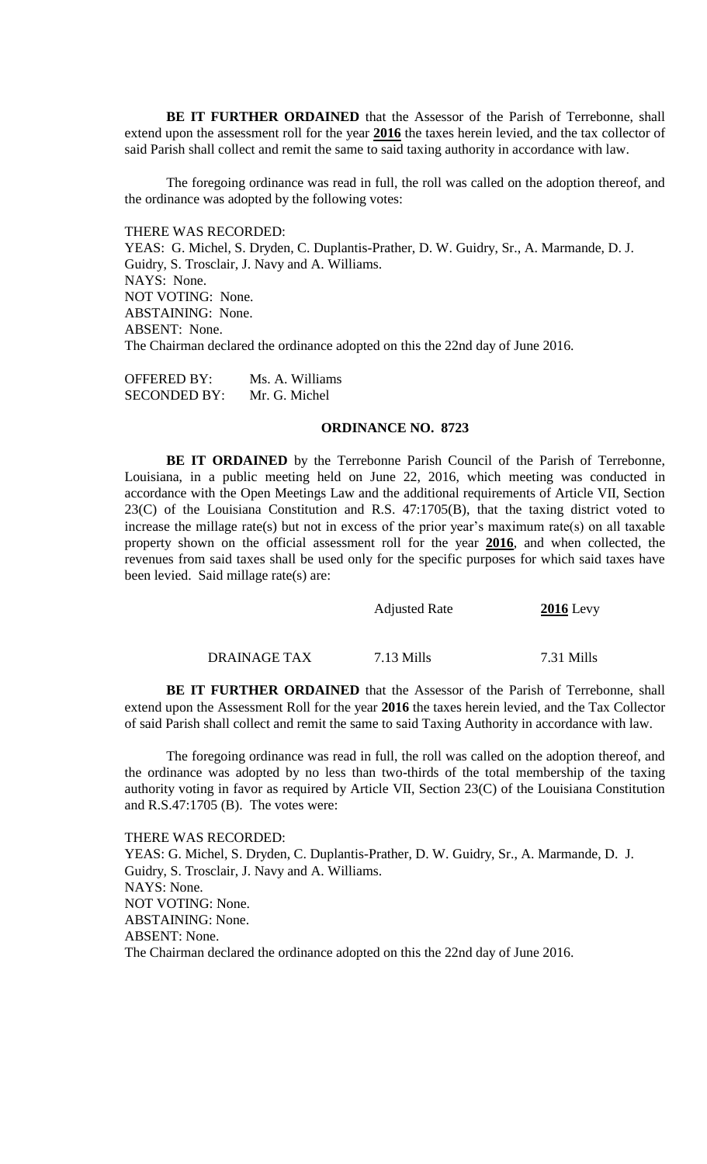**BE IT FURTHER ORDAINED** that the Assessor of the Parish of Terrebonne, shall extend upon the assessment roll for the year **2016** the taxes herein levied, and the tax collector of said Parish shall collect and remit the same to said taxing authority in accordance with law.

The foregoing ordinance was read in full, the roll was called on the adoption thereof, and the ordinance was adopted by the following votes:

THERE WAS RECORDED:

YEAS: G. Michel, S. Dryden, C. Duplantis-Prather, D. W. Guidry, Sr., A. Marmande, D. J. Guidry, S. Trosclair, J. Navy and A. Williams. NAYS: None. NOT VOTING: None. ABSTAINING: None. ABSENT: None. The Chairman declared the ordinance adopted on this the 22nd day of June 2016.

OFFERED BY: Ms. A. Williams SECONDED BY: Mr. G. Michel

#### **ORDINANCE NO. 8723**

**BE IT ORDAINED** by the Terrebonne Parish Council of the Parish of Terrebonne, Louisiana, in a public meeting held on June 22, 2016, which meeting was conducted in accordance with the Open Meetings Law and the additional requirements of Article VII, Section 23(C) of the Louisiana Constitution and R.S. 47:1705(B), that the taxing district voted to increase the millage rate(s) but not in excess of the prior year's maximum rate(s) on all taxable property shown on the official assessment roll for the year **2016**, and when collected, the revenues from said taxes shall be used only for the specific purposes for which said taxes have been levied. Said millage rate(s) are:

| <b>Adjusted Rate</b> | $2016$ Levy |
|----------------------|-------------|
|                      |             |

DRAINAGE TAX 7.13 Mills 7.31 Mills

**BE IT FURTHER ORDAINED** that the Assessor of the Parish of Terrebonne, shall extend upon the Assessment Roll for the year **2016** the taxes herein levied, and the Tax Collector of said Parish shall collect and remit the same to said Taxing Authority in accordance with law.

The foregoing ordinance was read in full, the roll was called on the adoption thereof, and the ordinance was adopted by no less than two-thirds of the total membership of the taxing authority voting in favor as required by Article VII, Section 23(C) of the Louisiana Constitution and R.S.47:1705 (B). The votes were:

THERE WAS RECORDED:

YEAS: G. Michel, S. Dryden, C. Duplantis-Prather, D. W. Guidry, Sr., A. Marmande, D. J. Guidry, S. Trosclair, J. Navy and A. Williams. NAYS: None. NOT VOTING: None. ABSTAINING: None. ABSENT: None. The Chairman declared the ordinance adopted on this the 22nd day of June 2016.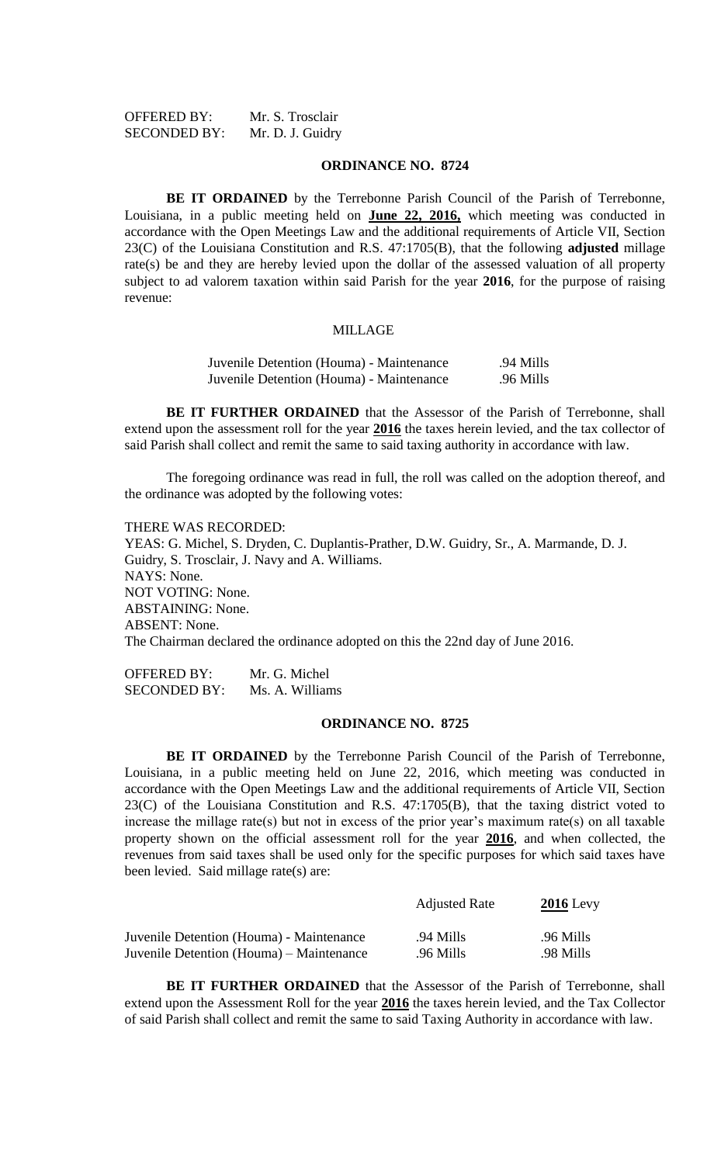| <b>OFFERED BY:</b>  | Mr. S. Trosclair |
|---------------------|------------------|
| <b>SECONDED BY:</b> | Mr. D. J. Guidry |

#### **ORDINANCE NO. 8724**

**BE IT ORDAINED** by the Terrebonne Parish Council of the Parish of Terrebonne, Louisiana, in a public meeting held on **June 22, 2016,** which meeting was conducted in accordance with the Open Meetings Law and the additional requirements of Article VII, Section 23(C) of the Louisiana Constitution and R.S. 47:1705(B), that the following **adjusted** millage rate(s) be and they are hereby levied upon the dollar of the assessed valuation of all property subject to ad valorem taxation within said Parish for the year **2016**, for the purpose of raising revenue:

#### MILLAGE

| Juvenile Detention (Houma) - Maintenance | .94 Mills |
|------------------------------------------|-----------|
| Juvenile Detention (Houma) - Maintenance | .96 Mills |

**BE IT FURTHER ORDAINED** that the Assessor of the Parish of Terrebonne, shall extend upon the assessment roll for the year **2016** the taxes herein levied, and the tax collector of said Parish shall collect and remit the same to said taxing authority in accordance with law.

The foregoing ordinance was read in full, the roll was called on the adoption thereof, and the ordinance was adopted by the following votes:

THERE WAS RECORDED: YEAS: G. Michel, S. Dryden, C. Duplantis-Prather, D.W. Guidry, Sr., A. Marmande, D. J. Guidry, S. Trosclair, J. Navy and A. Williams. NAYS: None. NOT VOTING: None. ABSTAINING: None. ABSENT: None. The Chairman declared the ordinance adopted on this the 22nd day of June 2016.

OFFERED BY: Mr. G. Michel SECONDED BY: Ms. A. Williams

#### **ORDINANCE NO. 8725**

**BE IT ORDAINED** by the Terrebonne Parish Council of the Parish of Terrebonne, Louisiana, in a public meeting held on June 22, 2016, which meeting was conducted in accordance with the Open Meetings Law and the additional requirements of Article VII, Section 23(C) of the Louisiana Constitution and R.S. 47:1705(B), that the taxing district voted to increase the millage rate(s) but not in excess of the prior year's maximum rate(s) on all taxable property shown on the official assessment roll for the year **2016**, and when collected, the revenues from said taxes shall be used only for the specific purposes for which said taxes have been levied. Said millage rate(s) are:

|                                          | <b>Adjusted Rate</b> | $2016$ Levy |  |
|------------------------------------------|----------------------|-------------|--|
| Juvenile Detention (Houma) - Maintenance | .94 Mills            | .96 Mills   |  |
| Juvenile Detention (Houma) – Maintenance | .96 Mills            | .98 Mills   |  |

**BE IT FURTHER ORDAINED** that the Assessor of the Parish of Terrebonne, shall extend upon the Assessment Roll for the year **2016** the taxes herein levied, and the Tax Collector of said Parish shall collect and remit the same to said Taxing Authority in accordance with law.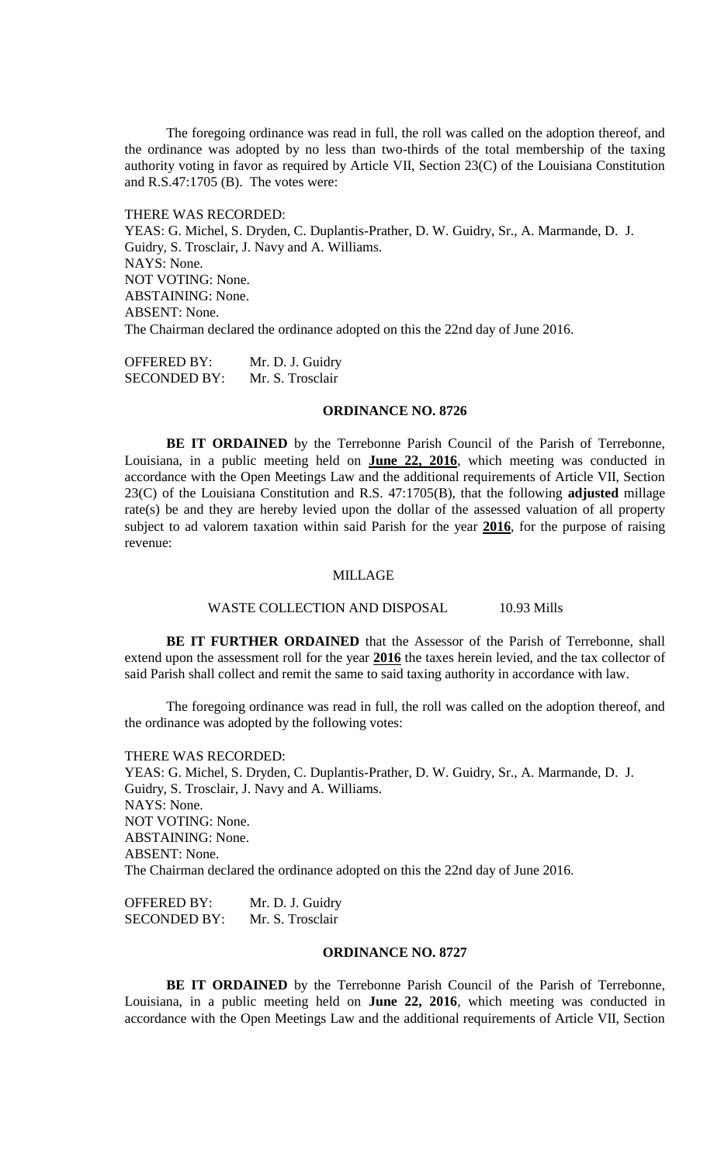The foregoing ordinance was read in full, the roll was called on the adoption thereof, and the ordinance was adopted by no less than two-thirds of the total membership of the taxing authority voting in favor as required by Article VII, Section 23(C) of the Louisiana Constitution and R.S.47:1705 (B). The votes were:

#### THERE WAS RECORDED:

YEAS: G. Michel, S. Dryden, C. Duplantis-Prather, D. W. Guidry, Sr., A. Marmande, D. J. Guidry, S. Trosclair, J. Navy and A. Williams. NAYS: None. NOT VOTING: None. ABSTAINING: None. ABSENT: None. The Chairman declared the ordinance adopted on this the 22nd day of June 2016.

OFFERED BY: Mr. D. J. Guidry SECONDED BY: Mr. S. Trosclair

#### **ORDINANCE NO. 8726**

**BE IT ORDAINED** by the Terrebonne Parish Council of the Parish of Terrebonne, Louisiana, in a public meeting held on **June 22, 2016**, which meeting was conducted in accordance with the Open Meetings Law and the additional requirements of Article VII, Section 23(C) of the Louisiana Constitution and R.S. 47:1705(B), that the following **adjusted** millage rate(s) be and they are hereby levied upon the dollar of the assessed valuation of all property subject to ad valorem taxation within said Parish for the year **2016**, for the purpose of raising revenue:

#### MILLAGE

WASTE COLLECTION AND DISPOSAL 10.93 Mills

**BE IT FURTHER ORDAINED** that the Assessor of the Parish of Terrebonne, shall extend upon the assessment roll for the year **2016** the taxes herein levied, and the tax collector of said Parish shall collect and remit the same to said taxing authority in accordance with law.

The foregoing ordinance was read in full, the roll was called on the adoption thereof, and the ordinance was adopted by the following votes:

THERE WAS RECORDED:

YEAS: G. Michel, S. Dryden, C. Duplantis-Prather, D. W. Guidry, Sr., A. Marmande, D. J. Guidry, S. Trosclair, J. Navy and A. Williams. NAYS: None. NOT VOTING: None. ABSTAINING: None. ABSENT: None. The Chairman declared the ordinance adopted on this the 22nd day of June 2016.

OFFERED BY: Mr. D. J. Guidry SECONDED BY: Mr. S. Trosclair

# **ORDINANCE NO. 8727**

**BE IT ORDAINED** by the Terrebonne Parish Council of the Parish of Terrebonne, Louisiana, in a public meeting held on **June 22, 2016**, which meeting was conducted in accordance with the Open Meetings Law and the additional requirements of Article VII, Section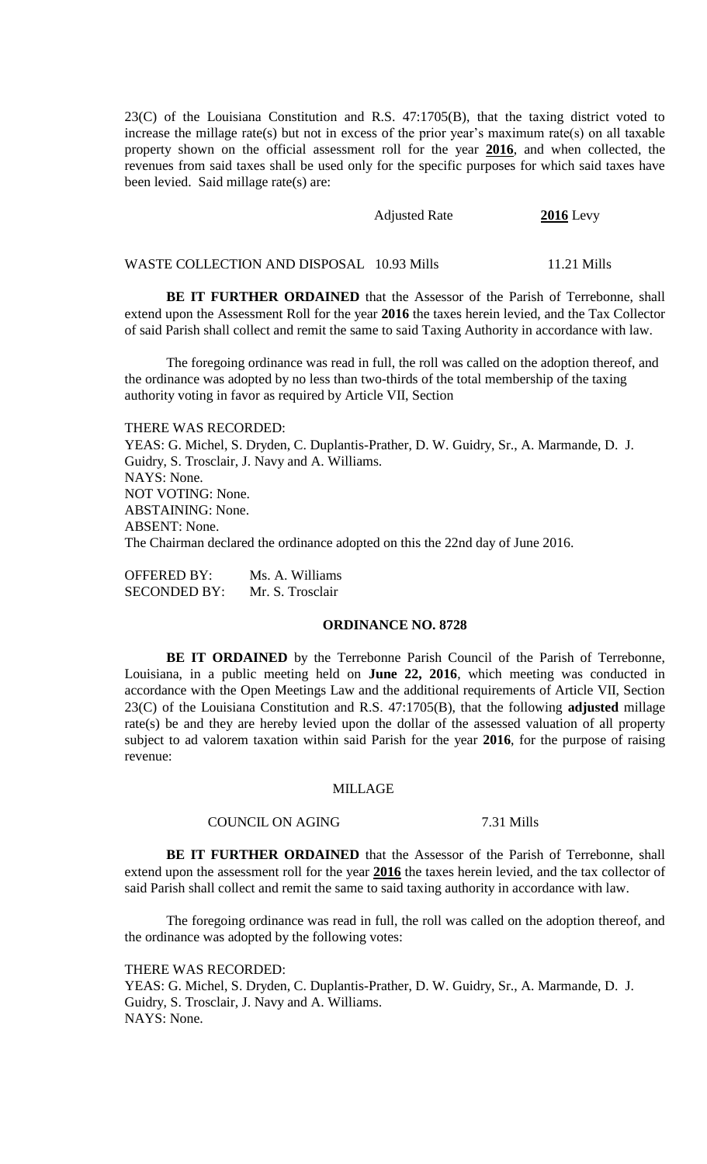23(C) of the Louisiana Constitution and R.S. 47:1705(B), that the taxing district voted to increase the millage rate(s) but not in excess of the prior year's maximum rate(s) on all taxable property shown on the official assessment roll for the year **2016**, and when collected, the revenues from said taxes shall be used only for the specific purposes for which said taxes have been levied. Said millage rate(s) are:

| <b>Adjusted Rate</b> | $2016$ Levy |
|----------------------|-------------|
|                      |             |

WASTE COLLECTION AND DISPOSAL 10.93 Mills 11.21 Mills

**BE IT FURTHER ORDAINED** that the Assessor of the Parish of Terrebonne, shall extend upon the Assessment Roll for the year **2016** the taxes herein levied, and the Tax Collector of said Parish shall collect and remit the same to said Taxing Authority in accordance with law.

The foregoing ordinance was read in full, the roll was called on the adoption thereof, and the ordinance was adopted by no less than two-thirds of the total membership of the taxing authority voting in favor as required by Article VII, Section

#### THERE WAS RECORDED:

YEAS: G. Michel, S. Dryden, C. Duplantis-Prather, D. W. Guidry, Sr., A. Marmande, D. J. Guidry, S. Trosclair, J. Navy and A. Williams. NAYS: None. NOT VOTING: None. ABSTAINING: None. ABSENT: None. The Chairman declared the ordinance adopted on this the 22nd day of June 2016.

OFFERED BY: Ms. A. Williams SECONDED BY: Mr. S. Trosclair

# **ORDINANCE NO. 8728**

**BE IT ORDAINED** by the Terrebonne Parish Council of the Parish of Terrebonne, Louisiana, in a public meeting held on **June 22, 2016**, which meeting was conducted in accordance with the Open Meetings Law and the additional requirements of Article VII, Section 23(C) of the Louisiana Constitution and R.S. 47:1705(B), that the following **adjusted** millage rate(s) be and they are hereby levied upon the dollar of the assessed valuation of all property subject to ad valorem taxation within said Parish for the year **2016**, for the purpose of raising revenue:

#### MILLAGE

#### COUNCIL ON AGING 7.31 Mills

**BE IT FURTHER ORDAINED** that the Assessor of the Parish of Terrebonne, shall extend upon the assessment roll for the year **2016** the taxes herein levied, and the tax collector of said Parish shall collect and remit the same to said taxing authority in accordance with law.

The foregoing ordinance was read in full, the roll was called on the adoption thereof, and the ordinance was adopted by the following votes:

THERE WAS RECORDED:

YEAS: G. Michel, S. Dryden, C. Duplantis-Prather, D. W. Guidry, Sr., A. Marmande, D. J. Guidry, S. Trosclair, J. Navy and A. Williams. NAYS: None.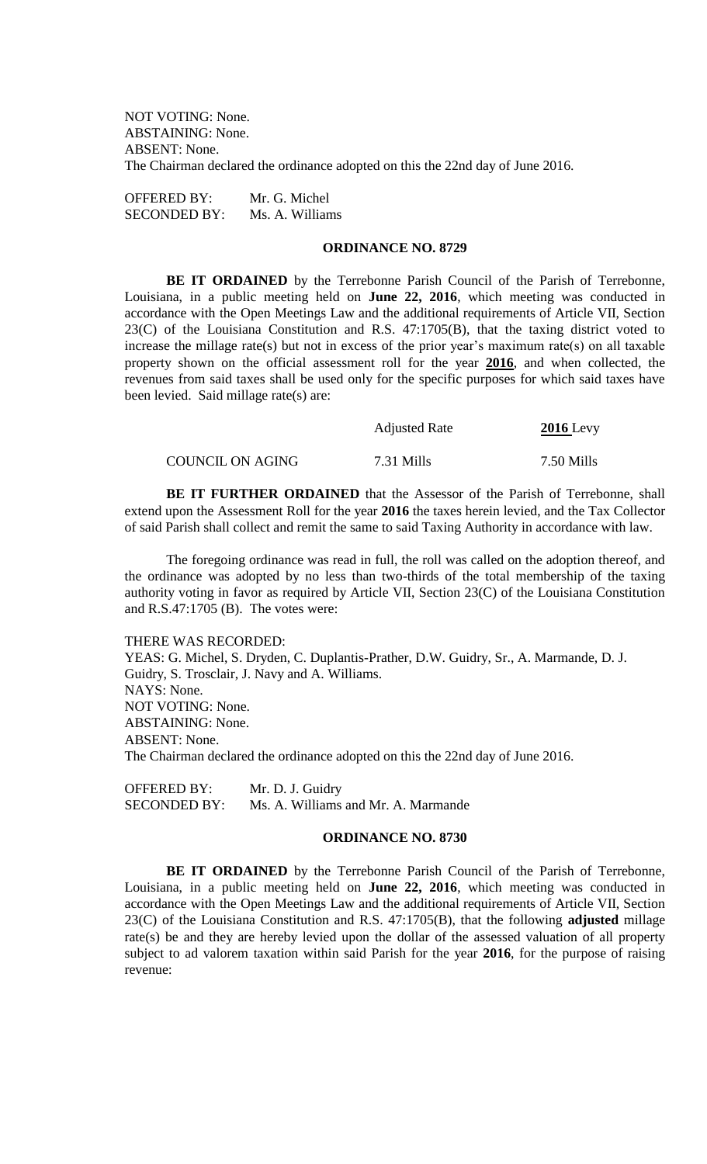NOT VOTING: None. ABSTAINING: None. ABSENT: None. The Chairman declared the ordinance adopted on this the 22nd day of June 2016.

OFFERED BY: Mr. G. Michel SECONDED BY: Ms. A. Williams

#### **ORDINANCE NO. 8729**

**BE IT ORDAINED** by the Terrebonne Parish Council of the Parish of Terrebonne, Louisiana, in a public meeting held on **June 22, 2016**, which meeting was conducted in accordance with the Open Meetings Law and the additional requirements of Article VII, Section 23(C) of the Louisiana Constitution and R.S. 47:1705(B), that the taxing district voted to increase the millage rate(s) but not in excess of the prior year's maximum rate(s) on all taxable property shown on the official assessment roll for the year **2016**, and when collected, the revenues from said taxes shall be used only for the specific purposes for which said taxes have been levied. Said millage rate(s) are:

|                  | <b>Adjusted Rate</b> | $2016$ Levy |
|------------------|----------------------|-------------|
| COUNCIL ON AGING | 7.31 Mills           | 7.50 Mills  |

**BE IT FURTHER ORDAINED** that the Assessor of the Parish of Terrebonne, shall extend upon the Assessment Roll for the year **2016** the taxes herein levied, and the Tax Collector of said Parish shall collect and remit the same to said Taxing Authority in accordance with law.

The foregoing ordinance was read in full, the roll was called on the adoption thereof, and the ordinance was adopted by no less than two-thirds of the total membership of the taxing authority voting in favor as required by Article VII, Section 23(C) of the Louisiana Constitution and R.S.47:1705 (B). The votes were:

#### THERE WAS RECORDED:

YEAS: G. Michel, S. Dryden, C. Duplantis-Prather, D.W. Guidry, Sr., A. Marmande, D. J. Guidry, S. Trosclair, J. Navy and A. Williams. NAYS: None. NOT VOTING: None. ABSTAINING: None. ABSENT: None. The Chairman declared the ordinance adopted on this the 22nd day of June 2016.

OFFERED BY: Mr. D. J. Guidry SECONDED BY: Ms. A. Williams and Mr. A. Marmande

#### **ORDINANCE NO. 8730**

**BE IT ORDAINED** by the Terrebonne Parish Council of the Parish of Terrebonne, Louisiana, in a public meeting held on **June 22, 2016**, which meeting was conducted in accordance with the Open Meetings Law and the additional requirements of Article VII, Section 23(C) of the Louisiana Constitution and R.S. 47:1705(B), that the following **adjusted** millage rate(s) be and they are hereby levied upon the dollar of the assessed valuation of all property subject to ad valorem taxation within said Parish for the year **2016**, for the purpose of raising revenue: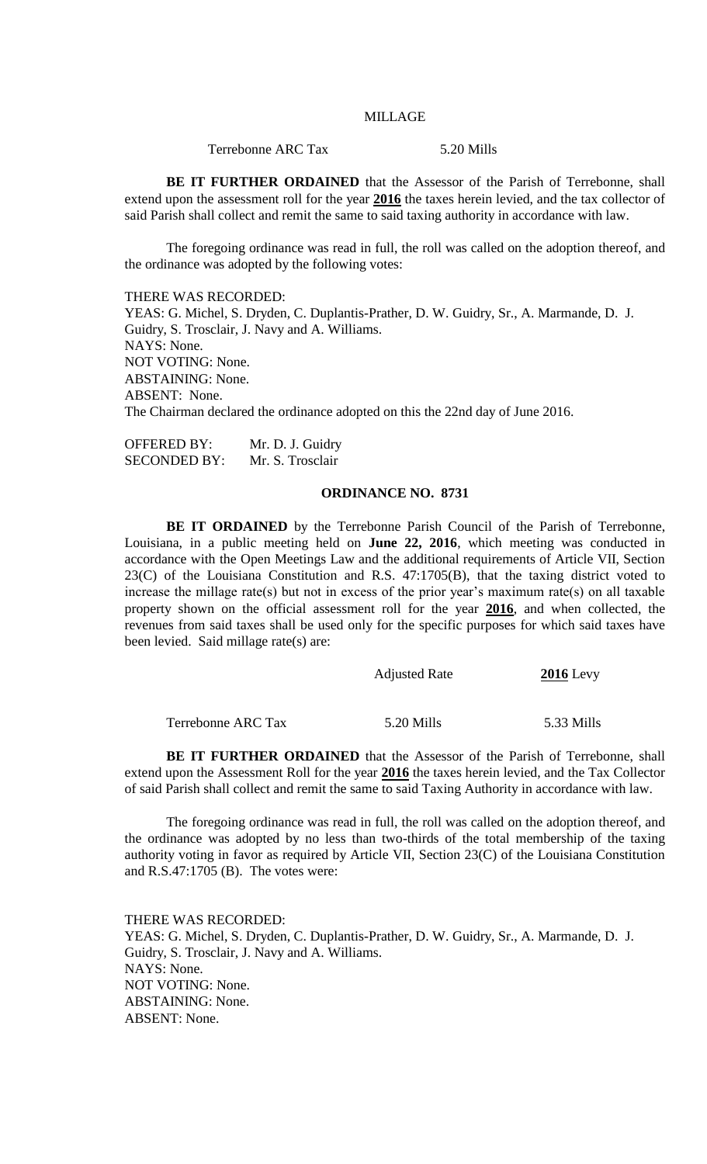## MILLAGE

Terrebonne ARC Tax 5.20 Mills

**BE IT FURTHER ORDAINED** that the Assessor of the Parish of Terrebonne, shall extend upon the assessment roll for the year **2016** the taxes herein levied, and the tax collector of said Parish shall collect and remit the same to said taxing authority in accordance with law.

The foregoing ordinance was read in full, the roll was called on the adoption thereof, and the ordinance was adopted by the following votes:

THERE WAS RECORDED:

YEAS: G. Michel, S. Dryden, C. Duplantis-Prather, D. W. Guidry, Sr., A. Marmande, D. J. Guidry, S. Trosclair, J. Navy and A. Williams. NAYS: None. NOT VOTING: None. ABSTAINING: None. ABSENT: None. The Chairman declared the ordinance adopted on this the 22nd day of June 2016.

OFFERED BY: Mr. D. J. Guidry SECONDED BY: Mr. S. Trosclair

# **ORDINANCE NO. 8731**

**BE IT ORDAINED** by the Terrebonne Parish Council of the Parish of Terrebonne, Louisiana, in a public meeting held on **June 22, 2016**, which meeting was conducted in accordance with the Open Meetings Law and the additional requirements of Article VII, Section 23(C) of the Louisiana Constitution and R.S. 47:1705(B), that the taxing district voted to increase the millage rate(s) but not in excess of the prior year's maximum rate(s) on all taxable property shown on the official assessment roll for the year **2016**, and when collected, the revenues from said taxes shall be used only for the specific purposes for which said taxes have been levied. Said millage rate(s) are:

|                           | <b>Adjusted Rate</b> | $2016$ Levy |
|---------------------------|----------------------|-------------|
| <b>Terrebonne ARC Tax</b> | 5.20 Mills           | 5.33 Mills  |

**BE IT FURTHER ORDAINED** that the Assessor of the Parish of Terrebonne, shall extend upon the Assessment Roll for the year **2016** the taxes herein levied, and the Tax Collector of said Parish shall collect and remit the same to said Taxing Authority in accordance with law.

The foregoing ordinance was read in full, the roll was called on the adoption thereof, and the ordinance was adopted by no less than two-thirds of the total membership of the taxing authority voting in favor as required by Article VII, Section 23(C) of the Louisiana Constitution and R.S.47:1705 (B). The votes were:

THERE WAS RECORDED: YEAS: G. Michel, S. Dryden, C. Duplantis-Prather, D. W. Guidry, Sr., A. Marmande, D. J. Guidry, S. Trosclair, J. Navy and A. Williams. NAYS: None. NOT VOTING: None. ABSTAINING: None. ABSENT: None.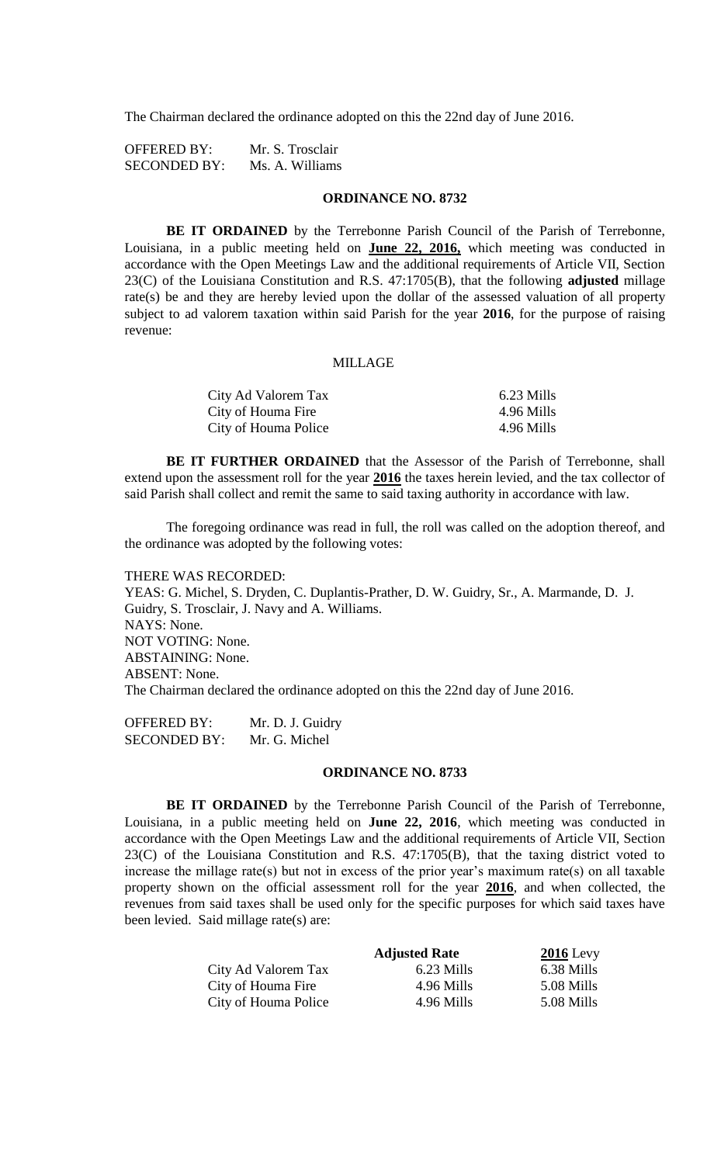The Chairman declared the ordinance adopted on this the 22nd day of June 2016.

| <b>OFFERED BY:</b>  | Mr. S. Trosclair |
|---------------------|------------------|
| <b>SECONDED BY:</b> | Ms. A. Williams  |

#### **ORDINANCE NO. 8732**

**BE IT ORDAINED** by the Terrebonne Parish Council of the Parish of Terrebonne, Louisiana, in a public meeting held on **June 22, 2016,** which meeting was conducted in accordance with the Open Meetings Law and the additional requirements of Article VII, Section 23(C) of the Louisiana Constitution and R.S. 47:1705(B), that the following **adjusted** millage rate(s) be and they are hereby levied upon the dollar of the assessed valuation of all property subject to ad valorem taxation within said Parish for the year **2016**, for the purpose of raising revenue:

#### MILLAGE

| City Ad Valorem Tax  | 6.23 Mills |
|----------------------|------------|
| City of Houma Fire   | 4.96 Mills |
| City of Houma Police | 4.96 Mills |

**BE IT FURTHER ORDAINED** that the Assessor of the Parish of Terrebonne, shall extend upon the assessment roll for the year **2016** the taxes herein levied, and the tax collector of said Parish shall collect and remit the same to said taxing authority in accordance with law.

The foregoing ordinance was read in full, the roll was called on the adoption thereof, and the ordinance was adopted by the following votes:

#### THERE WAS RECORDED:

YEAS: G. Michel, S. Dryden, C. Duplantis-Prather, D. W. Guidry, Sr., A. Marmande, D. J. Guidry, S. Trosclair, J. Navy and A. Williams. NAYS: None. NOT VOTING: None. ABSTAINING: None. ABSENT: None. The Chairman declared the ordinance adopted on this the 22nd day of June 2016.

OFFERED BY: Mr. D. J. Guidry SECONDED BY: Mr. G. Michel

#### **ORDINANCE NO. 8733**

**BE IT ORDAINED** by the Terrebonne Parish Council of the Parish of Terrebonne, Louisiana, in a public meeting held on **June 22, 2016**, which meeting was conducted in accordance with the Open Meetings Law and the additional requirements of Article VII, Section 23(C) of the Louisiana Constitution and R.S. 47:1705(B), that the taxing district voted to increase the millage rate(s) but not in excess of the prior year's maximum rate(s) on all taxable property shown on the official assessment roll for the year **2016**, and when collected, the revenues from said taxes shall be used only for the specific purposes for which said taxes have been levied. Said millage rate(s) are:

|                      | <b>Adjusted Rate</b> | $2016$ Levy |
|----------------------|----------------------|-------------|
| City Ad Valorem Tax  | 6.23 Mills           | 6.38 Mills  |
| City of Houma Fire   | 4.96 Mills           | 5.08 Mills  |
| City of Houma Police | 4.96 Mills           | 5.08 Mills  |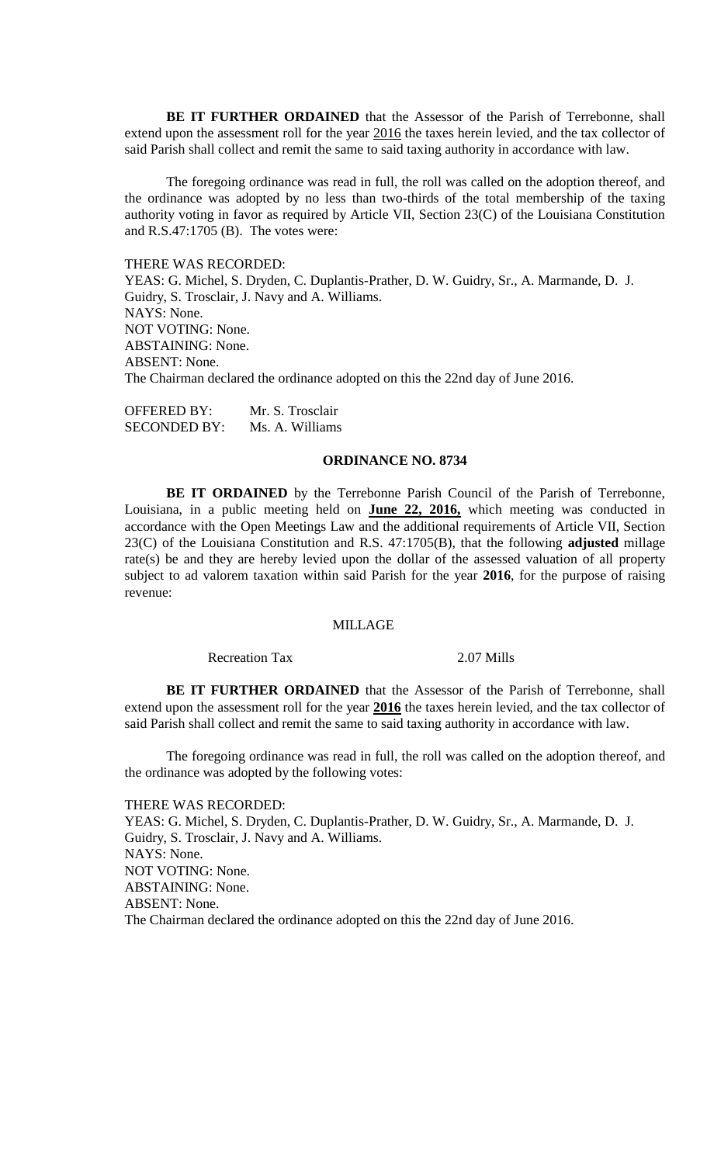**BE IT FURTHER ORDAINED** that the Assessor of the Parish of Terrebonne, shall extend upon the assessment roll for the year 2016 the taxes herein levied, and the tax collector of said Parish shall collect and remit the same to said taxing authority in accordance with law.

The foregoing ordinance was read in full, the roll was called on the adoption thereof, and the ordinance was adopted by no less than two-thirds of the total membership of the taxing authority voting in favor as required by Article VII, Section 23(C) of the Louisiana Constitution and R.S.47:1705 (B). The votes were:

THERE WAS RECORDED: YEAS: G. Michel, S. Dryden, C. Duplantis-Prather, D. W. Guidry, Sr., A. Marmande, D. J. Guidry, S. Trosclair, J. Navy and A. Williams. NAYS: None. NOT VOTING: None. ABSTAINING: None. ABSENT: None. The Chairman declared the ordinance adopted on this the 22nd day of June 2016.

OFFERED BY: Mr. S. Trosclair SECONDED BY: Ms. A. Williams

# **ORDINANCE NO. 8734**

**BE IT ORDAINED** by the Terrebonne Parish Council of the Parish of Terrebonne, Louisiana, in a public meeting held on **June 22, 2016,** which meeting was conducted in accordance with the Open Meetings Law and the additional requirements of Article VII, Section 23(C) of the Louisiana Constitution and R.S. 47:1705(B), that the following **adjusted** millage rate(s) be and they are hereby levied upon the dollar of the assessed valuation of all property subject to ad valorem taxation within said Parish for the year **2016**, for the purpose of raising revenue:

# MILLAGE

Recreation Tax 2.07 Mills

**BE IT FURTHER ORDAINED** that the Assessor of the Parish of Terrebonne, shall extend upon the assessment roll for the year **2016** the taxes herein levied, and the tax collector of said Parish shall collect and remit the same to said taxing authority in accordance with law.

The foregoing ordinance was read in full, the roll was called on the adoption thereof, and the ordinance was adopted by the following votes:

# THERE WAS RECORDED:

YEAS: G. Michel, S. Dryden, C. Duplantis-Prather, D. W. Guidry, Sr., A. Marmande, D. J. Guidry, S. Trosclair, J. Navy and A. Williams. NAYS: None. NOT VOTING: None. ABSTAINING: None. ABSENT: None. The Chairman declared the ordinance adopted on this the 22nd day of June 2016.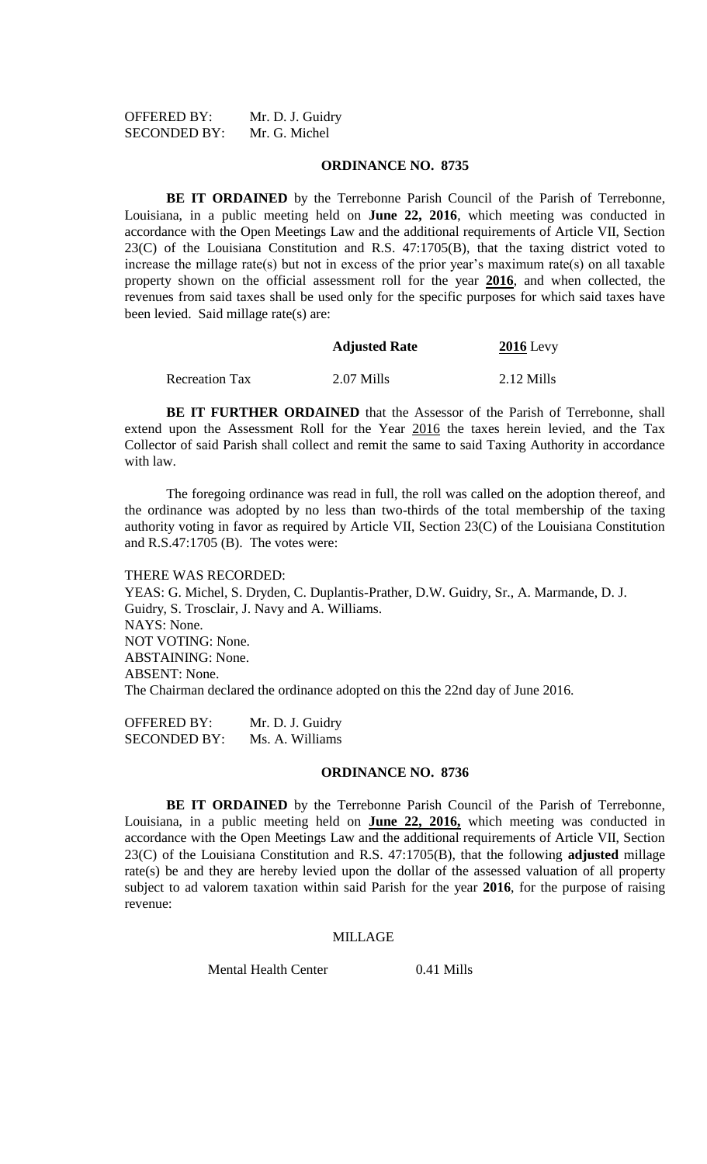| <b>OFFERED BY:</b>  | Mr. D. J. Guidry |
|---------------------|------------------|
| <b>SECONDED BY:</b> | Mr. G. Michel    |

#### **ORDINANCE NO. 8735**

**BE IT ORDAINED** by the Terrebonne Parish Council of the Parish of Terrebonne, Louisiana, in a public meeting held on **June 22, 2016**, which meeting was conducted in accordance with the Open Meetings Law and the additional requirements of Article VII, Section 23(C) of the Louisiana Constitution and R.S. 47:1705(B), that the taxing district voted to increase the millage rate(s) but not in excess of the prior year's maximum rate(s) on all taxable property shown on the official assessment roll for the year **2016**, and when collected, the revenues from said taxes shall be used only for the specific purposes for which said taxes have been levied. Said millage rate(s) are:

**Adjusted Rate 2016** Levy

| <b>Recreation Tax</b> | 2.07 Mills | $2.12$ Mills |
|-----------------------|------------|--------------|

**BE IT FURTHER ORDAINED** that the Assessor of the Parish of Terrebonne, shall extend upon the Assessment Roll for the Year 2016 the taxes herein levied, and the Tax Collector of said Parish shall collect and remit the same to said Taxing Authority in accordance with law.

The foregoing ordinance was read in full, the roll was called on the adoption thereof, and the ordinance was adopted by no less than two-thirds of the total membership of the taxing authority voting in favor as required by Article VII, Section 23(C) of the Louisiana Constitution and R.S.47:1705 (B). The votes were:

#### THERE WAS RECORDED:

YEAS: G. Michel, S. Dryden, C. Duplantis-Prather, D.W. Guidry, Sr., A. Marmande, D. J. Guidry, S. Trosclair, J. Navy and A. Williams. NAYS: None. NOT VOTING: None. ABSTAINING: None. ABSENT: None. The Chairman declared the ordinance adopted on this the 22nd day of June 2016.

OFFERED BY: Mr. D. J. Guidry SECONDED BY: Ms. A. Williams

#### **ORDINANCE NO. 8736**

**BE IT ORDAINED** by the Terrebonne Parish Council of the Parish of Terrebonne, Louisiana, in a public meeting held on **June 22, 2016,** which meeting was conducted in accordance with the Open Meetings Law and the additional requirements of Article VII, Section 23(C) of the Louisiana Constitution and R.S. 47:1705(B), that the following **adjusted** millage rate(s) be and they are hereby levied upon the dollar of the assessed valuation of all property subject to ad valorem taxation within said Parish for the year **2016**, for the purpose of raising revenue:

#### MILLAGE

Mental Health Center 0.41 Mills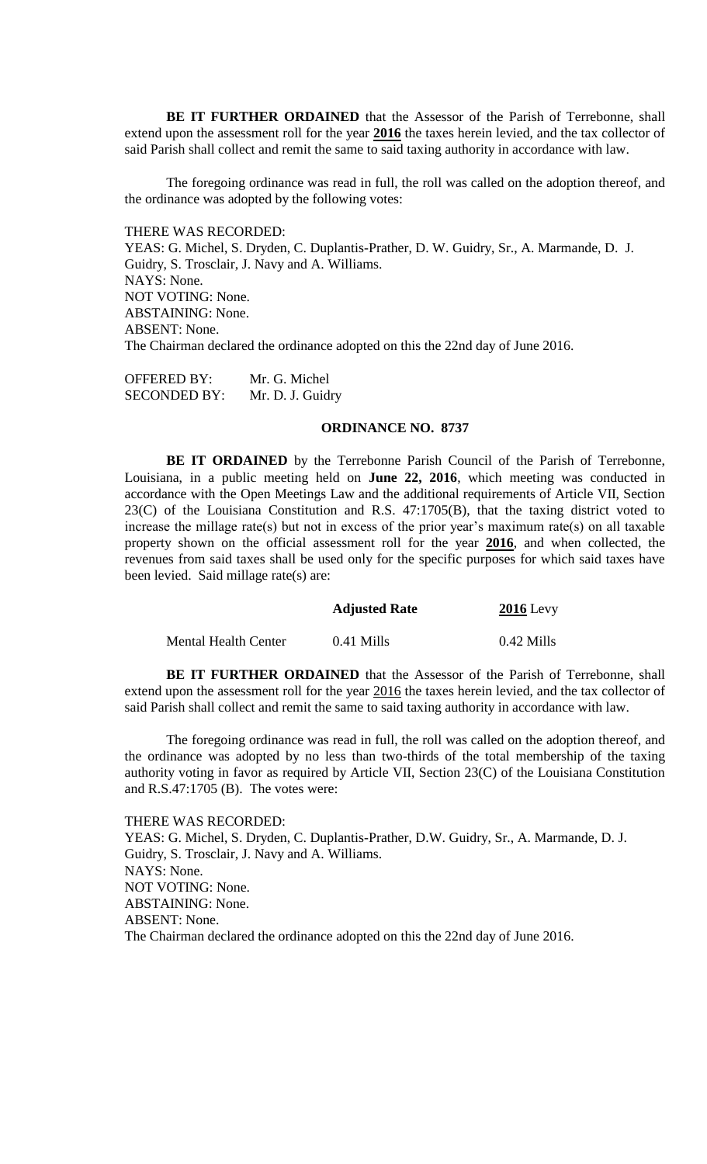**BE IT FURTHER ORDAINED** that the Assessor of the Parish of Terrebonne, shall extend upon the assessment roll for the year **2016** the taxes herein levied, and the tax collector of said Parish shall collect and remit the same to said taxing authority in accordance with law.

The foregoing ordinance was read in full, the roll was called on the adoption thereof, and the ordinance was adopted by the following votes:

THERE WAS RECORDED:

YEAS: G. Michel, S. Dryden, C. Duplantis-Prather, D. W. Guidry, Sr., A. Marmande, D. J. Guidry, S. Trosclair, J. Navy and A. Williams. NAYS: None. NOT VOTING: None. ABSTAINING: None. ABSENT: None. The Chairman declared the ordinance adopted on this the 22nd day of June 2016.

OFFERED BY: Mr. G. Michel SECONDED BY: Mr. D. J. Guidry

## **ORDINANCE NO. 8737**

**BE IT ORDAINED** by the Terrebonne Parish Council of the Parish of Terrebonne, Louisiana, in a public meeting held on **June 22, 2016**, which meeting was conducted in accordance with the Open Meetings Law and the additional requirements of Article VII, Section 23(C) of the Louisiana Constitution and R.S. 47:1705(B), that the taxing district voted to increase the millage rate(s) but not in excess of the prior year's maximum rate(s) on all taxable property shown on the official assessment roll for the year **2016**, and when collected, the revenues from said taxes shall be used only for the specific purposes for which said taxes have been levied. Said millage rate(s) are:

|                      | <b>Adjusted Rate</b> | $2016$ Levy  |
|----------------------|----------------------|--------------|
| Mental Health Center | $0.41$ Mills         | $0.42$ Mills |

**BE IT FURTHER ORDAINED** that the Assessor of the Parish of Terrebonne, shall extend upon the assessment roll for the year 2016 the taxes herein levied, and the tax collector of said Parish shall collect and remit the same to said taxing authority in accordance with law.

The foregoing ordinance was read in full, the roll was called on the adoption thereof, and the ordinance was adopted by no less than two-thirds of the total membership of the taxing authority voting in favor as required by Article VII, Section 23(C) of the Louisiana Constitution and R.S.47:1705 (B). The votes were:

THERE WAS RECORDED: YEAS: G. Michel, S. Dryden, C. Duplantis-Prather, D.W. Guidry, Sr., A. Marmande, D. J. Guidry, S. Trosclair, J. Navy and A. Williams. NAYS: None. NOT VOTING: None. ABSTAINING: None. ABSENT: None. The Chairman declared the ordinance adopted on this the 22nd day of June 2016.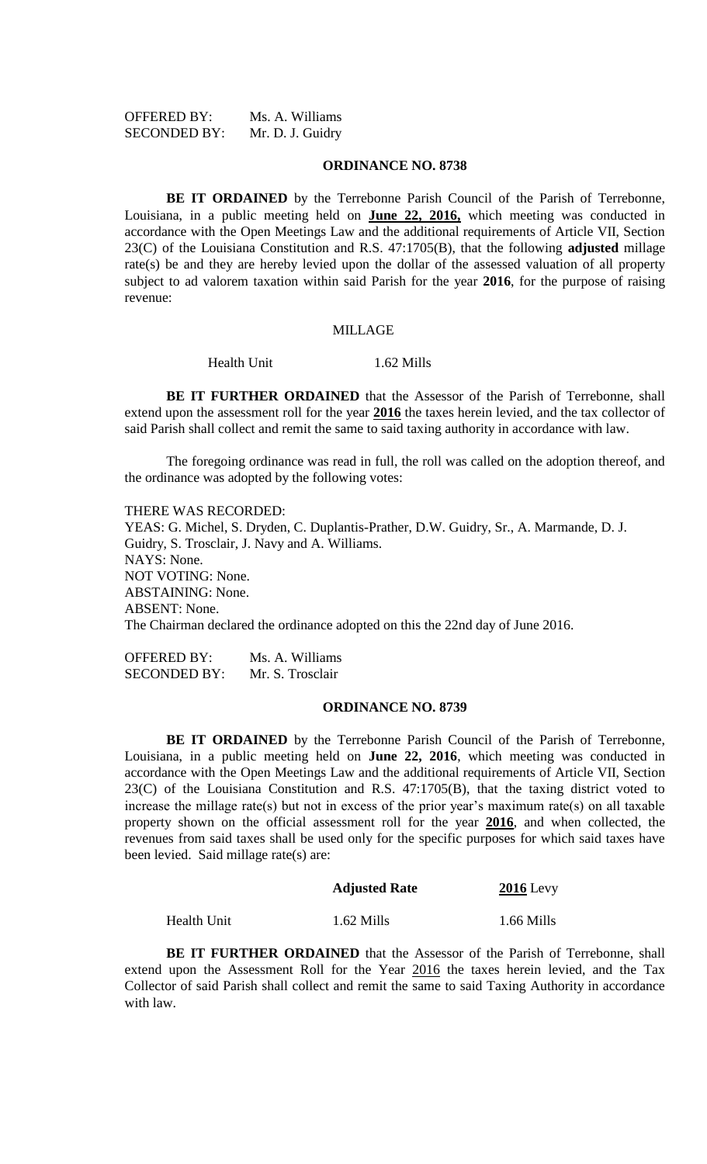OFFERED BY: Ms. A. Williams SECONDED BY: Mr. D. J. Guidry

#### **ORDINANCE NO. 8738**

**BE IT ORDAINED** by the Terrebonne Parish Council of the Parish of Terrebonne, Louisiana, in a public meeting held on **June 22, 2016,** which meeting was conducted in accordance with the Open Meetings Law and the additional requirements of Article VII, Section 23(C) of the Louisiana Constitution and R.S. 47:1705(B), that the following **adjusted** millage rate(s) be and they are hereby levied upon the dollar of the assessed valuation of all property subject to ad valorem taxation within said Parish for the year **2016**, for the purpose of raising revenue:

#### MILLAGE

# Health Unit 1.62 Mills

**BE IT FURTHER ORDAINED** that the Assessor of the Parish of Terrebonne, shall extend upon the assessment roll for the year **2016** the taxes herein levied, and the tax collector of said Parish shall collect and remit the same to said taxing authority in accordance with law.

The foregoing ordinance was read in full, the roll was called on the adoption thereof, and the ordinance was adopted by the following votes:

THERE WAS RECORDED:

YEAS: G. Michel, S. Dryden, C. Duplantis-Prather, D.W. Guidry, Sr., A. Marmande, D. J. Guidry, S. Trosclair, J. Navy and A. Williams. NAYS: None. NOT VOTING: None. ABSTAINING: None. ABSENT: None. The Chairman declared the ordinance adopted on this the 22nd day of June 2016.

OFFERED BY: Ms. A. Williams SECONDED BY: Mr. S. Trosclair

#### **ORDINANCE NO. 8739**

**BE IT ORDAINED** by the Terrebonne Parish Council of the Parish of Terrebonne, Louisiana, in a public meeting held on **June 22, 2016**, which meeting was conducted in accordance with the Open Meetings Law and the additional requirements of Article VII, Section 23(C) of the Louisiana Constitution and R.S. 47:1705(B), that the taxing district voted to increase the millage rate(s) but not in excess of the prior year's maximum rate(s) on all taxable property shown on the official assessment roll for the year **2016**, and when collected, the revenues from said taxes shall be used only for the specific purposes for which said taxes have been levied. Said millage rate(s) are:

| <b>Adjusted Rate</b> | <b>2016</b> Levy |
|----------------------|------------------|
|                      |                  |

Health Unit 1.62 Mills 1.66 Mills

**BE IT FURTHER ORDAINED** that the Assessor of the Parish of Terrebonne, shall extend upon the Assessment Roll for the Year 2016 the taxes herein levied, and the Tax Collector of said Parish shall collect and remit the same to said Taxing Authority in accordance with law.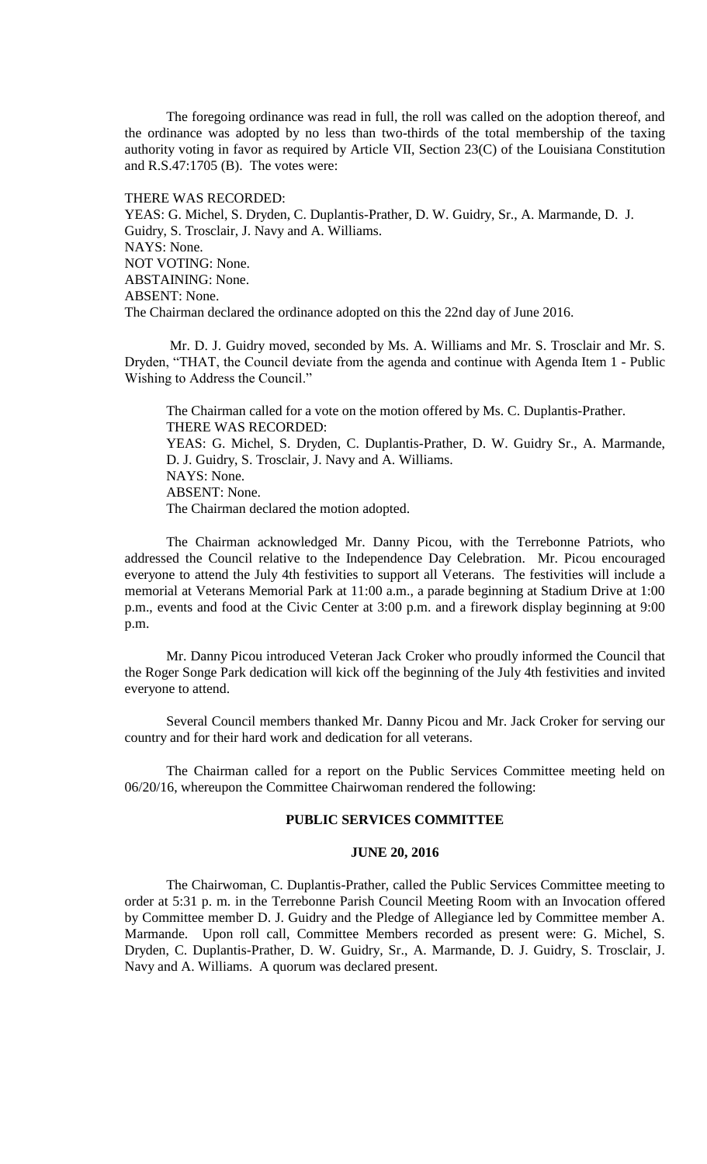The foregoing ordinance was read in full, the roll was called on the adoption thereof, and the ordinance was adopted by no less than two-thirds of the total membership of the taxing authority voting in favor as required by Article VII, Section 23(C) of the Louisiana Constitution and R.S.47:1705 (B). The votes were:

THERE WAS RECORDED:

YEAS: G. Michel, S. Dryden, C. Duplantis-Prather, D. W. Guidry, Sr., A. Marmande, D. J. Guidry, S. Trosclair, J. Navy and A. Williams. NAYS: None. NOT VOTING: None. ABSTAINING: None. ABSENT: None. The Chairman declared the ordinance adopted on this the 22nd day of June 2016.

Mr. D. J. Guidry moved, seconded by Ms. A. Williams and Mr. S. Trosclair and Mr. S. Dryden, "THAT, the Council deviate from the agenda and continue with Agenda Item 1 - Public Wishing to Address the Council."

The Chairman called for a vote on the motion offered by Ms. C. Duplantis-Prather. THERE WAS RECORDED: YEAS: G. Michel, S. Dryden, C. Duplantis-Prather, D. W. Guidry Sr., A. Marmande, D. J. Guidry, S. Trosclair, J. Navy and A. Williams. NAYS: None. ABSENT: None. The Chairman declared the motion adopted.

The Chairman acknowledged Mr. Danny Picou, with the Terrebonne Patriots, who addressed the Council relative to the Independence Day Celebration. Mr. Picou encouraged everyone to attend the July 4th festivities to support all Veterans. The festivities will include a memorial at Veterans Memorial Park at 11:00 a.m., a parade beginning at Stadium Drive at 1:00 p.m., events and food at the Civic Center at 3:00 p.m. and a firework display beginning at 9:00 p.m.

Mr. Danny Picou introduced Veteran Jack Croker who proudly informed the Council that the Roger Songe Park dedication will kick off the beginning of the July 4th festivities and invited everyone to attend.

Several Council members thanked Mr. Danny Picou and Mr. Jack Croker for serving our country and for their hard work and dedication for all veterans.

The Chairman called for a report on the Public Services Committee meeting held on 06/20/16, whereupon the Committee Chairwoman rendered the following:

#### **PUBLIC SERVICES COMMITTEE**

# **JUNE 20, 2016**

The Chairwoman, C. Duplantis-Prather, called the Public Services Committee meeting to order at 5:31 p. m. in the Terrebonne Parish Council Meeting Room with an Invocation offered by Committee member D. J. Guidry and the Pledge of Allegiance led by Committee member A. Marmande. Upon roll call, Committee Members recorded as present were: G. Michel, S. Dryden, C. Duplantis-Prather, D. W. Guidry, Sr., A. Marmande, D. J. Guidry, S. Trosclair, J. Navy and A. Williams. A quorum was declared present.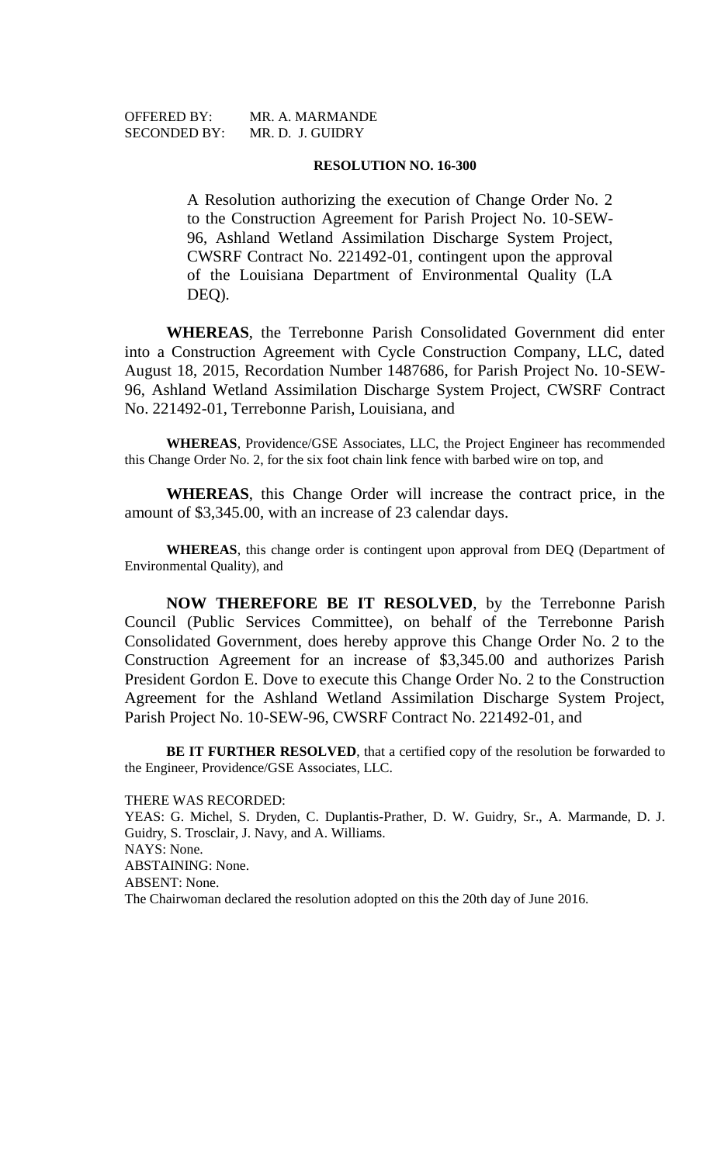SECONDED BY: MR. D. J. GUIDRY

OFFERED BY: MR. A. MARMANDE

#### **RESOLUTION NO. 16-300**

A Resolution authorizing the execution of Change Order No. 2 to the Construction Agreement for Parish Project No. 10-SEW-96, Ashland Wetland Assimilation Discharge System Project, CWSRF Contract No. 221492-01, contingent upon the approval of the Louisiana Department of Environmental Quality (LA DEQ).

**WHEREAS**, the Terrebonne Parish Consolidated Government did enter into a Construction Agreement with Cycle Construction Company, LLC, dated August 18, 2015, Recordation Number 1487686, for Parish Project No. 10-SEW-96, Ashland Wetland Assimilation Discharge System Project, CWSRF Contract No. 221492-01, Terrebonne Parish, Louisiana, and

**WHEREAS**, Providence/GSE Associates, LLC, the Project Engineer has recommended this Change Order No. 2, for the six foot chain link fence with barbed wire on top, and

**WHEREAS**, this Change Order will increase the contract price, in the amount of \$3,345.00, with an increase of 23 calendar days.

**WHEREAS**, this change order is contingent upon approval from DEQ (Department of Environmental Quality), and

**NOW THEREFORE BE IT RESOLVED**, by the Terrebonne Parish Council (Public Services Committee), on behalf of the Terrebonne Parish Consolidated Government, does hereby approve this Change Order No. 2 to the Construction Agreement for an increase of \$3,345.00 and authorizes Parish President Gordon E. Dove to execute this Change Order No. 2 to the Construction Agreement for the Ashland Wetland Assimilation Discharge System Project, Parish Project No. 10-SEW-96, CWSRF Contract No. 221492-01, and

BE IT FURTHER RESOLVED, that a certified copy of the resolution be forwarded to the Engineer, Providence/GSE Associates, LLC.

THERE WAS RECORDED:

YEAS: G. Michel, S. Dryden, C. Duplantis-Prather, D. W. Guidry, Sr., A. Marmande, D. J. Guidry, S. Trosclair, J. Navy, and A. Williams. NAYS: None. ABSTAINING: None. ABSENT: None. The Chairwoman declared the resolution adopted on this the 20th day of June 2016.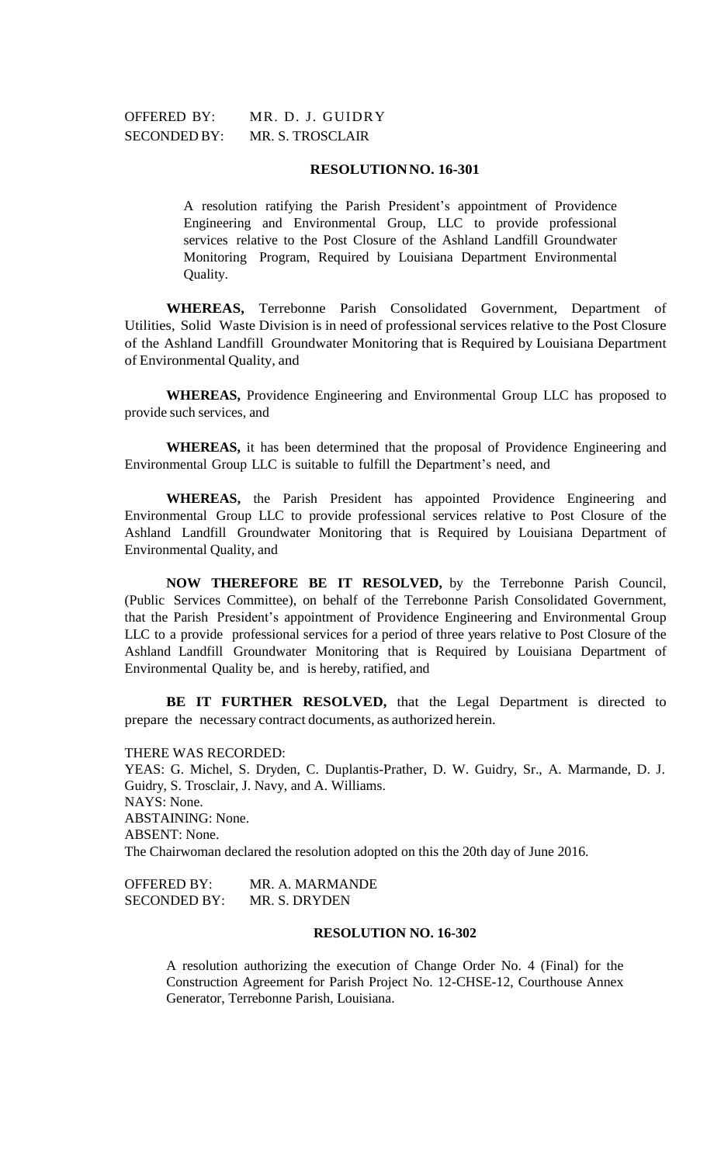OFFERED BY: MR. D. J. GUIDRY SECONDED BY: MR. S. TROSCLAIR

## **RESOLUTIONNO. 16-301**

A resolution ratifying the Parish President's appointment of Providence Engineering and Environmental Group, LLC to provide professional services relative to the Post Closure of the Ashland Landfill Groundwater Monitoring Program, Required by Louisiana Department Environmental Quality.

**WHEREAS,** Terrebonne Parish Consolidated Government, Department of Utilities, Solid Waste Division is in need of professional services relative to the Post Closure of the Ashland Landfill Groundwater Monitoring that is Required by Louisiana Department of Environmental Quality, and

**WHEREAS,** Providence Engineering and Environmental Group LLC has proposed to provide such services, and

**WHEREAS,** it has been determined that the proposal of Providence Engineering and Environmental Group LLC is suitable to fulfill the Department's need, and

**WHEREAS,** the Parish President has appointed Providence Engineering and Environmental Group LLC to provide professional services relative to Post Closure of the Ashland Landfill Groundwater Monitoring that is Required by Louisiana Department of Environmental Quality, and

**NOW THEREFORE BE IT RESOLVED,** by the Terrebonne Parish Council, (Public Services Committee), on behalf of the Terrebonne Parish Consolidated Government, that the Parish President's appointment of Providence Engineering and Environmental Group LLC to a provide professional services for a period of three years relative to Post Closure of the Ashland Landfill Groundwater Monitoring that is Required by Louisiana Department of Environmental Quality be, and is hereby, ratified, and

**BE IT FURTHER RESOLVED,** that the Legal Department is directed to prepare the necessary contract documents, as authorized herein.

THERE WAS RECORDED:

YEAS: G. Michel, S. Dryden, C. Duplantis-Prather, D. W. Guidry, Sr., A. Marmande, D. J. Guidry, S. Trosclair, J. Navy, and A. Williams. NAYS: None. ABSTAINING: None. ABSENT: None. The Chairwoman declared the resolution adopted on this the 20th day of June 2016.

OFFERED BY: MR. A. MARMANDE SECONDED BY: MR. S. DRYDEN

# **RESOLUTION NO. 16-302**

A resolution authorizing the execution of Change Order No. 4 (Final) for the Construction Agreement for Parish Project No. 12-CHSE-12, Courthouse Annex Generator, Terrebonne Parish, Louisiana.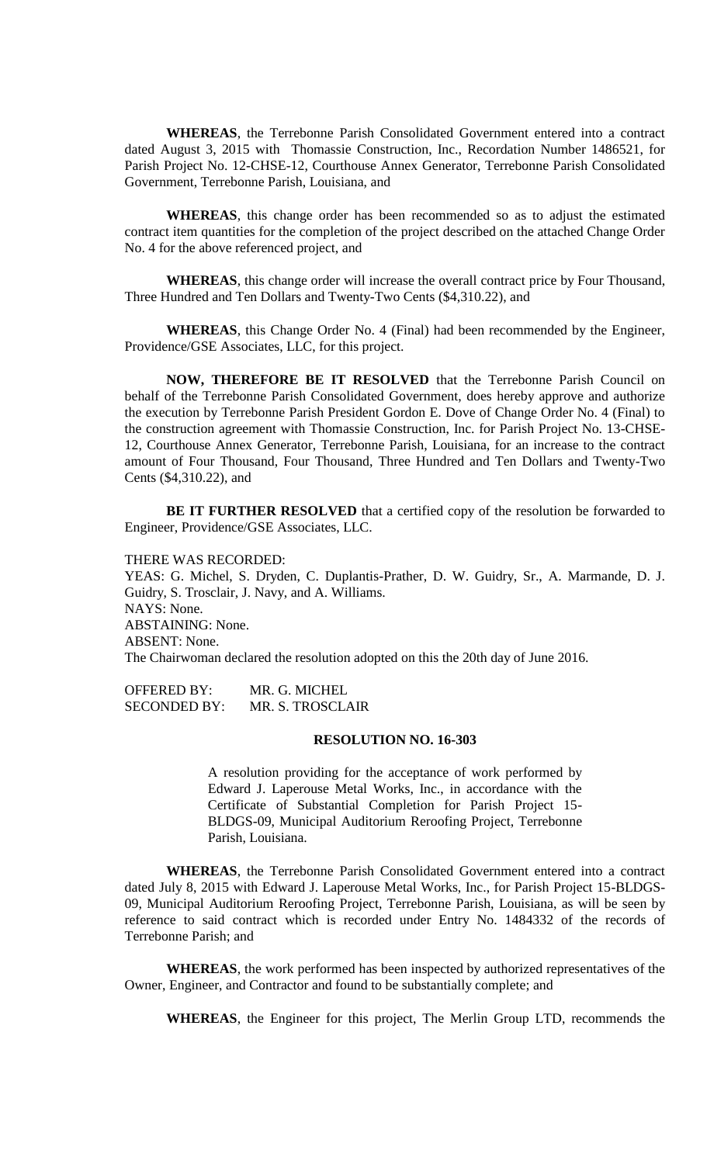**WHEREAS**, the Terrebonne Parish Consolidated Government entered into a contract dated August 3, 2015 with Thomassie Construction, Inc., Recordation Number 1486521, for Parish Project No. 12-CHSE-12, Courthouse Annex Generator, Terrebonne Parish Consolidated Government, Terrebonne Parish, Louisiana, and

**WHEREAS**, this change order has been recommended so as to adjust the estimated contract item quantities for the completion of the project described on the attached Change Order No. 4 for the above referenced project, and

**WHEREAS**, this change order will increase the overall contract price by Four Thousand, Three Hundred and Ten Dollars and Twenty-Two Cents (\$4,310.22), and

**WHEREAS**, this Change Order No. 4 (Final) had been recommended by the Engineer, Providence/GSE Associates, LLC, for this project.

**NOW, THEREFORE BE IT RESOLVED** that the Terrebonne Parish Council on behalf of the Terrebonne Parish Consolidated Government, does hereby approve and authorize the execution by Terrebonne Parish President Gordon E. Dove of Change Order No. 4 (Final) to the construction agreement with Thomassie Construction, Inc. for Parish Project No. 13-CHSE-12, Courthouse Annex Generator, Terrebonne Parish, Louisiana, for an increase to the contract amount of Four Thousand, Four Thousand, Three Hundred and Ten Dollars and Twenty-Two Cents (\$4,310.22), and

**BE IT FURTHER RESOLVED** that a certified copy of the resolution be forwarded to Engineer, Providence/GSE Associates, LLC.

THERE WAS RECORDED:

YEAS: G. Michel, S. Dryden, C. Duplantis-Prather, D. W. Guidry, Sr., A. Marmande, D. J. Guidry, S. Trosclair, J. Navy, and A. Williams. NAYS: None. ABSTAINING: None. ABSENT: None. The Chairwoman declared the resolution adopted on this the 20th day of June 2016.

OFFERED BY: MR. G. MICHEL SECONDED BY: MR. S. TROSCLAIR

#### **RESOLUTION NO. 16-303**

A resolution providing for the acceptance of work performed by Edward J. Laperouse Metal Works, Inc., in accordance with the Certificate of Substantial Completion for Parish Project 15- BLDGS-09, Municipal Auditorium Reroofing Project, Terrebonne Parish, Louisiana.

**WHEREAS**, the Terrebonne Parish Consolidated Government entered into a contract dated July 8, 2015 with Edward J. Laperouse Metal Works, Inc., for Parish Project 15-BLDGS-09, Municipal Auditorium Reroofing Project, Terrebonne Parish, Louisiana, as will be seen by reference to said contract which is recorded under Entry No. 1484332 of the records of Terrebonne Parish; and

**WHEREAS**, the work performed has been inspected by authorized representatives of the Owner, Engineer, and Contractor and found to be substantially complete; and

**WHEREAS**, the Engineer for this project, The Merlin Group LTD, recommends the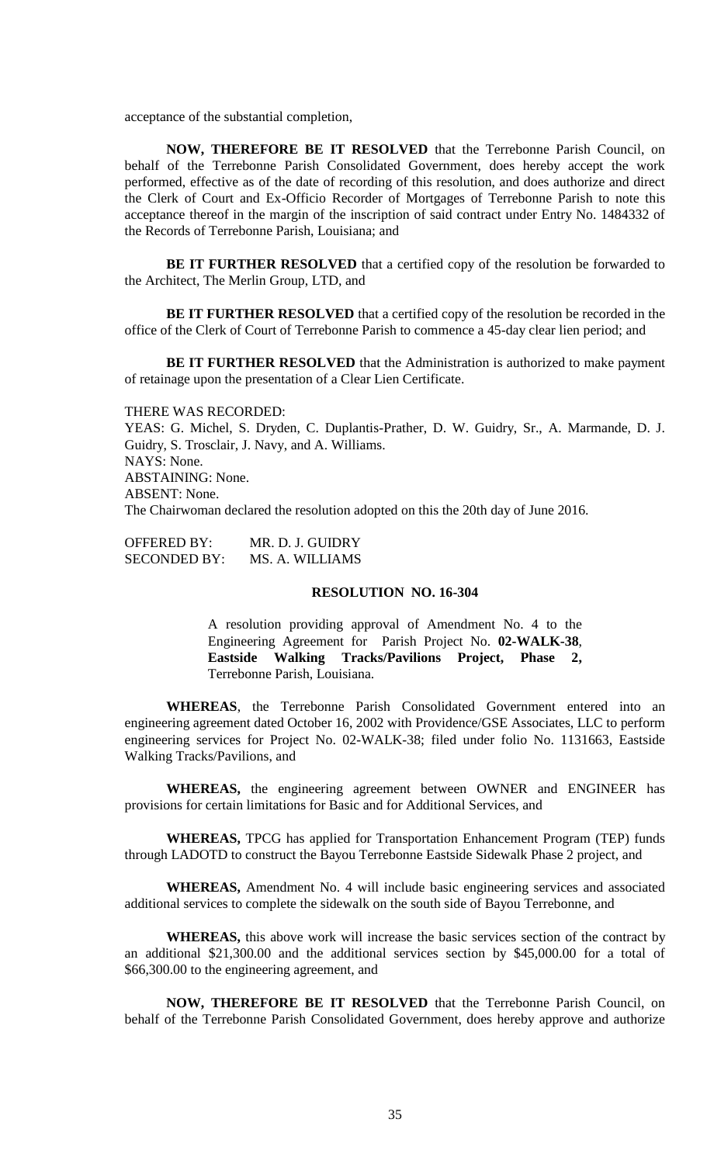acceptance of the substantial completion,

**NOW, THEREFORE BE IT RESOLVED** that the Terrebonne Parish Council, on behalf of the Terrebonne Parish Consolidated Government, does hereby accept the work performed, effective as of the date of recording of this resolution, and does authorize and direct the Clerk of Court and Ex-Officio Recorder of Mortgages of Terrebonne Parish to note this acceptance thereof in the margin of the inscription of said contract under Entry No. 1484332 of the Records of Terrebonne Parish, Louisiana; and

**BE IT FURTHER RESOLVED** that a certified copy of the resolution be forwarded to the Architect, The Merlin Group, LTD, and

**BE IT FURTHER RESOLVED** that a certified copy of the resolution be recorded in the office of the Clerk of Court of Terrebonne Parish to commence a 45-day clear lien period; and

**BE IT FURTHER RESOLVED** that the Administration is authorized to make payment of retainage upon the presentation of a Clear Lien Certificate.

THERE WAS RECORDED: YEAS: G. Michel, S. Dryden, C. Duplantis-Prather, D. W. Guidry, Sr., A. Marmande, D. J. Guidry, S. Trosclair, J. Navy, and A. Williams. NAYS: None. ABSTAINING: None. ABSENT: None. The Chairwoman declared the resolution adopted on this the 20th day of June 2016.

OFFERED BY: MR. D. J. GUIDRY SECONDED BY: MS. A. WILLIAMS

# **RESOLUTION NO. 16-304**

A resolution providing approval of Amendment No. 4 to the Engineering Agreement for Parish Project No. **02-WALK-38**, **Eastside Walking Tracks/Pavilions Project, Phase 2,** Terrebonne Parish, Louisiana.

**WHEREAS**, the Terrebonne Parish Consolidated Government entered into an engineering agreement dated October 16, 2002 with Providence/GSE Associates, LLC to perform engineering services for Project No. 02-WALK-38; filed under folio No. 1131663, Eastside Walking Tracks/Pavilions, and

**WHEREAS,** the engineering agreement between OWNER and ENGINEER has provisions for certain limitations for Basic and for Additional Services, and

**WHEREAS,** TPCG has applied for Transportation Enhancement Program (TEP) funds through LADOTD to construct the Bayou Terrebonne Eastside Sidewalk Phase 2 project, and

**WHEREAS,** Amendment No. 4 will include basic engineering services and associated additional services to complete the sidewalk on the south side of Bayou Terrebonne, and

**WHEREAS,** this above work will increase the basic services section of the contract by an additional \$21,300.00 and the additional services section by \$45,000.00 for a total of \$66,300.00 to the engineering agreement, and

**NOW, THEREFORE BE IT RESOLVED** that the Terrebonne Parish Council, on behalf of the Terrebonne Parish Consolidated Government, does hereby approve and authorize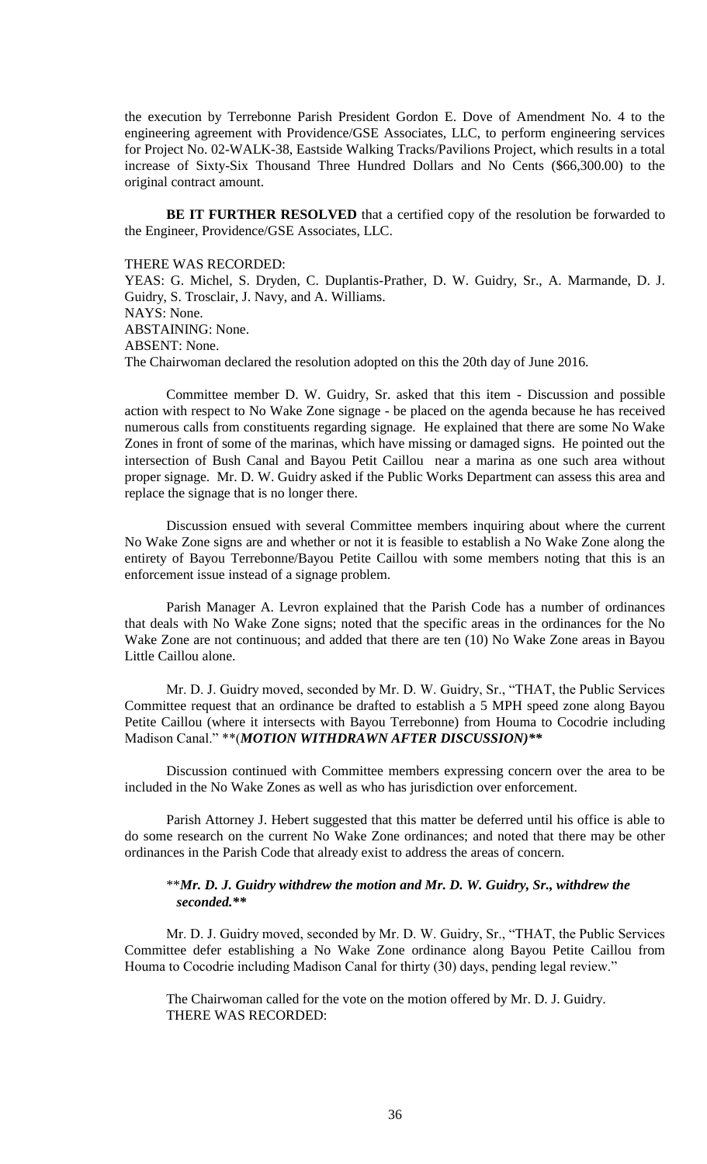the execution by Terrebonne Parish President Gordon E. Dove of Amendment No. 4 to the engineering agreement with Providence/GSE Associates, LLC, to perform engineering services for Project No. 02-WALK-38, Eastside Walking Tracks/Pavilions Project, which results in a total increase of Sixty-Six Thousand Three Hundred Dollars and No Cents (\$66,300.00) to the original contract amount.

**BE IT FURTHER RESOLVED** that a certified copy of the resolution be forwarded to the Engineer, Providence/GSE Associates, LLC.

THERE WAS RECORDED:

YEAS: G. Michel, S. Dryden, C. Duplantis-Prather, D. W. Guidry, Sr., A. Marmande, D. J. Guidry, S. Trosclair, J. Navy, and A. Williams. NAYS: None. ABSTAINING: None. ABSENT: None. The Chairwoman declared the resolution adopted on this the 20th day of June 2016.

Committee member D. W. Guidry, Sr. asked that this item - Discussion and possible action with respect to No Wake Zone signage - be placed on the agenda because he has received numerous calls from constituents regarding signage. He explained that there are some No Wake Zones in front of some of the marinas, which have missing or damaged signs. He pointed out the intersection of Bush Canal and Bayou Petit Caillou near a marina as one such area without proper signage. Mr. D. W. Guidry asked if the Public Works Department can assess this area and replace the signage that is no longer there.

Discussion ensued with several Committee members inquiring about where the current No Wake Zone signs are and whether or not it is feasible to establish a No Wake Zone along the entirety of Bayou Terrebonne/Bayou Petite Caillou with some members noting that this is an enforcement issue instead of a signage problem.

Parish Manager A. Levron explained that the Parish Code has a number of ordinances that deals with No Wake Zone signs; noted that the specific areas in the ordinances for the No Wake Zone are not continuous; and added that there are ten (10) No Wake Zone areas in Bayou Little Caillou alone.

Mr. D. J. Guidry moved, seconded by Mr. D. W. Guidry, Sr., "THAT, the Public Services Committee request that an ordinance be drafted to establish a 5 MPH speed zone along Bayou Petite Caillou (where it intersects with Bayou Terrebonne) from Houma to Cocodrie including Madison Canal." \*\*(*MOTION WITHDRAWN AFTER DISCUSSION)\*\**

Discussion continued with Committee members expressing concern over the area to be included in the No Wake Zones as well as who has jurisdiction over enforcement.

Parish Attorney J. Hebert suggested that this matter be deferred until his office is able to do some research on the current No Wake Zone ordinances; and noted that there may be other ordinances in the Parish Code that already exist to address the areas of concern.

# \*\**Mr. D. J. Guidry withdrew the motion and Mr. D. W. Guidry, Sr., withdrew the seconded.\*\**

Mr. D. J. Guidry moved, seconded by Mr. D. W. Guidry, Sr., "THAT, the Public Services Committee defer establishing a No Wake Zone ordinance along Bayou Petite Caillou from Houma to Cocodrie including Madison Canal for thirty (30) days, pending legal review."

The Chairwoman called for the vote on the motion offered by Mr. D. J. Guidry. THERE WAS RECORDED: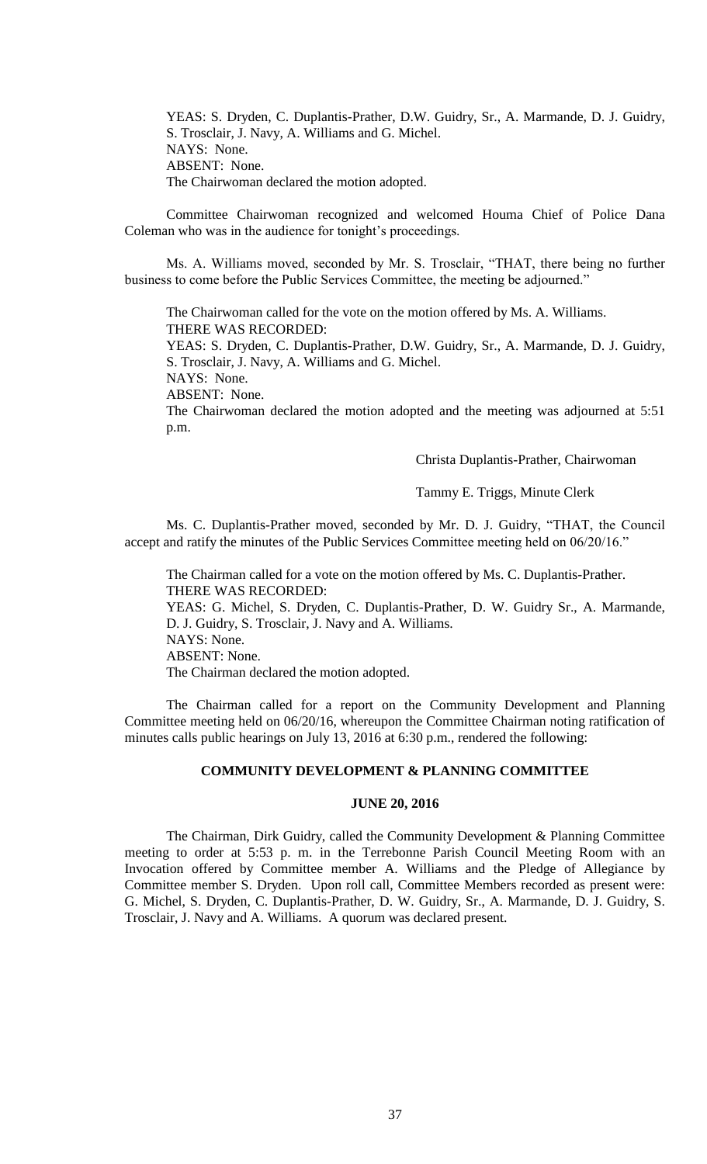YEAS: S. Dryden, C. Duplantis-Prather, D.W. Guidry, Sr., A. Marmande, D. J. Guidry, S. Trosclair, J. Navy, A. Williams and G. Michel. NAYS: None. ABSENT: None. The Chairwoman declared the motion adopted.

Committee Chairwoman recognized and welcomed Houma Chief of Police Dana Coleman who was in the audience for tonight's proceedings.

Ms. A. Williams moved, seconded by Mr. S. Trosclair, "THAT, there being no further business to come before the Public Services Committee, the meeting be adjourned."

The Chairwoman called for the vote on the motion offered by Ms. A. Williams. THERE WAS RECORDED:

YEAS: S. Dryden, C. Duplantis-Prather, D.W. Guidry, Sr., A. Marmande, D. J. Guidry, S. Trosclair, J. Navy, A. Williams and G. Michel.

NAYS: None.

ABSENT: None.

The Chairwoman declared the motion adopted and the meeting was adjourned at 5:51 p.m.

Christa Duplantis-Prather, Chairwoman

#### Tammy E. Triggs, Minute Clerk

Ms. C. Duplantis-Prather moved, seconded by Mr. D. J. Guidry, "THAT, the Council accept and ratify the minutes of the Public Services Committee meeting held on 06/20/16."

The Chairman called for a vote on the motion offered by Ms. C. Duplantis-Prather. THERE WAS RECORDED: YEAS: G. Michel, S. Dryden, C. Duplantis-Prather, D. W. Guidry Sr., A. Marmande, D. J. Guidry, S. Trosclair, J. Navy and A. Williams. NAYS: None. ABSENT: None. The Chairman declared the motion adopted.

The Chairman called for a report on the Community Development and Planning Committee meeting held on 06/20/16, whereupon the Committee Chairman noting ratification of minutes calls public hearings on July 13, 2016 at 6:30 p.m., rendered the following:

## **COMMUNITY DEVELOPMENT & PLANNING COMMITTEE**

# **JUNE 20, 2016**

The Chairman, Dirk Guidry, called the Community Development & Planning Committee meeting to order at 5:53 p. m. in the Terrebonne Parish Council Meeting Room with an Invocation offered by Committee member A. Williams and the Pledge of Allegiance by Committee member S. Dryden. Upon roll call, Committee Members recorded as present were: G. Michel, S. Dryden, C. Duplantis-Prather, D. W. Guidry, Sr., A. Marmande, D. J. Guidry, S. Trosclair, J. Navy and A. Williams. A quorum was declared present.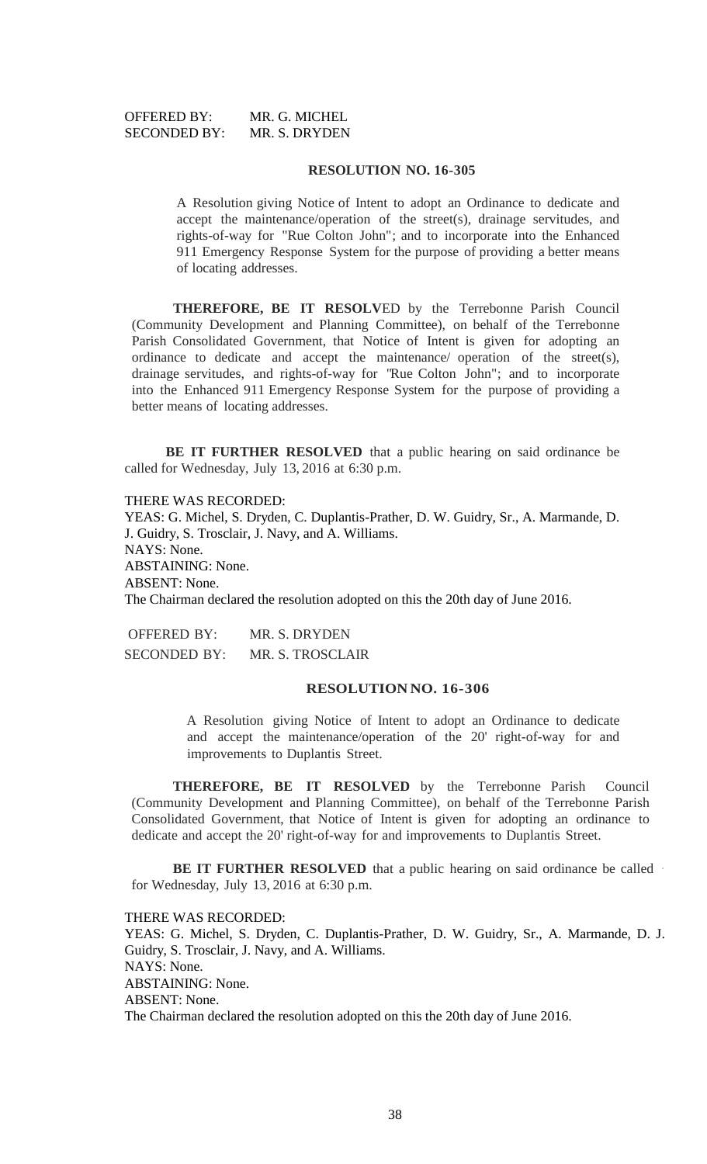| <b>OFFERED BY:</b>  | MR. G. MICHEL |
|---------------------|---------------|
| <b>SECONDED BY:</b> | MR. S. DRYDEN |

#### **RESOLUTION NO. 16-305**

A Resolution giving Notice of Intent to adopt an Ordinance to dedicate and accept the maintenance/operation of the street(s), drainage servitudes, and rights-of-way for "Rue Colton John"; and to incorporate into the Enhanced 911 Emergency Response System for the purpose of providing a better means of locating addresses.

**THEREFORE, BE IT RESOLV**ED by the Terrebonne Parish Council (Community Development and Planning Committee), on behalf of the Terrebonne Parish Consolidated Government, that Notice of Intent is given for adopting an ordinance to dedicate and accept the maintenance/ operation of the street(s), drainage servitudes, and rights-of-way for "Rue Colton John"; and to incorporate into the Enhanced 911 Emergency Response System for the purpose of providing a better means of locating addresses.

**BE IT FURTHER RESOLVED** that a public hearing on said ordinance be called for Wednesday, July 13, 2016 at 6:30 p.m.

THERE WAS RECORDED: YEAS: G. Michel, S. Dryden, C. Duplantis-Prather, D. W. Guidry, Sr., A. Marmande, D. J. Guidry, S. Trosclair, J. Navy, and A. Williams. NAYS: None. ABSTAINING: None. ABSENT: None. The Chairman declared the resolution adopted on this the 20th day of June 2016.

OFFERED BY: MR. S. DRYDEN SECONDED BY: MR. S. TROSCLAIR

#### **RESOLUTION NO. 16-306**

A Resolution giving Notice of Intent to adopt an Ordinance to dedicate and accept the maintenance/operation of the 20' right-of-way for and improvements to Duplantis Street.

**THEREFORE, BE IT RESOLVED** by the Terrebonne Parish Council (Community Development and Planning Committee), on behalf of the Terrebonne Parish Consolidated Government, that Notice of Intent is given for adopting an ordinance to dedicate and accept the 20' right-of-way for and improvements to Duplantis Street.

**BE IT FURTHER RESOLVED** that a public hearing on said ordinance be called · for Wednesday, July 13, 2016 at 6:30 p.m.

#### THERE WAS RECORDED:

YEAS: G. Michel, S. Dryden, C. Duplantis-Prather, D. W. Guidry, Sr., A. Marmande, D. J. Guidry, S. Trosclair, J. Navy, and A. Williams. NAYS: None. ABSTAINING: None. ABSENT: None. The Chairman declared the resolution adopted on this the 20th day of June 2016.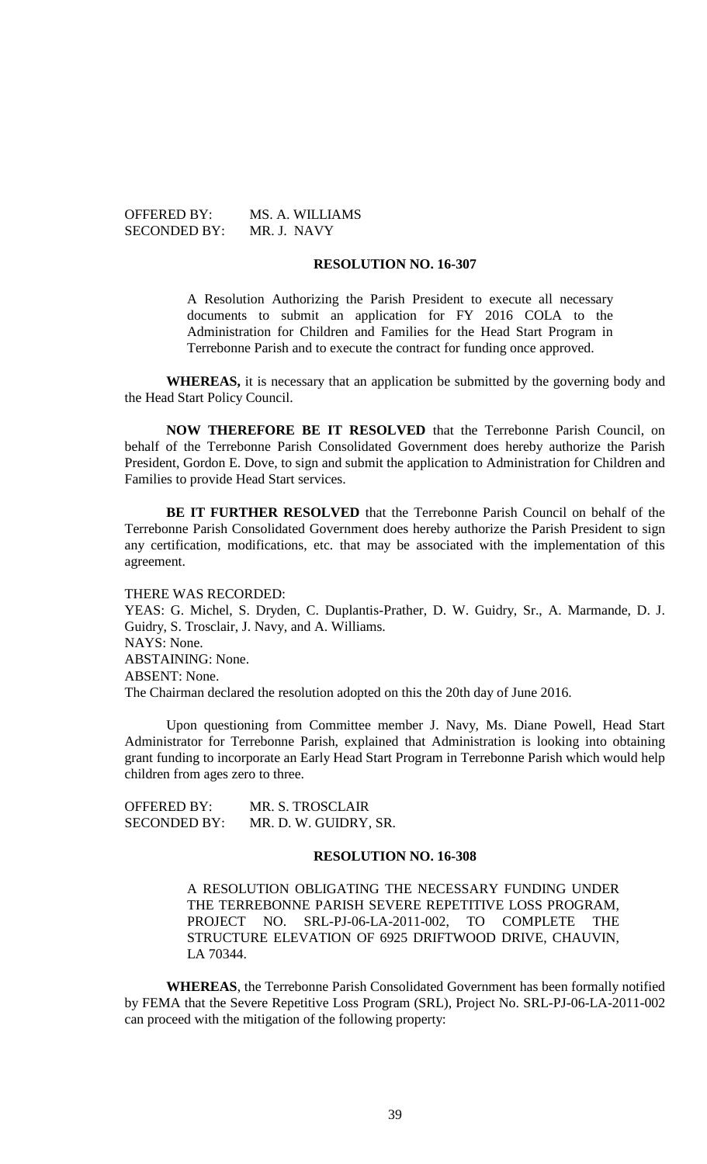OFFERED BY: MS. A. WILLIAMS SECONDED BY: MR. J. NAVY

#### **RESOLUTION NO. 16-307**

A Resolution Authorizing the Parish President to execute all necessary documents to submit an application for FY 2016 COLA to the Administration for Children and Families for the Head Start Program in Terrebonne Parish and to execute the contract for funding once approved.

**WHEREAS,** it is necessary that an application be submitted by the governing body and the Head Start Policy Council.

**NOW THEREFORE BE IT RESOLVED** that the Terrebonne Parish Council, on behalf of the Terrebonne Parish Consolidated Government does hereby authorize the Parish President, Gordon E. Dove, to sign and submit the application to Administration for Children and Families to provide Head Start services.

**BE IT FURTHER RESOLVED** that the Terrebonne Parish Council on behalf of the Terrebonne Parish Consolidated Government does hereby authorize the Parish President to sign any certification, modifications, etc. that may be associated with the implementation of this agreement.

THERE WAS RECORDED:

YEAS: G. Michel, S. Dryden, C. Duplantis-Prather, D. W. Guidry, Sr., A. Marmande, D. J. Guidry, S. Trosclair, J. Navy, and A. Williams. NAYS: None. ABSTAINING: None. ABSENT: None. The Chairman declared the resolution adopted on this the 20th day of June 2016.

Upon questioning from Committee member J. Navy, Ms. Diane Powell, Head Start Administrator for Terrebonne Parish, explained that Administration is looking into obtaining grant funding to incorporate an Early Head Start Program in Terrebonne Parish which would help children from ages zero to three.

| <b>OFFERED BY:</b>  | MR. S. TROSCLAIR      |
|---------------------|-----------------------|
| <b>SECONDED BY:</b> | MR. D. W. GUIDRY, SR. |

#### **RESOLUTION NO. 16-308**

A RESOLUTION OBLIGATING THE NECESSARY FUNDING UNDER THE TERREBONNE PARISH SEVERE REPETITIVE LOSS PROGRAM, PROJECT NO. SRL-PJ-06-LA-2011-002, TO COMPLETE THE STRUCTURE ELEVATION OF 6925 DRIFTWOOD DRIVE, CHAUVIN, LA 70344.

**WHEREAS**, the Terrebonne Parish Consolidated Government has been formally notified by FEMA that the Severe Repetitive Loss Program (SRL), Project No. SRL-PJ-06-LA-2011-002 can proceed with the mitigation of the following property: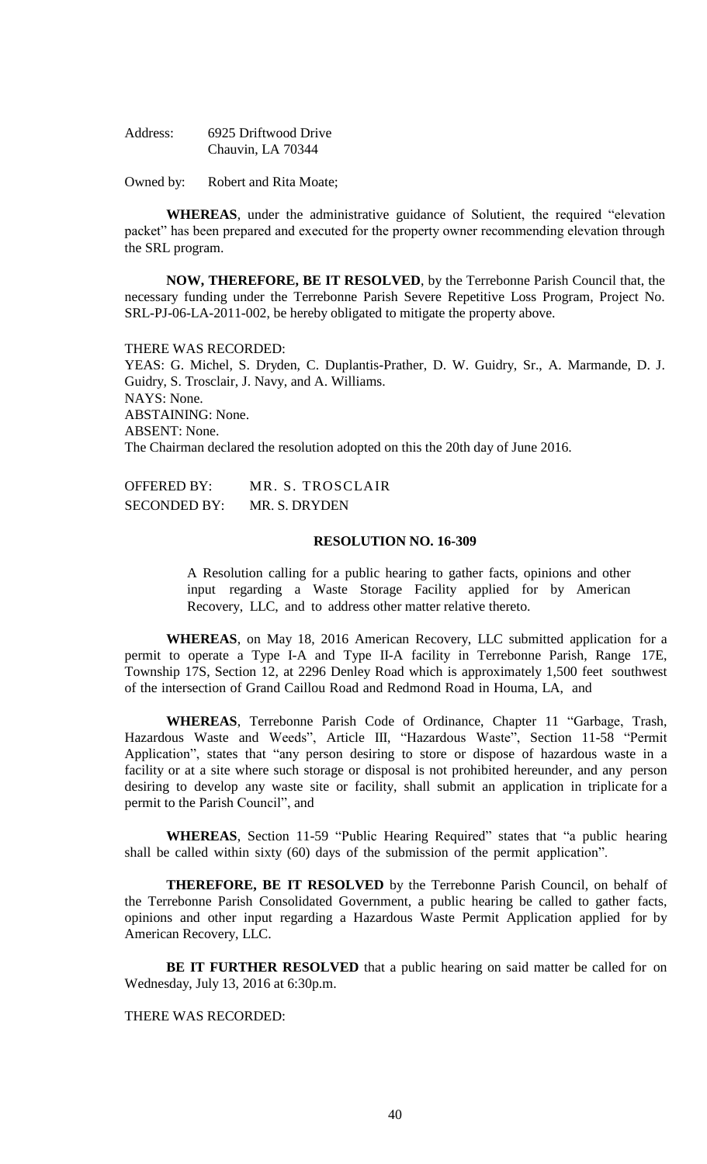| Address: | 6925 Driftwood Drive |
|----------|----------------------|
|          | Chauvin, LA 70344    |

Owned by: Robert and Rita Moate;

**WHEREAS**, under the administrative guidance of Solutient, the required "elevation packet" has been prepared and executed for the property owner recommending elevation through the SRL program.

**NOW, THEREFORE, BE IT RESOLVED**, by the Terrebonne Parish Council that, the necessary funding under the Terrebonne Parish Severe Repetitive Loss Program, Project No. SRL-PJ-06-LA-2011-002, be hereby obligated to mitigate the property above.

THERE WAS RECORDED:

YEAS: G. Michel, S. Dryden, C. Duplantis-Prather, D. W. Guidry, Sr., A. Marmande, D. J. Guidry, S. Trosclair, J. Navy, and A. Williams. NAYS: None. ABSTAINING: None. ABSENT: None. The Chairman declared the resolution adopted on this the 20th day of June 2016.

| <b>OFFERED BY:</b>  | MR. S. TROSCLAIR |
|---------------------|------------------|
| <b>SECONDED BY:</b> | MR. S. DRYDEN    |

#### **RESOLUTION NO. 16-309**

A Resolution calling for a public hearing to gather facts, opinions and other input regarding a Waste Storage Facility applied for by American Recovery, LLC, and to address other matter relative thereto.

**WHEREAS**, on May 18, 2016 American Recovery, LLC submitted application for a permit to operate a Type I-A and Type II-A facility in Terrebonne Parish, Range 17E, Township 17S, Section 12, at 2296 Denley Road which is approximately 1,500 feet southwest of the intersection of Grand Caillou Road and Redmond Road in Houma, LA, and

**WHEREAS**, Terrebonne Parish Code of Ordinance, Chapter 11 "Garbage, Trash, Hazardous Waste and Weeds", Article III, "Hazardous Waste", Section 11-58 "Permit Application", states that "any person desiring to store or dispose of hazardous waste in a facility or at a site where such storage or disposal is not prohibited hereunder, and any person desiring to develop any waste site or facility, shall submit an application in triplicate for a permit to the Parish Council", and

**WHEREAS**, Section 11-59 "Public Hearing Required" states that "a public hearing shall be called within sixty (60) days of the submission of the permit application".

**THEREFORE, BE IT RESOLVED** by the Terrebonne Parish Council, on behalf of the Terrebonne Parish Consolidated Government, a public hearing be called to gather facts, opinions and other input regarding a Hazardous Waste Permit Application applied for by American Recovery, LLC.

**BE IT FURTHER RESOLVED** that a public hearing on said matter be called for on Wednesday, July 13, 2016 at 6:30p.m.

## THERE WAS RECORDED: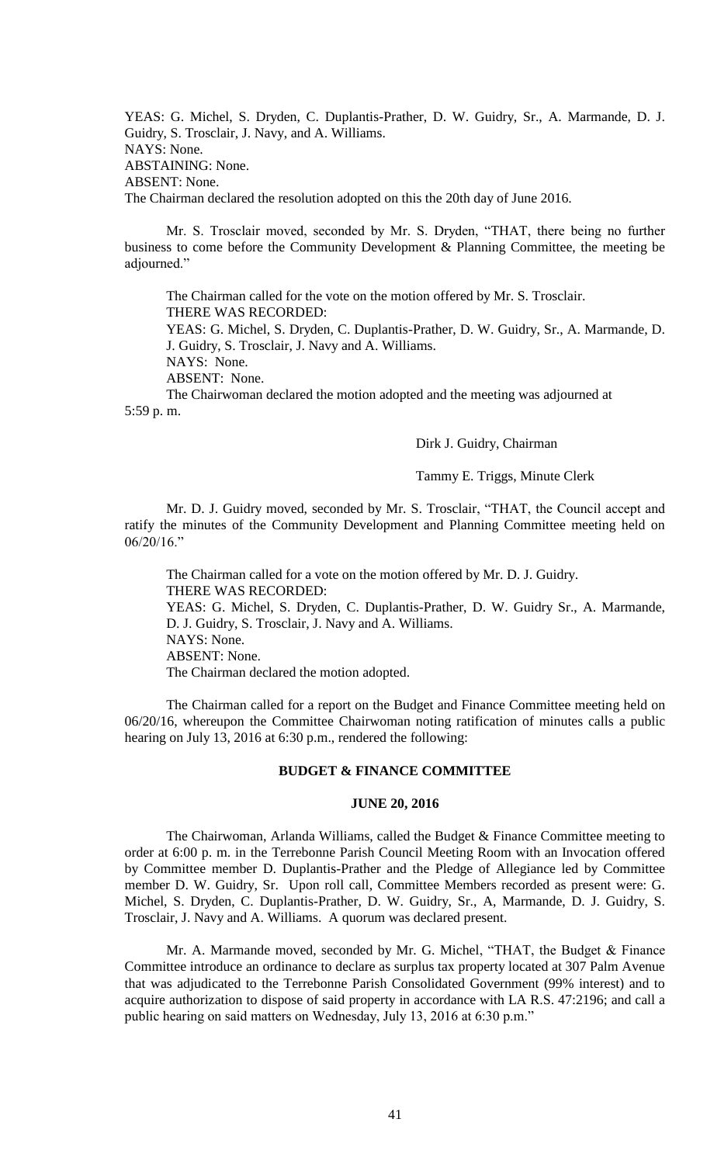YEAS: G. Michel, S. Dryden, C. Duplantis-Prather, D. W. Guidry, Sr., A. Marmande, D. J. Guidry, S. Trosclair, J. Navy, and A. Williams. NAYS: None. ABSTAINING: None. ABSENT: None. The Chairman declared the resolution adopted on this the 20th day of June 2016.

Mr. S. Trosclair moved, seconded by Mr. S. Dryden, "THAT, there being no further business to come before the Community Development & Planning Committee, the meeting be adjourned."

The Chairman called for the vote on the motion offered by Mr. S. Trosclair. THERE WAS RECORDED:

YEAS: G. Michel, S. Dryden, C. Duplantis-Prather, D. W. Guidry, Sr., A. Marmande, D. J. Guidry, S. Trosclair, J. Navy and A. Williams.

NAYS: None.

ABSENT: None.

The Chairwoman declared the motion adopted and the meeting was adjourned at 5:59 p. m.

Dirk J. Guidry, Chairman

Tammy E. Triggs, Minute Clerk

Mr. D. J. Guidry moved, seconded by Mr. S. Trosclair, "THAT, the Council accept and ratify the minutes of the Community Development and Planning Committee meeting held on 06/20/16."

The Chairman called for a vote on the motion offered by Mr. D. J. Guidry. THERE WAS RECORDED: YEAS: G. Michel, S. Dryden, C. Duplantis-Prather, D. W. Guidry Sr., A. Marmande, D. J. Guidry, S. Trosclair, J. Navy and A. Williams. NAYS: None. ABSENT: None. The Chairman declared the motion adopted.

The Chairman called for a report on the Budget and Finance Committee meeting held on 06/20/16, whereupon the Committee Chairwoman noting ratification of minutes calls a public hearing on July 13, 2016 at 6:30 p.m., rendered the following:

# **BUDGET & FINANCE COMMITTEE**

# **JUNE 20, 2016**

The Chairwoman, Arlanda Williams, called the Budget & Finance Committee meeting to order at 6:00 p. m. in the Terrebonne Parish Council Meeting Room with an Invocation offered by Committee member D. Duplantis-Prather and the Pledge of Allegiance led by Committee member D. W. Guidry, Sr. Upon roll call, Committee Members recorded as present were: G. Michel, S. Dryden, C. Duplantis-Prather, D. W. Guidry, Sr., A, Marmande, D. J. Guidry, S. Trosclair, J. Navy and A. Williams. A quorum was declared present.

Mr. A. Marmande moved, seconded by Mr. G. Michel, "THAT, the Budget & Finance Committee introduce an ordinance to declare as surplus tax property located at 307 Palm Avenue that was adjudicated to the Terrebonne Parish Consolidated Government (99% interest) and to acquire authorization to dispose of said property in accordance with LA R.S. 47:2196; and call a public hearing on said matters on Wednesday, July 13, 2016 at 6:30 p.m."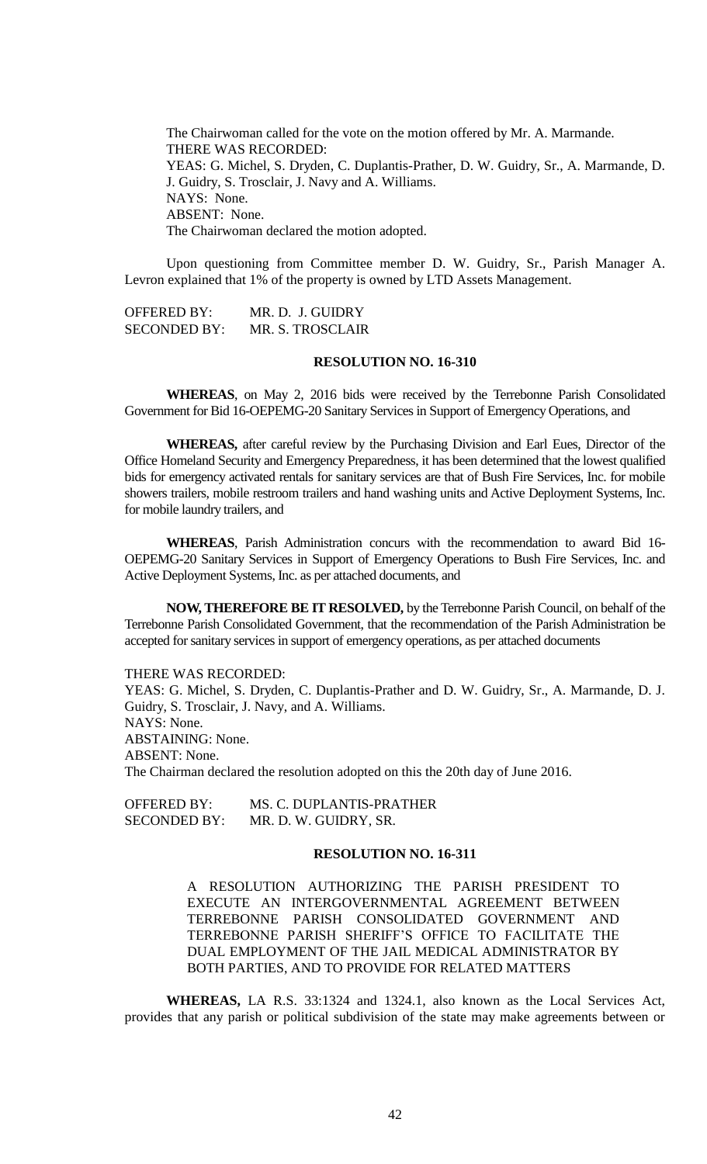The Chairwoman called for the vote on the motion offered by Mr. A. Marmande. THERE WAS RECORDED: YEAS: G. Michel, S. Dryden, C. Duplantis-Prather, D. W. Guidry, Sr., A. Marmande, D. J. Guidry, S. Trosclair, J. Navy and A. Williams. NAYS: None. ABSENT: None. The Chairwoman declared the motion adopted.

Upon questioning from Committee member D. W. Guidry, Sr., Parish Manager A. Levron explained that 1% of the property is owned by LTD Assets Management.

OFFERED BY: MR. D. J. GUIDRY SECONDED BY: MR. S. TROSCLAIR

# **RESOLUTION NO. 16-310**

**WHEREAS**, on May 2, 2016 bids were received by the Terrebonne Parish Consolidated Government for Bid 16-OEPEMG-20 Sanitary Services in Support of Emergency Operations, and

**WHEREAS,** after careful review by the Purchasing Division and Earl Eues, Director of the Office Homeland Security and Emergency Preparedness, it has been determined that the lowest qualified bids for emergency activated rentals for sanitary services are that of Bush Fire Services, Inc. for mobile showers trailers, mobile restroom trailers and hand washing units and Active Deployment Systems, Inc. for mobile laundry trailers, and

**WHEREAS**, Parish Administration concurs with the recommendation to award Bid 16- OEPEMG-20 Sanitary Services in Support of Emergency Operations to Bush Fire Services, Inc. and Active Deployment Systems, Inc. as per attached documents, and

**NOW, THEREFORE BE IT RESOLVED,** by the Terrebonne Parish Council, on behalf of the Terrebonne Parish Consolidated Government, that the recommendation of the Parish Administration be accepted for sanitary services in support of emergency operations, as per attached documents

THERE WAS RECORDED:

YEAS: G. Michel, S. Dryden, C. Duplantis-Prather and D. W. Guidry, Sr., A. Marmande, D. J. Guidry, S. Trosclair, J. Navy, and A. Williams. NAYS: None. ABSTAINING: None. ABSENT: None. The Chairman declared the resolution adopted on this the 20th day of June 2016.

OFFERED BY: MS. C. DUPLANTIS-PRATHER SECONDED BY: MR. D. W. GUIDRY, SR.

## **RESOLUTION NO. 16-311**

A RESOLUTION AUTHORIZING THE PARISH PRESIDENT TO EXECUTE AN INTERGOVERNMENTAL AGREEMENT BETWEEN TERREBONNE PARISH CONSOLIDATED GOVERNMENT AND TERREBONNE PARISH SHERIFF'S OFFICE TO FACILITATE THE DUAL EMPLOYMENT OF THE JAIL MEDICAL ADMINISTRATOR BY BOTH PARTIES, AND TO PROVIDE FOR RELATED MATTERS

**WHEREAS,** LA R.S. 33:1324 and 1324.1, also known as the Local Services Act, provides that any parish or political subdivision of the state may make agreements between or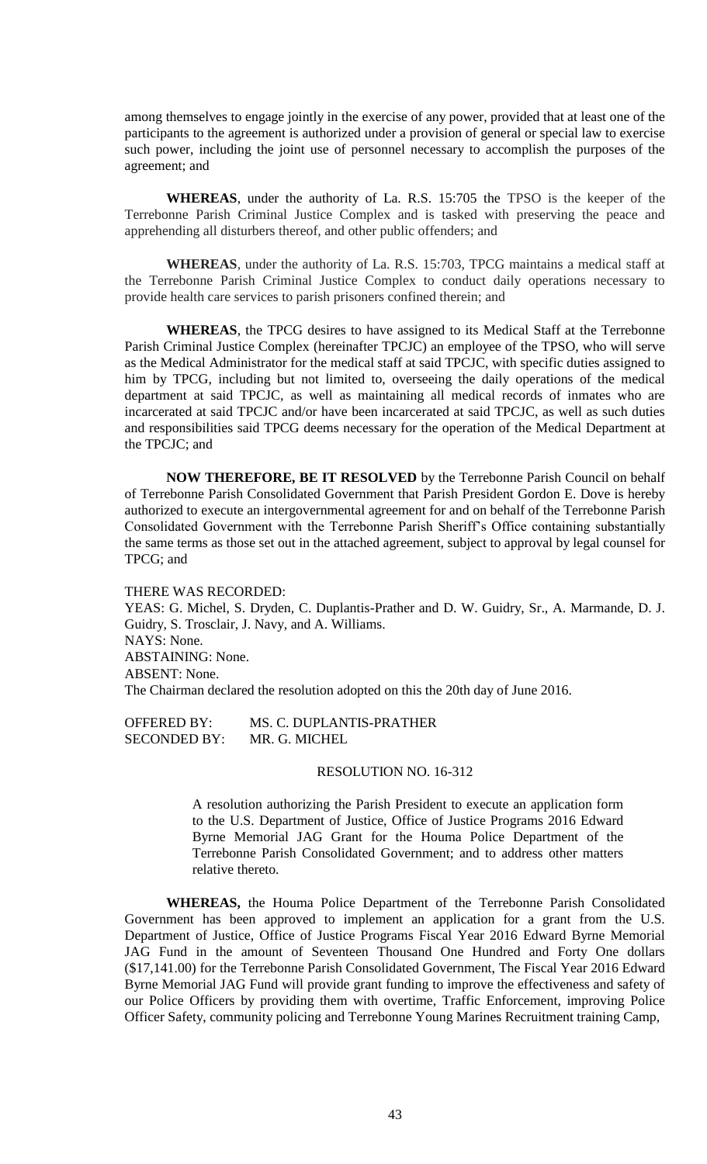among themselves to engage jointly in the exercise of any power, provided that at least one of the participants to the agreement is authorized under a provision of general or special law to exercise such power, including the joint use of personnel necessary to accomplish the purposes of the agreement; and

**WHEREAS**, under the authority of La. R.S. 15:705 the TPSO is the keeper of the Terrebonne Parish Criminal Justice Complex and is tasked with preserving the peace and apprehending all disturbers thereof, and other public offenders; and

**WHEREAS**, under the authority of La. R.S. 15:703, TPCG maintains a medical staff at the Terrebonne Parish Criminal Justice Complex to conduct daily operations necessary to provide health care services to parish prisoners confined therein; and

**WHEREAS**, the TPCG desires to have assigned to its Medical Staff at the Terrebonne Parish Criminal Justice Complex (hereinafter TPCJC) an employee of the TPSO, who will serve as the Medical Administrator for the medical staff at said TPCJC, with specific duties assigned to him by TPCG, including but not limited to, overseeing the daily operations of the medical department at said TPCJC, as well as maintaining all medical records of inmates who are incarcerated at said TPCJC and/or have been incarcerated at said TPCJC, as well as such duties and responsibilities said TPCG deems necessary for the operation of the Medical Department at the TPCJC; and

**NOW THEREFORE, BE IT RESOLVED** by the Terrebonne Parish Council on behalf of Terrebonne Parish Consolidated Government that Parish President Gordon E. Dove is hereby authorized to execute an intergovernmental agreement for and on behalf of the Terrebonne Parish Consolidated Government with the Terrebonne Parish Sheriff's Office containing substantially the same terms as those set out in the attached agreement, subject to approval by legal counsel for TPCG; and

#### THERE WAS RECORDED:

YEAS: G. Michel, S. Dryden, C. Duplantis-Prather and D. W. Guidry, Sr., A. Marmande, D. J. Guidry, S. Trosclair, J. Navy, and A. Williams. NAYS: None. ABSTAINING: None. ABSENT: None. The Chairman declared the resolution adopted on this the 20th day of June 2016.

OFFERED BY: MS. C. DUPLANTIS-PRATHER SECONDED BY: MR. G. MICHEL

#### RESOLUTION NO. 16-312

A resolution authorizing the Parish President to execute an application form to the U.S. Department of Justice, Office of Justice Programs 2016 Edward Byrne Memorial JAG Grant for the Houma Police Department of the Terrebonne Parish Consolidated Government; and to address other matters relative thereto.

**WHEREAS,** the Houma Police Department of the Terrebonne Parish Consolidated Government has been approved to implement an application for a grant from the U.S. Department of Justice, Office of Justice Programs Fiscal Year 2016 Edward Byrne Memorial JAG Fund in the amount of Seventeen Thousand One Hundred and Forty One dollars (\$17,141.00) for the Terrebonne Parish Consolidated Government, The Fiscal Year 2016 Edward Byrne Memorial JAG Fund will provide grant funding to improve the effectiveness and safety of our Police Officers by providing them with overtime, Traffic Enforcement, improving Police Officer Safety, community policing and Terrebonne Young Marines Recruitment training Camp,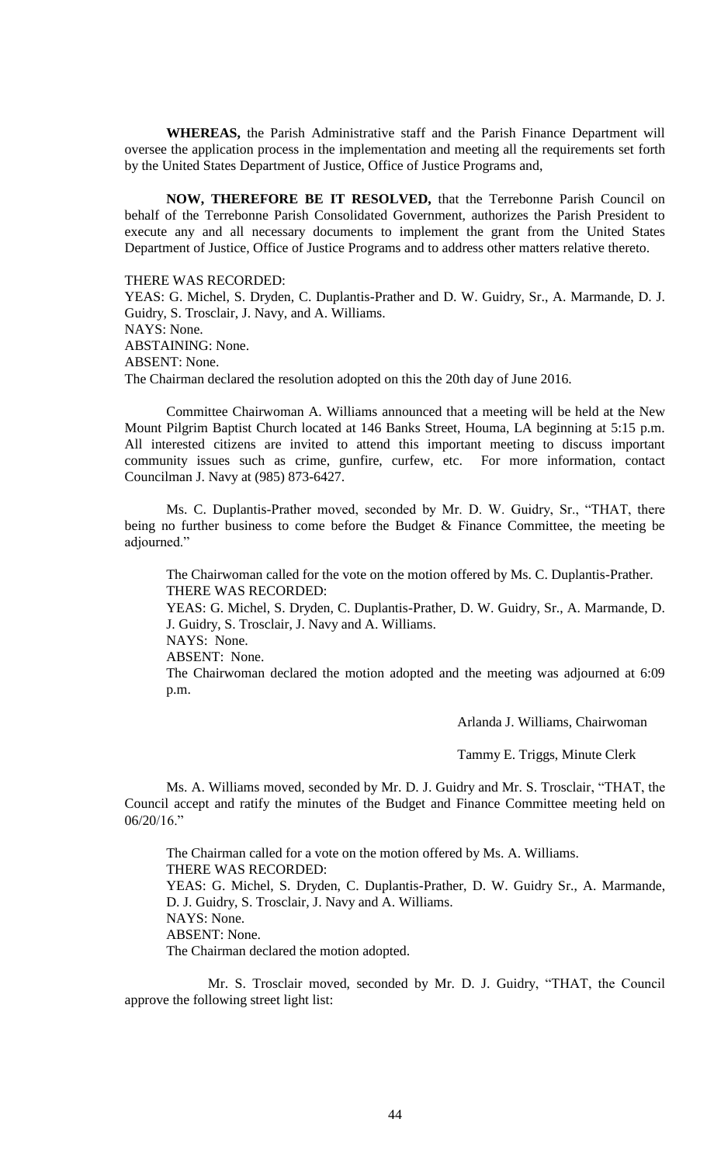**WHEREAS,** the Parish Administrative staff and the Parish Finance Department will oversee the application process in the implementation and meeting all the requirements set forth by the United States Department of Justice, Office of Justice Programs and,

**NOW, THEREFORE BE IT RESOLVED,** that the Terrebonne Parish Council on behalf of the Terrebonne Parish Consolidated Government, authorizes the Parish President to execute any and all necessary documents to implement the grant from the United States Department of Justice, Office of Justice Programs and to address other matters relative thereto.

THERE WAS RECORDED:

YEAS: G. Michel, S. Dryden, C. Duplantis-Prather and D. W. Guidry, Sr., A. Marmande, D. J. Guidry, S. Trosclair, J. Navy, and A. Williams. NAYS: None. ABSTAINING: None. ABSENT: None. The Chairman declared the resolution adopted on this the 20th day of June 2016.

Committee Chairwoman A. Williams announced that a meeting will be held at the New Mount Pilgrim Baptist Church located at 146 Banks Street, Houma, LA beginning at 5:15 p.m. All interested citizens are invited to attend this important meeting to discuss important community issues such as crime, gunfire, curfew, etc. For more information, contact Councilman J. Navy at (985) 873-6427.

Ms. C. Duplantis-Prather moved, seconded by Mr. D. W. Guidry, Sr., "THAT, there being no further business to come before the Budget & Finance Committee, the meeting be adjourned."

The Chairwoman called for the vote on the motion offered by Ms. C. Duplantis-Prather. THERE WAS RECORDED:

YEAS: G. Michel, S. Dryden, C. Duplantis-Prather, D. W. Guidry, Sr., A. Marmande, D. J. Guidry, S. Trosclair, J. Navy and A. Williams. NAYS: None.

ABSENT: None.

The Chairwoman declared the motion adopted and the meeting was adjourned at 6:09 p.m.

Arlanda J. Williams, Chairwoman

Tammy E. Triggs, Minute Clerk

Ms. A. Williams moved, seconded by Mr. D. J. Guidry and Mr. S. Trosclair, "THAT, the Council accept and ratify the minutes of the Budget and Finance Committee meeting held on 06/20/16."

The Chairman called for a vote on the motion offered by Ms. A. Williams. THERE WAS RECORDED: YEAS: G. Michel, S. Dryden, C. Duplantis-Prather, D. W. Guidry Sr., A. Marmande, D. J. Guidry, S. Trosclair, J. Navy and A. Williams. NAYS: None. ABSENT: None. The Chairman declared the motion adopted.

Mr. S. Trosclair moved, seconded by Mr. D. J. Guidry, "THAT, the Council approve the following street light list: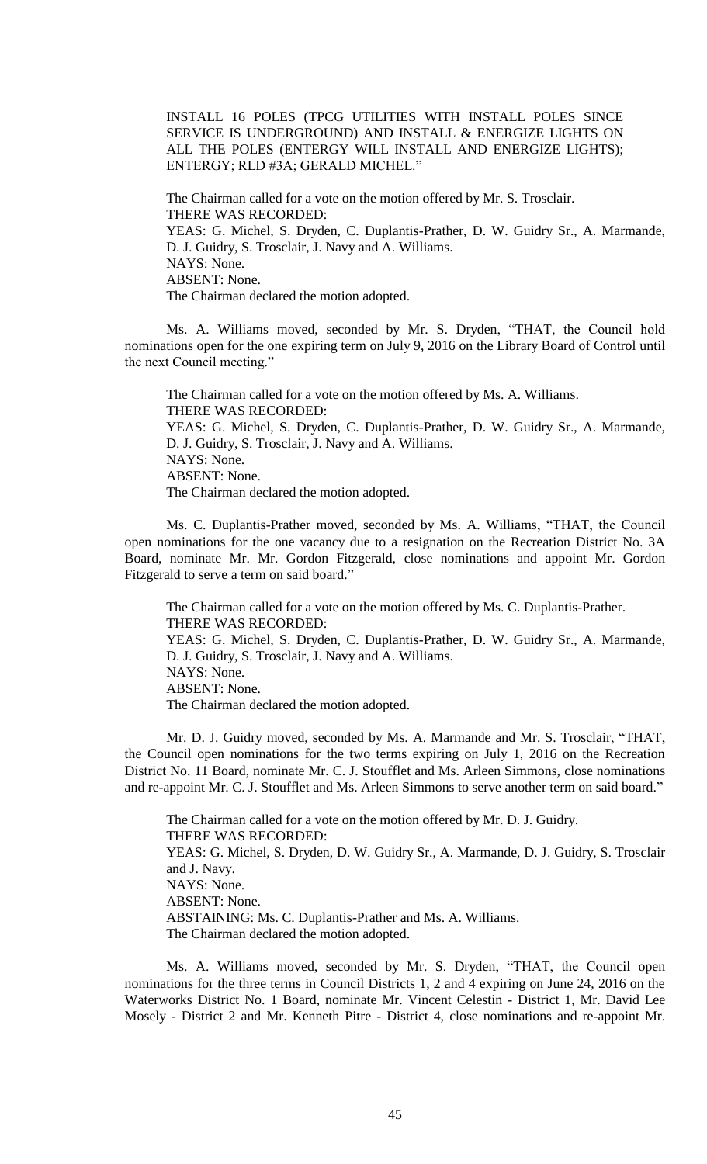INSTALL 16 POLES (TPCG UTILITIES WITH INSTALL POLES SINCE SERVICE IS UNDERGROUND) AND INSTALL & ENERGIZE LIGHTS ON ALL THE POLES (ENTERGY WILL INSTALL AND ENERGIZE LIGHTS); ENTERGY; RLD #3A; GERALD MICHEL."

The Chairman called for a vote on the motion offered by Mr. S. Trosclair. THERE WAS RECORDED: YEAS: G. Michel, S. Dryden, C. Duplantis-Prather, D. W. Guidry Sr., A. Marmande, D. J. Guidry, S. Trosclair, J. Navy and A. Williams. NAYS: None. ABSENT: None. The Chairman declared the motion adopted.

Ms. A. Williams moved, seconded by Mr. S. Dryden, "THAT, the Council hold nominations open for the one expiring term on July 9, 2016 on the Library Board of Control until the next Council meeting."

The Chairman called for a vote on the motion offered by Ms. A. Williams. THERE WAS RECORDED: YEAS: G. Michel, S. Dryden, C. Duplantis-Prather, D. W. Guidry Sr., A. Marmande, D. J. Guidry, S. Trosclair, J. Navy and A. Williams. NAYS: None. ABSENT: None. The Chairman declared the motion adopted.

Ms. C. Duplantis-Prather moved, seconded by Ms. A. Williams, "THAT, the Council open nominations for the one vacancy due to a resignation on the Recreation District No. 3A Board, nominate Mr. Mr. Gordon Fitzgerald, close nominations and appoint Mr. Gordon Fitzgerald to serve a term on said board."

The Chairman called for a vote on the motion offered by Ms. C. Duplantis-Prather. THERE WAS RECORDED: YEAS: G. Michel, S. Dryden, C. Duplantis-Prather, D. W. Guidry Sr., A. Marmande, D. J. Guidry, S. Trosclair, J. Navy and A. Williams. NAYS: None. ABSENT: None. The Chairman declared the motion adopted.

Mr. D. J. Guidry moved, seconded by Ms. A. Marmande and Mr. S. Trosclair, "THAT, the Council open nominations for the two terms expiring on July 1, 2016 on the Recreation District No. 11 Board, nominate Mr. C. J. Stoufflet and Ms. Arleen Simmons, close nominations and re-appoint Mr. C. J. Stoufflet and Ms. Arleen Simmons to serve another term on said board."

The Chairman called for a vote on the motion offered by Mr. D. J. Guidry. THERE WAS RECORDED: YEAS: G. Michel, S. Dryden, D. W. Guidry Sr., A. Marmande, D. J. Guidry, S. Trosclair and J. Navy. NAYS: None. ABSENT: None. ABSTAINING: Ms. C. Duplantis-Prather and Ms. A. Williams. The Chairman declared the motion adopted.

Ms. A. Williams moved, seconded by Mr. S. Dryden, "THAT, the Council open nominations for the three terms in Council Districts 1, 2 and 4 expiring on June 24, 2016 on the Waterworks District No. 1 Board, nominate Mr. Vincent Celestin - District 1, Mr. David Lee Mosely - District 2 and Mr. Kenneth Pitre - District 4, close nominations and re-appoint Mr.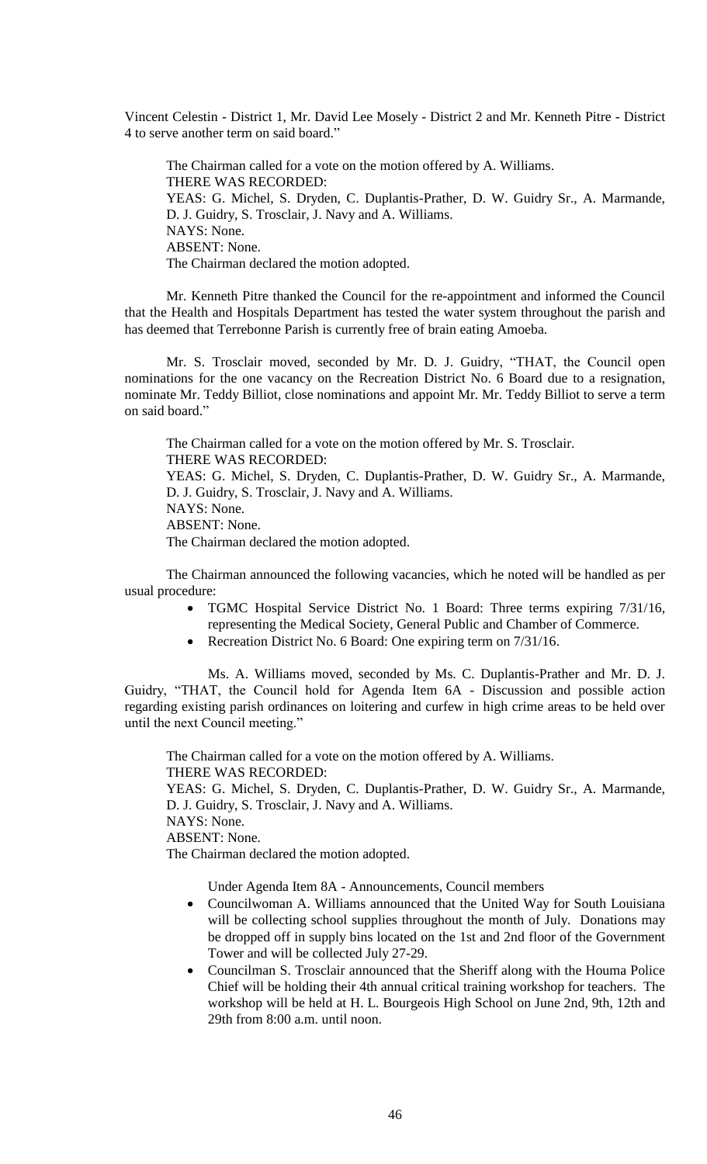Vincent Celestin - District 1, Mr. David Lee Mosely - District 2 and Mr. Kenneth Pitre - District 4 to serve another term on said board."

The Chairman called for a vote on the motion offered by A. Williams. THERE WAS RECORDED: YEAS: G. Michel, S. Dryden, C. Duplantis-Prather, D. W. Guidry Sr., A. Marmande, D. J. Guidry, S. Trosclair, J. Navy and A. Williams. NAYS: None. ABSENT: None. The Chairman declared the motion adopted.

Mr. Kenneth Pitre thanked the Council for the re-appointment and informed the Council that the Health and Hospitals Department has tested the water system throughout the parish and has deemed that Terrebonne Parish is currently free of brain eating Amoeba.

Mr. S. Trosclair moved, seconded by Mr. D. J. Guidry, "THAT, the Council open nominations for the one vacancy on the Recreation District No. 6 Board due to a resignation, nominate Mr. Teddy Billiot, close nominations and appoint Mr. Mr. Teddy Billiot to serve a term on said board."

The Chairman called for a vote on the motion offered by Mr. S. Trosclair. THERE WAS RECORDED: YEAS: G. Michel, S. Dryden, C. Duplantis-Prather, D. W. Guidry Sr., A. Marmande, D. J. Guidry, S. Trosclair, J. Navy and A. Williams. NAYS: None. ABSENT: None. The Chairman declared the motion adopted.

The Chairman announced the following vacancies, which he noted will be handled as per usual procedure:

- TGMC Hospital Service District No. 1 Board: Three terms expiring 7/31/16, representing the Medical Society, General Public and Chamber of Commerce.
- Recreation District No. 6 Board: One expiring term on  $7/31/16$ .

Ms. A. Williams moved, seconded by Ms. C. Duplantis-Prather and Mr. D. J. Guidry, "THAT, the Council hold for Agenda Item 6A - Discussion and possible action regarding existing parish ordinances on loitering and curfew in high crime areas to be held over until the next Council meeting."

The Chairman called for a vote on the motion offered by A. Williams. THERE WAS RECORDED: YEAS: G. Michel, S. Dryden, C. Duplantis-Prather, D. W. Guidry Sr., A. Marmande, D. J. Guidry, S. Trosclair, J. Navy and A. Williams. NAYS: None. ABSENT: None.

The Chairman declared the motion adopted.

Under Agenda Item 8A - Announcements, Council members

- Councilwoman A. Williams announced that the United Way for South Louisiana will be collecting school supplies throughout the month of July. Donations may be dropped off in supply bins located on the 1st and 2nd floor of the Government Tower and will be collected July 27-29.
- Councilman S. Trosclair announced that the Sheriff along with the Houma Police Chief will be holding their 4th annual critical training workshop for teachers. The workshop will be held at H. L. Bourgeois High School on June 2nd, 9th, 12th and 29th from 8:00 a.m. until noon.